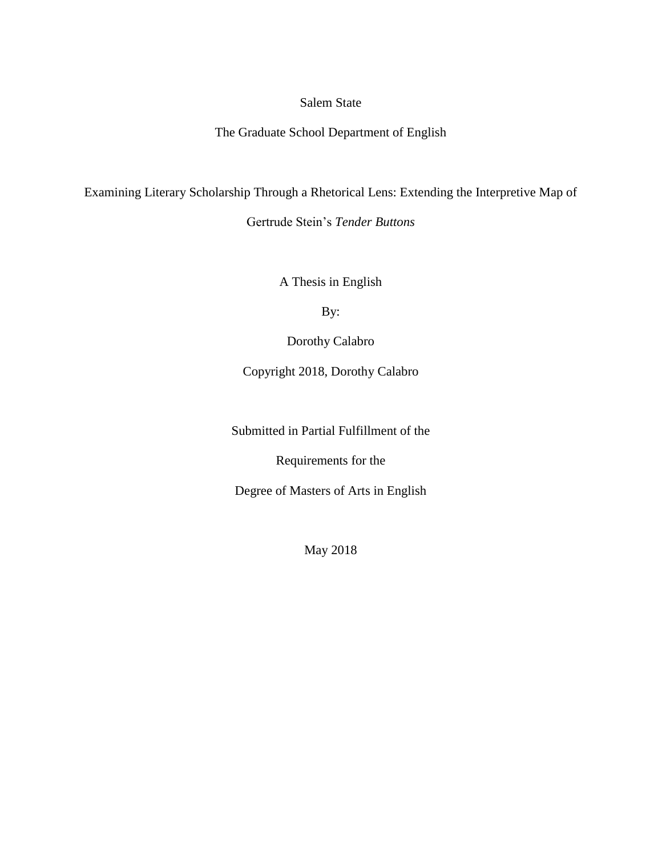# Salem State

The Graduate School Department of English

Examining Literary Scholarship Through a Rhetorical Lens: Extending the Interpretive Map of

Gertrude Stein's *Tender Buttons*

A Thesis in English

By:

Dorothy Calabro

Copyright 2018, Dorothy Calabro

Submitted in Partial Fulfillment of the

Requirements for the

Degree of Masters of Arts in English

May 2018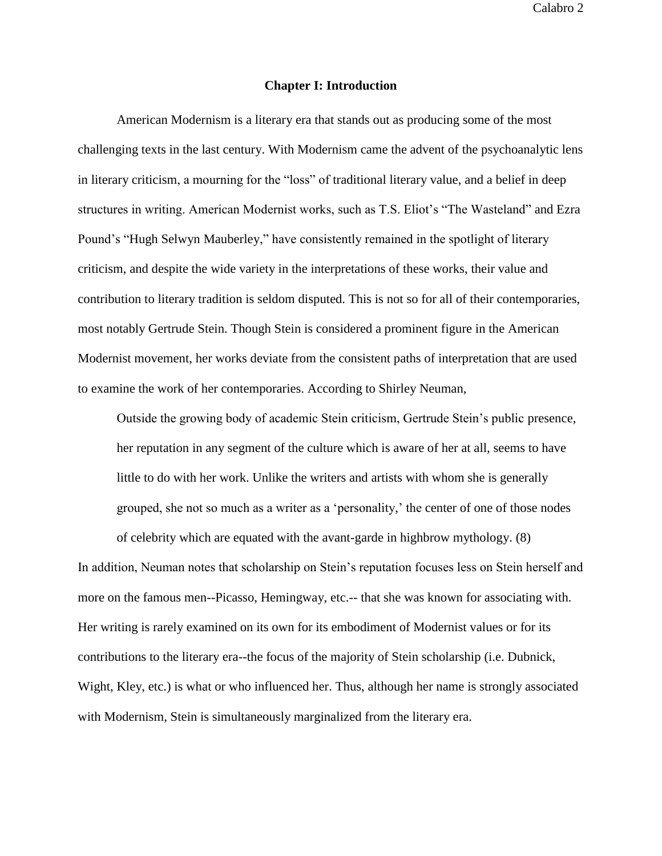### **Chapter I: Introduction**

American Modernism is a literary era that stands out as producing some of the most challenging texts in the last century. With Modernism came the advent of the psychoanalytic lens in literary criticism, a mourning for the "loss" of traditional literary value, and a belief in deep structures in writing. American Modernist works, such as T.S. Eliot's "The Wasteland" and Ezra Pound's "Hugh Selwyn Mauberley," have consistently remained in the spotlight of literary criticism, and despite the wide variety in the interpretations of these works, their value and contribution to literary tradition is seldom disputed. This is not so for all of their contemporaries, most notably Gertrude Stein. Though Stein is considered a prominent figure in the American Modernist movement, her works deviate from the consistent paths of interpretation that are used to examine the work of her contemporaries. According to Shirley Neuman,

Outside the growing body of academic Stein criticism, Gertrude Stein's public presence, her reputation in any segment of the culture which is aware of her at all, seems to have little to do with her work. Unlike the writers and artists with whom she is generally grouped, she not so much as a writer as a 'personality,' the center of one of those nodes

of celebrity which are equated with the avant-garde in highbrow mythology. (8) In addition, Neuman notes that scholarship on Stein's reputation focuses less on Stein herself and more on the famous men--Picasso, Hemingway, etc.-- that she was known for associating with. Her writing is rarely examined on its own for its embodiment of Modernist values or for its contributions to the literary era--the focus of the majority of Stein scholarship (i.e. Dubnick, Wight, Kley, etc.) is what or who influenced her. Thus, although her name is strongly associated with Modernism, Stein is simultaneously marginalized from the literary era.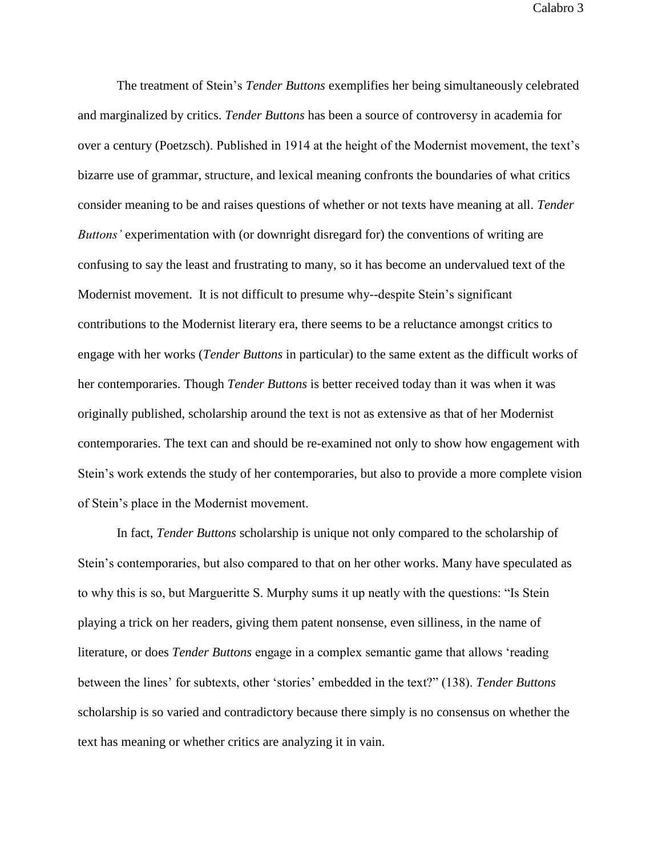The treatment of Stein's *Tender Buttons* exemplifies her being simultaneously celebrated and marginalized by critics. *Tender Buttons* has been a source of controversy in academia for over a century (Poetzsch). Published in 1914 at the height of the Modernist movement, the text's bizarre use of grammar, structure, and lexical meaning confronts the boundaries of what critics consider meaning to be and raises questions of whether or not texts have meaning at all. *Tender Buttons'* experimentation with (or downright disregard for) the conventions of writing are confusing to say the least and frustrating to many, so it has become an undervalued text of the Modernist movement. It is not difficult to presume why--despite Stein's significant contributions to the Modernist literary era, there seems to be a reluctance amongst critics to engage with her works (*Tender Buttons* in particular) to the same extent as the difficult works of her contemporaries. Though *Tender Buttons* is better received today than it was when it was originally published, scholarship around the text is not as extensive as that of her Modernist contemporaries. The text can and should be re-examined not only to show how engagement with Stein's work extends the study of her contemporaries, but also to provide a more complete vision of Stein's place in the Modernist movement.

In fact, *Tender Buttons* scholarship is unique not only compared to the scholarship of Stein's contemporaries, but also compared to that on her other works. Many have speculated as to why this is so, but Margueritte S. Murphy sums it up neatly with the questions: "Is Stein playing a trick on her readers, giving them patent nonsense, even silliness, in the name of literature, or does *Tender Buttons* engage in a complex semantic game that allows 'reading between the lines' for subtexts, other 'stories' embedded in the text?" (138). *Tender Buttons*  scholarship is so varied and contradictory because there simply is no consensus on whether the text has meaning or whether critics are analyzing it in vain.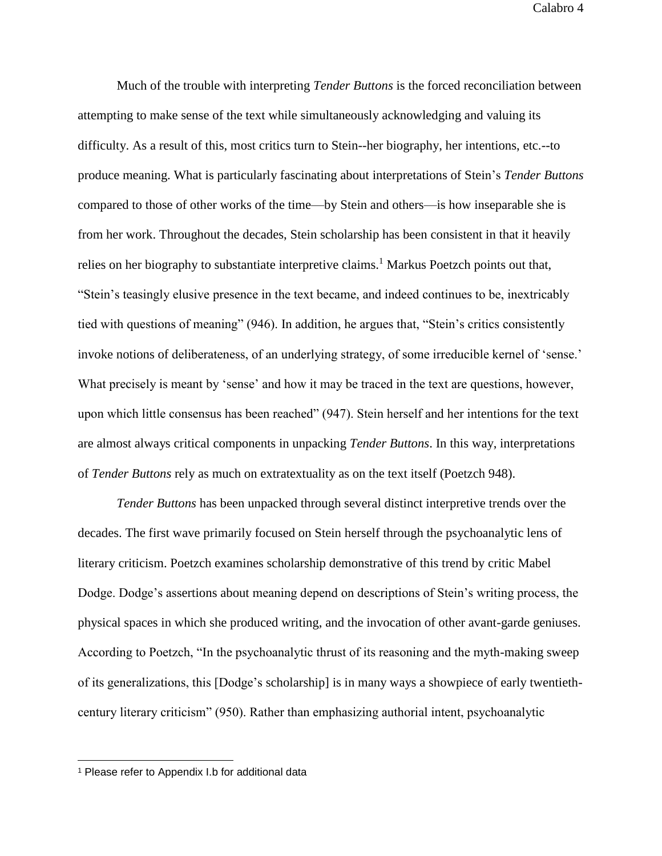Much of the trouble with interpreting *Tender Buttons* is the forced reconciliation between attempting to make sense of the text while simultaneously acknowledging and valuing its difficulty. As a result of this, most critics turn to Stein--her biography, her intentions, etc.--to produce meaning. What is particularly fascinating about interpretations of Stein's *Tender Buttons* compared to those of other works of the time—by Stein and others—is how inseparable she is from her work. Throughout the decades, Stein scholarship has been consistent in that it heavily relies on her biography to substantiate interpretive claims.<sup>1</sup> Markus Poetzch points out that, "Stein's teasingly elusive presence in the text became, and indeed continues to be, inextricably tied with questions of meaning" (946). In addition, he argues that, "Stein's critics consistently invoke notions of deliberateness, of an underlying strategy, of some irreducible kernel of 'sense.' What precisely is meant by 'sense' and how it may be traced in the text are questions, however, upon which little consensus has been reached" (947). Stein herself and her intentions for the text are almost always critical components in unpacking *Tender Buttons*. In this way, interpretations of *Tender Buttons* rely as much on extratextuality as on the text itself (Poetzch 948).

*Tender Buttons* has been unpacked through several distinct interpretive trends over the decades. The first wave primarily focused on Stein herself through the psychoanalytic lens of literary criticism. Poetzch examines scholarship demonstrative of this trend by critic Mabel Dodge. Dodge's assertions about meaning depend on descriptions of Stein's writing process, the physical spaces in which she produced writing, and the invocation of other avant-garde geniuses. According to Poetzch, "In the psychoanalytic thrust of its reasoning and the myth-making sweep of its generalizations, this [Dodge's scholarship] is in many ways a showpiece of early twentiethcentury literary criticism" (950). Rather than emphasizing authorial intent, psychoanalytic

 $\overline{a}$ 

<sup>1</sup> Please refer to Appendix I.b for additional data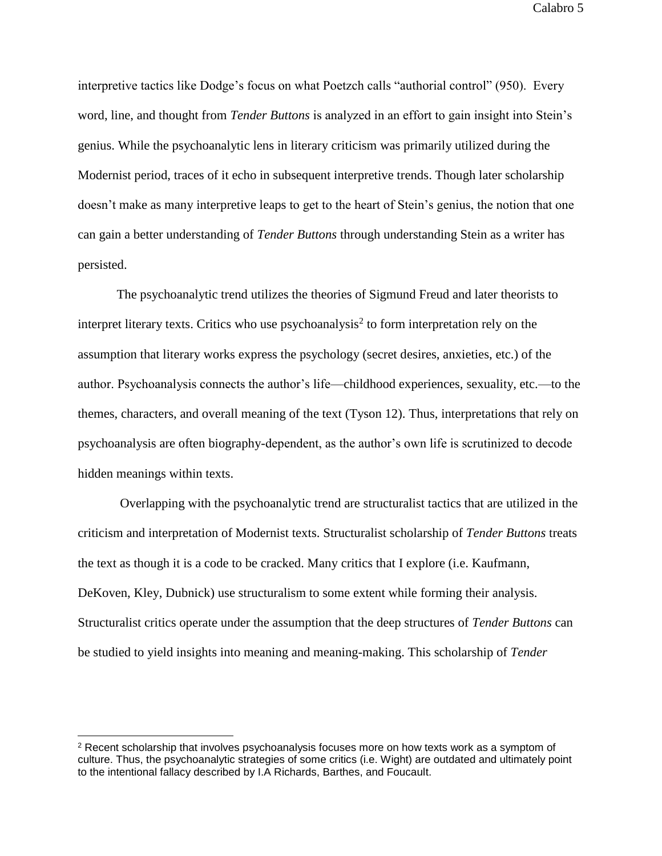interpretive tactics like Dodge's focus on what Poetzch calls "authorial control" (950). Every word, line, and thought from *Tender Buttons* is analyzed in an effort to gain insight into Stein's genius. While the psychoanalytic lens in literary criticism was primarily utilized during the Modernist period, traces of it echo in subsequent interpretive trends. Though later scholarship doesn't make as many interpretive leaps to get to the heart of Stein's genius, the notion that one can gain a better understanding of *Tender Buttons* through understanding Stein as a writer has persisted.

The psychoanalytic trend utilizes the theories of Sigmund Freud and later theorists to interpret literary texts. Critics who use psychoanalysis<sup>2</sup> to form interpretation rely on the assumption that literary works express the psychology (secret desires, anxieties, etc.) of the author. Psychoanalysis connects the author's life—childhood experiences, sexuality, etc.—to the themes, characters, and overall meaning of the text (Tyson 12). Thus, interpretations that rely on psychoanalysis are often biography-dependent, as the author's own life is scrutinized to decode hidden meanings within texts.

Overlapping with the psychoanalytic trend are structuralist tactics that are utilized in the criticism and interpretation of Modernist texts. Structuralist scholarship of *Tender Buttons* treats the text as though it is a code to be cracked. Many critics that I explore (i.e. Kaufmann, DeKoven, Kley, Dubnick) use structuralism to some extent while forming their analysis. Structuralist critics operate under the assumption that the deep structures of *Tender Buttons* can be studied to yield insights into meaning and meaning-making. This scholarship of *Tender* 

<sup>&</sup>lt;sup>2</sup> Recent scholarship that involves psychoanalysis focuses more on how texts work as a symptom of culture. Thus, the psychoanalytic strategies of some critics (i.e. Wight) are outdated and ultimately point to the intentional fallacy described by I.A Richards, Barthes, and Foucault.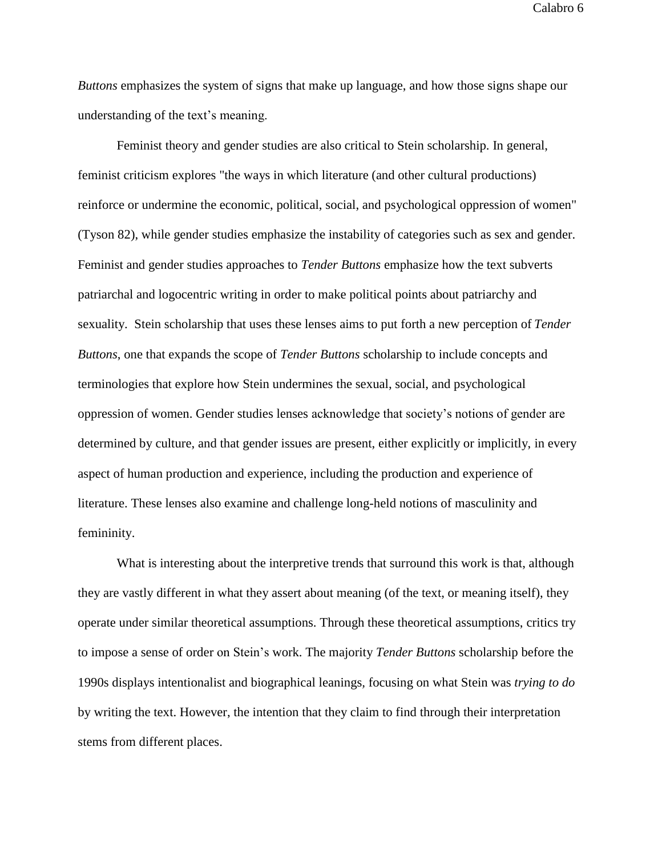*Buttons* emphasizes the system of signs that make up language, and how those signs shape our understanding of the text's meaning.

Feminist theory and gender studies are also critical to Stein scholarship. In general, feminist criticism explores "the ways in which literature (and other cultural productions) reinforce or undermine the economic, political, social, and psychological oppression of women" (Tyson 82), while gender studies emphasize the instability of categories such as sex and gender. Feminist and gender studies approaches to *Tender Buttons* emphasize how the text subverts patriarchal and logocentric writing in order to make political points about patriarchy and sexuality. Stein scholarship that uses these lenses aims to put forth a new perception of *Tender Buttons*, one that expands the scope of *Tender Buttons* scholarship to include concepts and terminologies that explore how Stein undermines the sexual, social, and psychological oppression of women. Gender studies lenses acknowledge that society's notions of gender are determined by culture, and that gender issues are present, either explicitly or implicitly, in every aspect of human production and experience, including the production and experience of literature. These lenses also examine and challenge long-held notions of masculinity and femininity.

What is interesting about the interpretive trends that surround this work is that, although they are vastly different in what they assert about meaning (of the text, or meaning itself), they operate under similar theoretical assumptions. Through these theoretical assumptions, critics try to impose a sense of order on Stein's work. The majority *Tender Buttons* scholarship before the 1990s displays intentionalist and biographical leanings*,* focusing on what Stein was *trying to do* by writing the text. However, the intention that they claim to find through their interpretation stems from different places.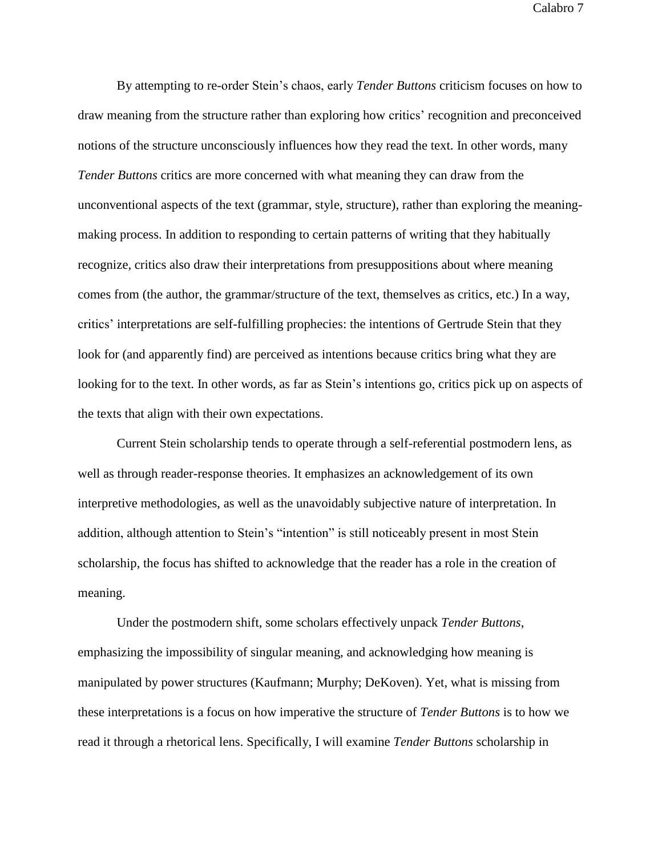By attempting to re-order Stein's chaos, early *Tender Buttons* criticism focuses on how to draw meaning from the structure rather than exploring how critics' recognition and preconceived notions of the structure unconsciously influences how they read the text. In other words, many *Tender Buttons* critics are more concerned with what meaning they can draw from the unconventional aspects of the text (grammar, style, structure), rather than exploring the meaningmaking process. In addition to responding to certain patterns of writing that they habitually recognize, critics also draw their interpretations from presuppositions about where meaning comes from (the author, the grammar/structure of the text, themselves as critics, etc.) In a way, critics' interpretations are self-fulfilling prophecies: the intentions of Gertrude Stein that they look for (and apparently find) are perceived as intentions because critics bring what they are looking for to the text. In other words, as far as Stein's intentions go, critics pick up on aspects of the texts that align with their own expectations.

Current Stein scholarship tends to operate through a self-referential postmodern lens, as well as through reader-response theories. It emphasizes an acknowledgement of its own interpretive methodologies, as well as the unavoidably subjective nature of interpretation. In addition, although attention to Stein's "intention" is still noticeably present in most Stein scholarship, the focus has shifted to acknowledge that the reader has a role in the creation of meaning.

Under the postmodern shift, some scholars effectively unpack *Tender Buttons*, emphasizing the impossibility of singular meaning, and acknowledging how meaning is manipulated by power structures (Kaufmann; Murphy; DeKoven). Yet, what is missing from these interpretations is a focus on how imperative the structure of *Tender Buttons* is to how we read it through a rhetorical lens. Specifically, I will examine *Tender Buttons* scholarship in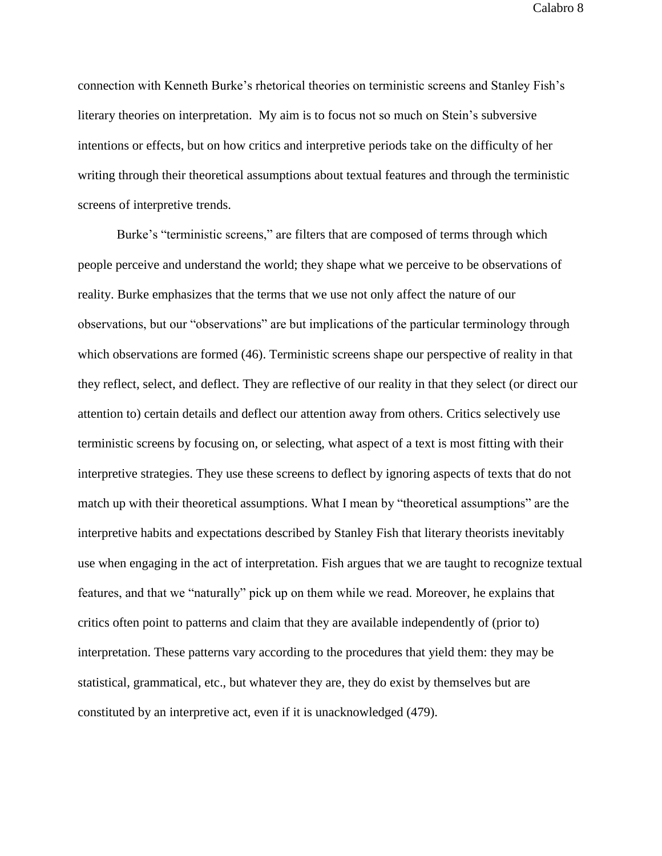connection with Kenneth Burke's rhetorical theories on terministic screens and Stanley Fish's literary theories on interpretation. My aim is to focus not so much on Stein's subversive intentions or effects, but on how critics and interpretive periods take on the difficulty of her writing through their theoretical assumptions about textual features and through the terministic screens of interpretive trends.

Burke's "terministic screens," are filters that are composed of terms through which people perceive and understand the world; they shape what we perceive to be observations of reality. Burke emphasizes that the terms that we use not only affect the nature of our observations, but our "observations" are but implications of the particular terminology through which observations are formed (46). Terministic screens shape our perspective of reality in that they reflect, select, and deflect. They are reflective of our reality in that they select (or direct our attention to) certain details and deflect our attention away from others. Critics selectively use terministic screens by focusing on, or selecting, what aspect of a text is most fitting with their interpretive strategies. They use these screens to deflect by ignoring aspects of texts that do not match up with their theoretical assumptions. What I mean by "theoretical assumptions" are the interpretive habits and expectations described by Stanley Fish that literary theorists inevitably use when engaging in the act of interpretation. Fish argues that we are taught to recognize textual features, and that we "naturally" pick up on them while we read. Moreover, he explains that critics often point to patterns and claim that they are available independently of (prior to) interpretation. These patterns vary according to the procedures that yield them: they may be statistical, grammatical, etc., but whatever they are, they do exist by themselves but are constituted by an interpretive act, even if it is unacknowledged (479).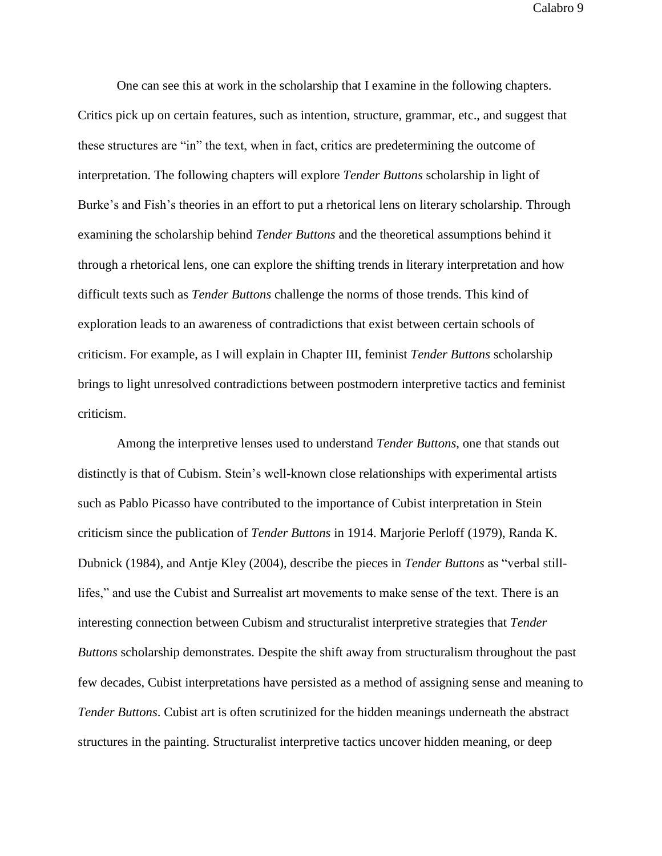One can see this at work in the scholarship that I examine in the following chapters. Critics pick up on certain features, such as intention, structure, grammar, etc., and suggest that these structures are "in" the text, when in fact, critics are predetermining the outcome of interpretation. The following chapters will explore *Tender Buttons* scholarship in light of Burke's and Fish's theories in an effort to put a rhetorical lens on literary scholarship. Through examining the scholarship behind *Tender Buttons* and the theoretical assumptions behind it through a rhetorical lens, one can explore the shifting trends in literary interpretation and how difficult texts such as *Tender Buttons* challenge the norms of those trends. This kind of exploration leads to an awareness of contradictions that exist between certain schools of criticism. For example, as I will explain in Chapter III, feminist *Tender Buttons* scholarship brings to light unresolved contradictions between postmodern interpretive tactics and feminist criticism.

Among the interpretive lenses used to understand *Tender Buttons*, one that stands out distinctly is that of Cubism. Stein's well-known close relationships with experimental artists such as Pablo Picasso have contributed to the importance of Cubist interpretation in Stein criticism since the publication of *Tender Buttons* in 1914. Marjorie Perloff (1979), Randa K. Dubnick (1984), and Antje Kley (2004), describe the pieces in *Tender Buttons* as "verbal stilllifes," and use the Cubist and Surrealist art movements to make sense of the text. There is an interesting connection between Cubism and structuralist interpretive strategies that *Tender Buttons* scholarship demonstrates. Despite the shift away from structuralism throughout the past few decades, Cubist interpretations have persisted as a method of assigning sense and meaning to *Tender Buttons*. Cubist art is often scrutinized for the hidden meanings underneath the abstract structures in the painting. Structuralist interpretive tactics uncover hidden meaning, or deep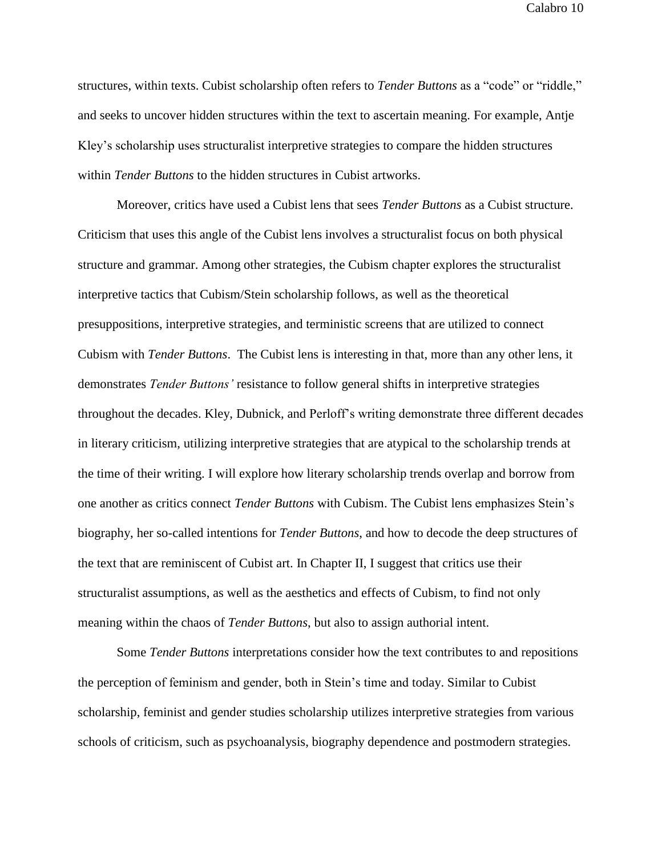structures, within texts. Cubist scholarship often refers to *Tender Buttons* as a "code" or "riddle," and seeks to uncover hidden structures within the text to ascertain meaning. For example, Antje Kley's scholarship uses structuralist interpretive strategies to compare the hidden structures within *Tender Buttons* to the hidden structures in Cubist artworks.

Moreover, critics have used a Cubist lens that sees *Tender Buttons* as a Cubist structure. Criticism that uses this angle of the Cubist lens involves a structuralist focus on both physical structure and grammar. Among other strategies, the Cubism chapter explores the structuralist interpretive tactics that Cubism/Stein scholarship follows, as well as the theoretical presuppositions, interpretive strategies, and terministic screens that are utilized to connect Cubism with *Tender Buttons*. The Cubist lens is interesting in that, more than any other lens, it demonstrates *Tender Buttons'* resistance to follow general shifts in interpretive strategies throughout the decades. Kley, Dubnick, and Perloff's writing demonstrate three different decades in literary criticism, utilizing interpretive strategies that are atypical to the scholarship trends at the time of their writing. I will explore how literary scholarship trends overlap and borrow from one another as critics connect *Tender Buttons* with Cubism. The Cubist lens emphasizes Stein's biography, her so-called intentions for *Tender Buttons*, and how to decode the deep structures of the text that are reminiscent of Cubist art. In Chapter II, I suggest that critics use their structuralist assumptions, as well as the aesthetics and effects of Cubism, to find not only meaning within the chaos of *Tender Buttons*, but also to assign authorial intent.

Some *Tender Buttons* interpretations consider how the text contributes to and repositions the perception of feminism and gender, both in Stein's time and today. Similar to Cubist scholarship, feminist and gender studies scholarship utilizes interpretive strategies from various schools of criticism, such as psychoanalysis, biography dependence and postmodern strategies.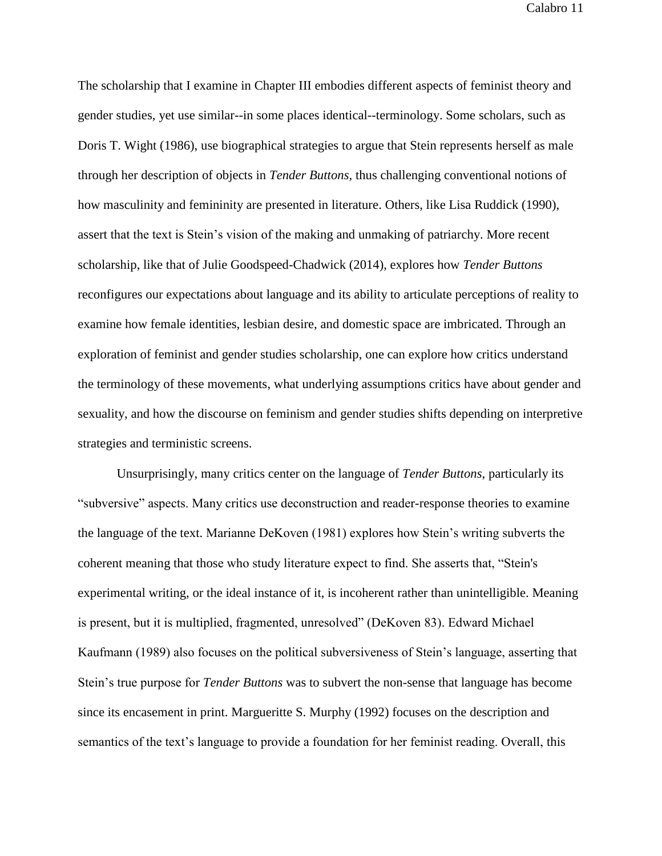The scholarship that I examine in Chapter III embodies different aspects of feminist theory and gender studies, yet use similar--in some places identical--terminology. Some scholars, such as Doris T. Wight (1986), use biographical strategies to argue that Stein represents herself as male through her description of objects in *Tender Buttons,* thus challenging conventional notions of how masculinity and femininity are presented in literature. Others, like Lisa Ruddick (1990), assert that the text is Stein's vision of the making and unmaking of patriarchy. More recent scholarship, like that of Julie Goodspeed-Chadwick (2014), explores how *Tender Buttons* reconfigures our expectations about language and its ability to articulate perceptions of reality to examine how female identities, lesbian desire, and domestic space are imbricated. Through an exploration of feminist and gender studies scholarship, one can explore how critics understand the terminology of these movements, what underlying assumptions critics have about gender and sexuality, and how the discourse on feminism and gender studies shifts depending on interpretive strategies and terministic screens.

Unsurprisingly, many critics center on the language of *Tender Buttons*, particularly its "subversive" aspects. Many critics use deconstruction and reader-response theories to examine the language of the text. Marianne DeKoven (1981) explores how Stein's writing subverts the coherent meaning that those who study literature expect to find. She asserts that, "Stein's experimental writing, or the ideal instance of it, is incoherent rather than unintelligible. Meaning is present, but it is multiplied, fragmented, unresolved" (DeKoven 83). Edward Michael Kaufmann (1989) also focuses on the political subversiveness of Stein's language, asserting that Stein's true purpose for *Tender Buttons* was to subvert the non-sense that language has become since its encasement in print. Margueritte S. Murphy (1992) focuses on the description and semantics of the text's language to provide a foundation for her feminist reading. Overall, this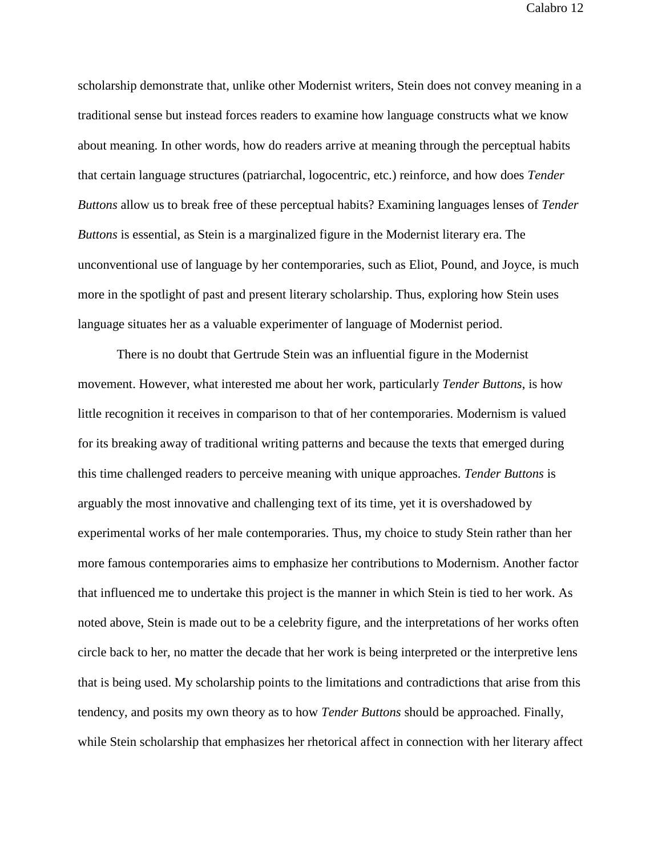scholarship demonstrate that, unlike other Modernist writers, Stein does not convey meaning in a traditional sense but instead forces readers to examine how language constructs what we know about meaning. In other words, how do readers arrive at meaning through the perceptual habits that certain language structures (patriarchal, logocentric, etc.) reinforce, and how does *Tender Buttons* allow us to break free of these perceptual habits? Examining languages lenses of *Tender Buttons* is essential, as Stein is a marginalized figure in the Modernist literary era. The unconventional use of language by her contemporaries, such as Eliot, Pound, and Joyce, is much more in the spotlight of past and present literary scholarship. Thus, exploring how Stein uses language situates her as a valuable experimenter of language of Modernist period.

There is no doubt that Gertrude Stein was an influential figure in the Modernist movement. However, what interested me about her work, particularly *Tender Buttons*, is how little recognition it receives in comparison to that of her contemporaries. Modernism is valued for its breaking away of traditional writing patterns and because the texts that emerged during this time challenged readers to perceive meaning with unique approaches. *Tender Buttons* is arguably the most innovative and challenging text of its time, yet it is overshadowed by experimental works of her male contemporaries. Thus, my choice to study Stein rather than her more famous contemporaries aims to emphasize her contributions to Modernism. Another factor that influenced me to undertake this project is the manner in which Stein is tied to her work. As noted above, Stein is made out to be a celebrity figure, and the interpretations of her works often circle back to her, no matter the decade that her work is being interpreted or the interpretive lens that is being used. My scholarship points to the limitations and contradictions that arise from this tendency, and posits my own theory as to how *Tender Buttons* should be approached. Finally, while Stein scholarship that emphasizes her rhetorical affect in connection with her literary affect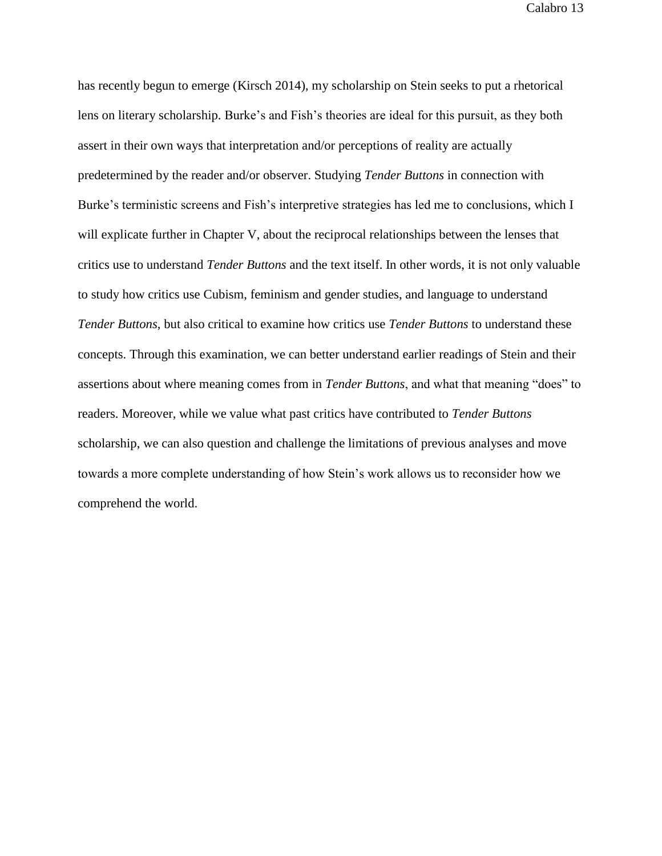has recently begun to emerge (Kirsch 2014), my scholarship on Stein seeks to put a rhetorical lens on literary scholarship. Burke's and Fish's theories are ideal for this pursuit, as they both assert in their own ways that interpretation and/or perceptions of reality are actually predetermined by the reader and/or observer. Studying *Tender Buttons* in connection with Burke's terministic screens and Fish's interpretive strategies has led me to conclusions, which I will explicate further in Chapter V, about the reciprocal relationships between the lenses that critics use to understand *Tender Buttons* and the text itself. In other words, it is not only valuable to study how critics use Cubism, feminism and gender studies, and language to understand *Tender Buttons*, but also critical to examine how critics use *Tender Buttons* to understand these concepts. Through this examination, we can better understand earlier readings of Stein and their assertions about where meaning comes from in *Tender Buttons*, and what that meaning "does" to readers. Moreover, while we value what past critics have contributed to *Tender Buttons* scholarship, we can also question and challenge the limitations of previous analyses and move towards a more complete understanding of how Stein's work allows us to reconsider how we comprehend the world.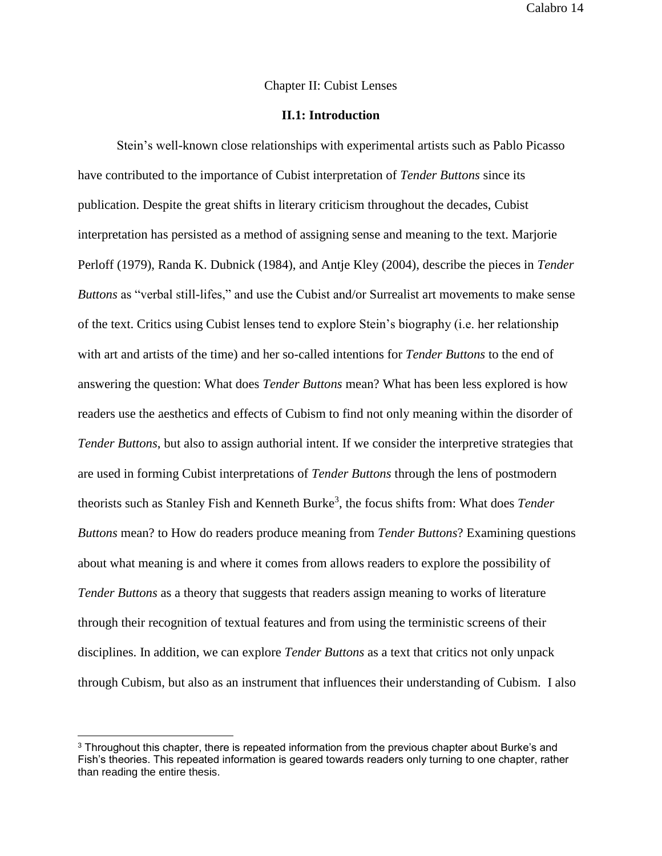### Chapter II: Cubist Lenses

### **II.1: Introduction**

Stein's well-known close relationships with experimental artists such as Pablo Picasso have contributed to the importance of Cubist interpretation of *Tender Buttons* since its publication. Despite the great shifts in literary criticism throughout the decades, Cubist interpretation has persisted as a method of assigning sense and meaning to the text. Marjorie Perloff (1979), Randa K. Dubnick (1984), and Antje Kley (2004), describe the pieces in *Tender Buttons* as "verbal still-lifes," and use the Cubist and/or Surrealist art movements to make sense of the text. Critics using Cubist lenses tend to explore Stein's biography (i.e. her relationship with art and artists of the time) and her so-called intentions for *Tender Buttons* to the end of answering the question: What does *Tender Buttons* mean? What has been less explored is how readers use the aesthetics and effects of Cubism to find not only meaning within the disorder of *Tender Buttons*, but also to assign authorial intent. If we consider the interpretive strategies that are used in forming Cubist interpretations of *Tender Buttons* through the lens of postmodern theorists such as Stanley Fish and Kenneth Burke<sup>3</sup>, the focus shifts from: What does *Tender Buttons* mean? to How do readers produce meaning from *Tender Buttons*? Examining questions about what meaning is and where it comes from allows readers to explore the possibility of *Tender Buttons* as a theory that suggests that readers assign meaning to works of literature through their recognition of textual features and from using the terministic screens of their disciplines. In addition, we can explore *Tender Buttons* as a text that critics not only unpack through Cubism, but also as an instrument that influences their understanding of Cubism. I also

<sup>&</sup>lt;sup>3</sup> Throughout this chapter, there is repeated information from the previous chapter about Burke's and Fish's theories. This repeated information is geared towards readers only turning to one chapter, rather than reading the entire thesis.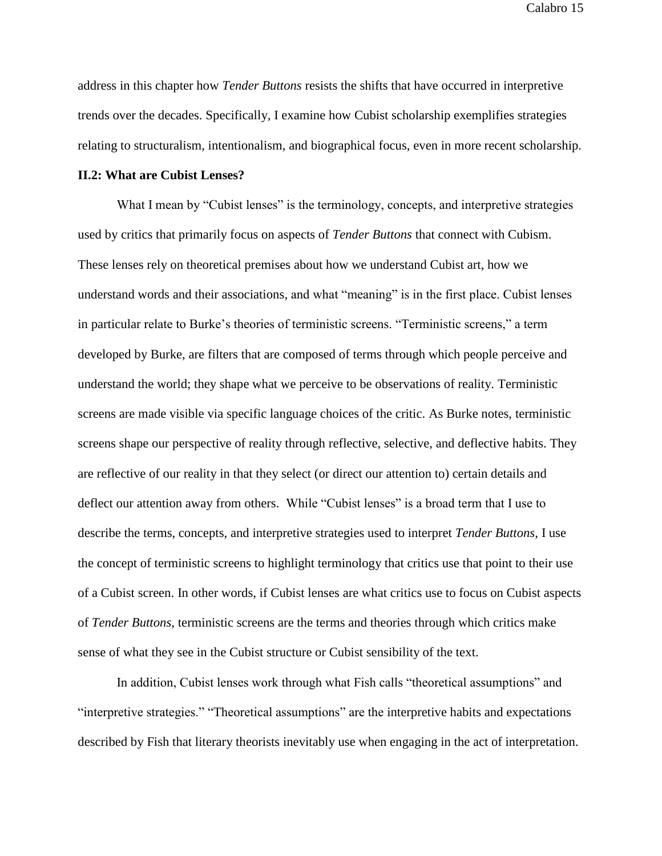address in this chapter how *Tender Buttons* resists the shifts that have occurred in interpretive trends over the decades. Specifically, I examine how Cubist scholarship exemplifies strategies relating to structuralism, intentionalism, and biographical focus, even in more recent scholarship.

### **II.2: What are Cubist Lenses?**

What I mean by "Cubist lenses" is the terminology, concepts, and interpretive strategies used by critics that primarily focus on aspects of *Tender Buttons* that connect with Cubism. These lenses rely on theoretical premises about how we understand Cubist art, how we understand words and their associations, and what "meaning" is in the first place. Cubist lenses in particular relate to Burke's theories of terministic screens. "Terministic screens," a term developed by Burke, are filters that are composed of terms through which people perceive and understand the world; they shape what we perceive to be observations of reality. Terministic screens are made visible via specific language choices of the critic. As Burke notes, terministic screens shape our perspective of reality through reflective, selective, and deflective habits. They are reflective of our reality in that they select (or direct our attention to) certain details and deflect our attention away from others. While "Cubist lenses" is a broad term that I use to describe the terms, concepts, and interpretive strategies used to interpret *Tender Buttons*, I use the concept of terministic screens to highlight terminology that critics use that point to their use of a Cubist screen. In other words, if Cubist lenses are what critics use to focus on Cubist aspects of *Tender Buttons*, terministic screens are the terms and theories through which critics make sense of what they see in the Cubist structure or Cubist sensibility of the text.

In addition, Cubist lenses work through what Fish calls "theoretical assumptions" and "interpretive strategies." "Theoretical assumptions" are the interpretive habits and expectations described by Fish that literary theorists inevitably use when engaging in the act of interpretation.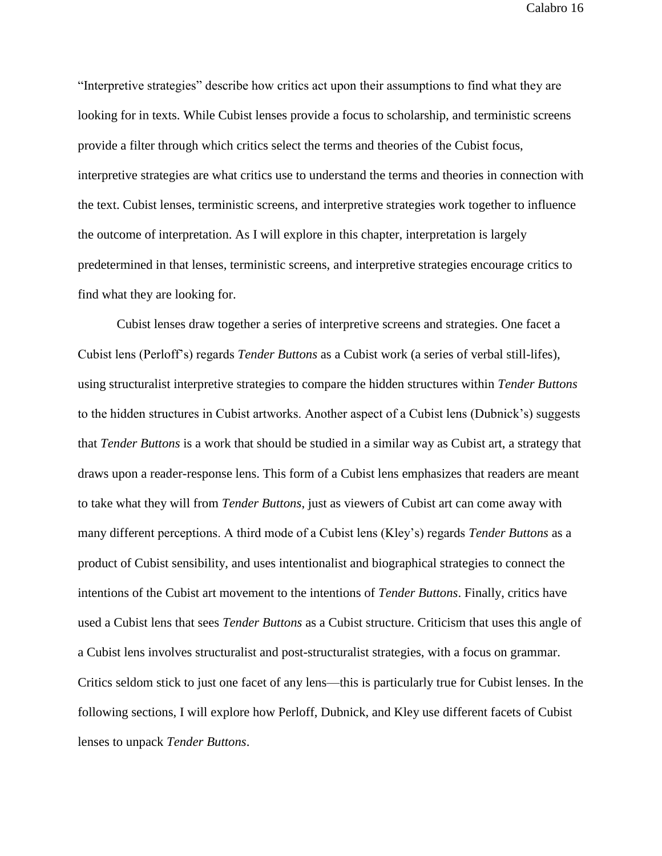"Interpretive strategies" describe how critics act upon their assumptions to find what they are looking for in texts. While Cubist lenses provide a focus to scholarship, and terministic screens provide a filter through which critics select the terms and theories of the Cubist focus, interpretive strategies are what critics use to understand the terms and theories in connection with the text. Cubist lenses, terministic screens, and interpretive strategies work together to influence the outcome of interpretation. As I will explore in this chapter, interpretation is largely predetermined in that lenses, terministic screens, and interpretive strategies encourage critics to find what they are looking for.

Cubist lenses draw together a series of interpretive screens and strategies. One facet a Cubist lens (Perloff's) regards *Tender Buttons* as a Cubist work (a series of verbal still-lifes), using structuralist interpretive strategies to compare the hidden structures within *Tender Buttons* to the hidden structures in Cubist artworks. Another aspect of a Cubist lens (Dubnick's) suggests that *Tender Buttons* is a work that should be studied in a similar way as Cubist art, a strategy that draws upon a reader-response lens. This form of a Cubist lens emphasizes that readers are meant to take what they will from *Tender Buttons*, just as viewers of Cubist art can come away with many different perceptions. A third mode of a Cubist lens (Kley's) regards *Tender Buttons* as a product of Cubist sensibility, and uses intentionalist and biographical strategies to connect the intentions of the Cubist art movement to the intentions of *Tender Buttons*. Finally, critics have used a Cubist lens that sees *Tender Buttons* as a Cubist structure. Criticism that uses this angle of a Cubist lens involves structuralist and post-structuralist strategies, with a focus on grammar. Critics seldom stick to just one facet of any lens—this is particularly true for Cubist lenses. In the following sections, I will explore how Perloff, Dubnick, and Kley use different facets of Cubist lenses to unpack *Tender Buttons*.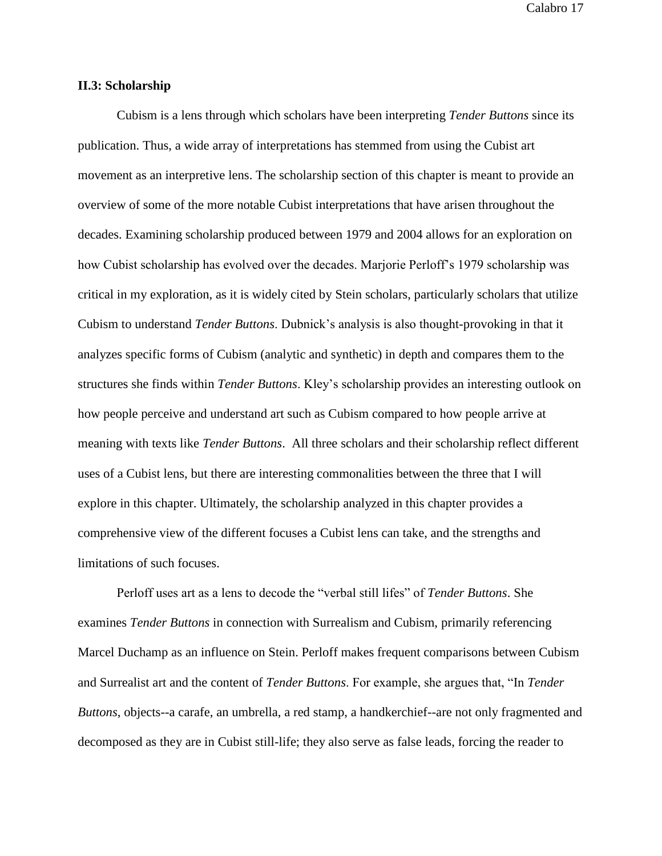#### **II.3: Scholarship**

Cubism is a lens through which scholars have been interpreting *Tender Buttons* since its publication. Thus, a wide array of interpretations has stemmed from using the Cubist art movement as an interpretive lens. The scholarship section of this chapter is meant to provide an overview of some of the more notable Cubist interpretations that have arisen throughout the decades. Examining scholarship produced between 1979 and 2004 allows for an exploration on how Cubist scholarship has evolved over the decades. Marjorie Perloff's 1979 scholarship was critical in my exploration, as it is widely cited by Stein scholars, particularly scholars that utilize Cubism to understand *Tender Buttons*. Dubnick's analysis is also thought-provoking in that it analyzes specific forms of Cubism (analytic and synthetic) in depth and compares them to the structures she finds within *Tender Buttons*. Kley's scholarship provides an interesting outlook on how people perceive and understand art such as Cubism compared to how people arrive at meaning with texts like *Tender Buttons*. All three scholars and their scholarship reflect different uses of a Cubist lens, but there are interesting commonalities between the three that I will explore in this chapter. Ultimately, the scholarship analyzed in this chapter provides a comprehensive view of the different focuses a Cubist lens can take, and the strengths and limitations of such focuses.

Perloff uses art as a lens to decode the "verbal still lifes" of *Tender Buttons*. She examines *Tender Buttons* in connection with Surrealism and Cubism, primarily referencing Marcel Duchamp as an influence on Stein. Perloff makes frequent comparisons between Cubism and Surrealist art and the content of *Tender Buttons*. For example, she argues that, "In *Tender Buttons*, objects--a carafe, an umbrella, a red stamp, a handkerchief--are not only fragmented and decomposed as they are in Cubist still-life; they also serve as false leads, forcing the reader to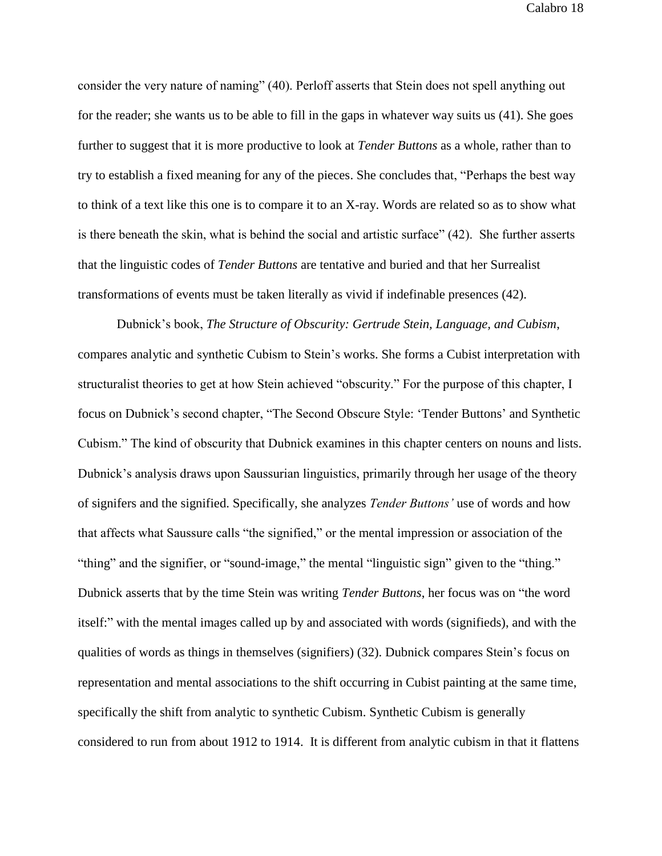consider the very nature of naming" (40). Perloff asserts that Stein does not spell anything out for the reader; she wants us to be able to fill in the gaps in whatever way suits us (41). She goes further to suggest that it is more productive to look at *Tender Buttons* as a whole, rather than to try to establish a fixed meaning for any of the pieces. She concludes that, "Perhaps the best way to think of a text like this one is to compare it to an X-ray. Words are related so as to show what is there beneath the skin, what is behind the social and artistic surface" (42). She further asserts that the linguistic codes of *Tender Buttons* are tentative and buried and that her Surrealist transformations of events must be taken literally as vivid if indefinable presences (42).

Dubnick's book, *The Structure of Obscurity: Gertrude Stein, Language, and Cubism*, compares analytic and synthetic Cubism to Stein's works. She forms a Cubist interpretation with structuralist theories to get at how Stein achieved "obscurity." For the purpose of this chapter, I focus on Dubnick's second chapter, "The Second Obscure Style: 'Tender Buttons' and Synthetic Cubism." The kind of obscurity that Dubnick examines in this chapter centers on nouns and lists. Dubnick's analysis draws upon Saussurian linguistics, primarily through her usage of the theory of signifers and the signified. Specifically, she analyzes *Tender Buttons'* use of words and how that affects what Saussure calls "the signified," or the mental impression or association of the "thing" and the signifier, or "sound-image," the mental "linguistic sign" given to the "thing." Dubnick asserts that by the time Stein was writing *Tender Buttons*, her focus was on "the word itself:" with the mental images called up by and associated with words (signifieds), and with the qualities of words as things in themselves (signifiers) (32). Dubnick compares Stein's focus on representation and mental associations to the shift occurring in Cubist painting at the same time, specifically the shift from analytic to synthetic Cubism. Synthetic Cubism is generally considered to run from about 1912 to 1914. It is different from analytic cubism in that it flattens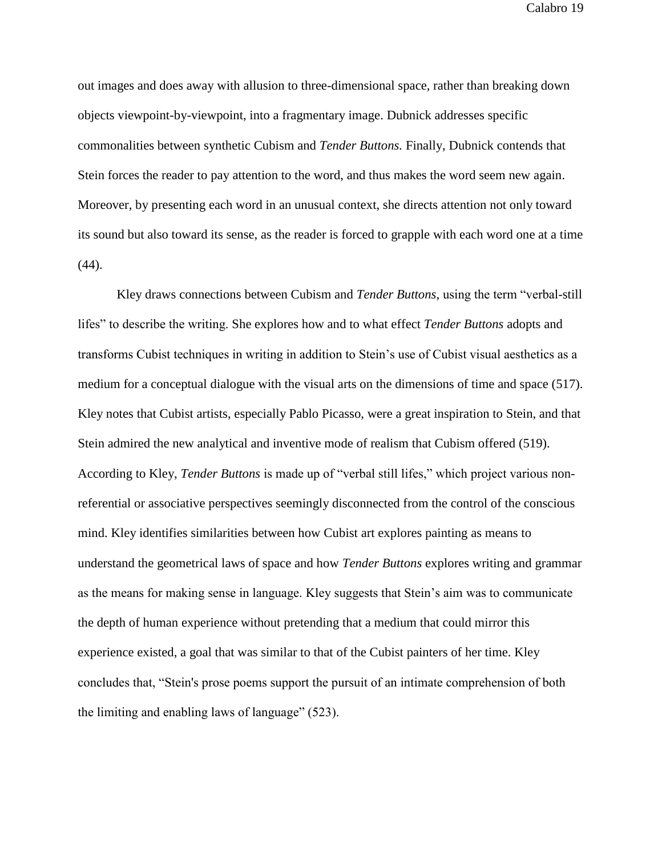out images and does away with allusion to three-dimensional space, rather than breaking down objects viewpoint-by-viewpoint, into a fragmentary image. Dubnick addresses specific commonalities between synthetic Cubism and *Tender Buttons.* Finally, Dubnick contends that Stein forces the reader to pay attention to the word, and thus makes the word seem new again. Moreover, by presenting each word in an unusual context, she directs attention not only toward its sound but also toward its sense, as the reader is forced to grapple with each word one at a time  $(44)$ .

Kley draws connections between Cubism and *Tender Buttons,* using the term "verbal-still lifes" to describe the writing. She explores how and to what effect *Tender Buttons* adopts and transforms Cubist techniques in writing in addition to Stein's use of Cubist visual aesthetics as a medium for a conceptual dialogue with the visual arts on the dimensions of time and space (517). Kley notes that Cubist artists, especially Pablo Picasso, were a great inspiration to Stein, and that Stein admired the new analytical and inventive mode of realism that Cubism offered (519). According to Kley, *Tender Buttons* is made up of "verbal still lifes," which project various nonreferential or associative perspectives seemingly disconnected from the control of the conscious mind. Kley identifies similarities between how Cubist art explores painting as means to understand the geometrical laws of space and how *Tender Buttons* explores writing and grammar as the means for making sense in language. Kley suggests that Stein's aim was to communicate the depth of human experience without pretending that a medium that could mirror this experience existed, a goal that was similar to that of the Cubist painters of her time. Kley concludes that, "Stein's prose poems support the pursuit of an intimate comprehension of both the limiting and enabling laws of language" (523).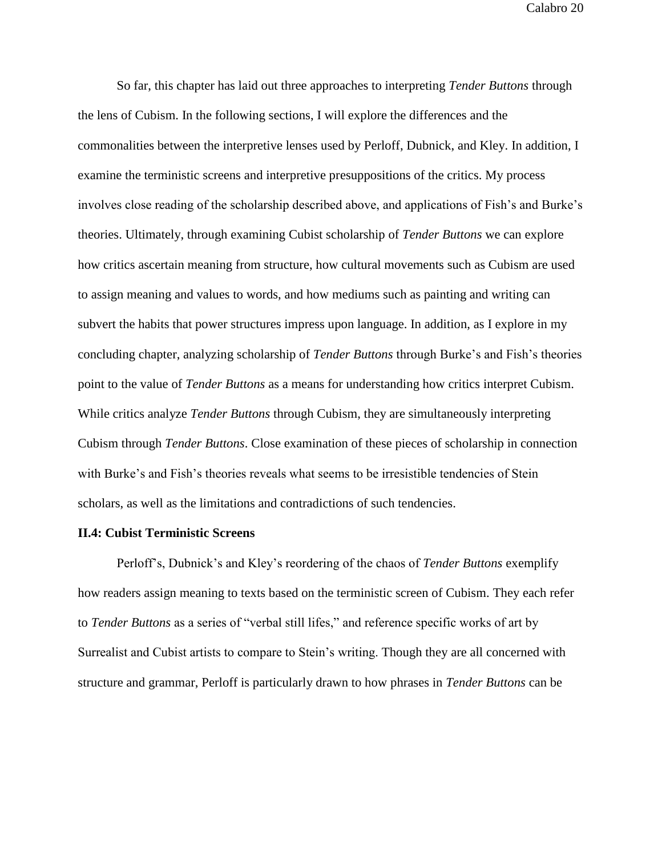So far, this chapter has laid out three approaches to interpreting *Tender Buttons* through the lens of Cubism. In the following sections, I will explore the differences and the commonalities between the interpretive lenses used by Perloff, Dubnick, and Kley. In addition, I examine the terministic screens and interpretive presuppositions of the critics. My process involves close reading of the scholarship described above, and applications of Fish's and Burke's theories. Ultimately, through examining Cubist scholarship of *Tender Buttons* we can explore how critics ascertain meaning from structure, how cultural movements such as Cubism are used to assign meaning and values to words, and how mediums such as painting and writing can subvert the habits that power structures impress upon language. In addition, as I explore in my concluding chapter, analyzing scholarship of *Tender Buttons* through Burke's and Fish's theories point to the value of *Tender Buttons* as a means for understanding how critics interpret Cubism. While critics analyze *Tender Buttons* through Cubism, they are simultaneously interpreting Cubism through *Tender Buttons*. Close examination of these pieces of scholarship in connection with Burke's and Fish's theories reveals what seems to be irresistible tendencies of Stein scholars, as well as the limitations and contradictions of such tendencies.

## **II.4: Cubist Terministic Screens**

Perloff's, Dubnick's and Kley's reordering of the chaos of *Tender Buttons* exemplify how readers assign meaning to texts based on the terministic screen of Cubism. They each refer to *Tender Buttons* as a series of "verbal still lifes," and reference specific works of art by Surrealist and Cubist artists to compare to Stein's writing. Though they are all concerned with structure and grammar, Perloff is particularly drawn to how phrases in *Tender Buttons* can be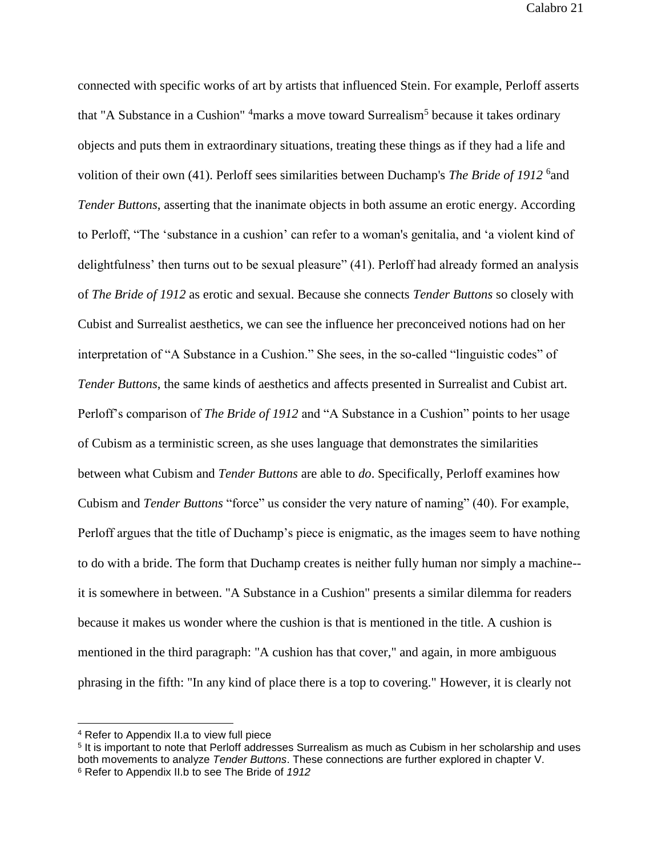connected with specific works of art by artists that influenced Stein. For example, Perloff asserts that "A Substance in a Cushion" <sup>4</sup>marks a move toward Surrealism<sup>5</sup> because it takes ordinary objects and puts them in extraordinary situations, treating these things as if they had a life and volition of their own (41). Perloff sees similarities between Duchamp's *The Bride of 1912* <sup>6</sup> and *Tender Buttons*, asserting that the inanimate objects in both assume an erotic energy. According to Perloff, "The 'substance in a cushion' can refer to a woman's genitalia, and 'a violent kind of delightfulness' then turns out to be sexual pleasure" (41). Perloff had already formed an analysis of *The Bride of 1912* as erotic and sexual. Because she connects *Tender Buttons* so closely with Cubist and Surrealist aesthetics, we can see the influence her preconceived notions had on her interpretation of "A Substance in a Cushion." She sees, in the so-called "linguistic codes" of *Tender Buttons*, the same kinds of aesthetics and affects presented in Surrealist and Cubist art. Perloff's comparison of *The Bride of 1912* and "A Substance in a Cushion" points to her usage of Cubism as a terministic screen, as she uses language that demonstrates the similarities between what Cubism and *Tender Buttons* are able to *do*. Specifically, Perloff examines how Cubism and *Tender Buttons* "force" us consider the very nature of naming" (40). For example, Perloff argues that the title of Duchamp's piece is enigmatic, as the images seem to have nothing to do with a bride. The form that Duchamp creates is neither fully human nor simply a machine- it is somewhere in between. "A Substance in a Cushion" presents a similar dilemma for readers because it makes us wonder where the cushion is that is mentioned in the title. A cushion is mentioned in the third paragraph: "A cushion has that cover," and again, in more ambiguous phrasing in the fifth: "In any kind of place there is a top to covering." However, it is clearly not

<sup>4</sup> Refer to Appendix II.a to view full piece

<sup>&</sup>lt;sup>5</sup> It is important to note that Perloff addresses Surrealism as much as Cubism in her scholarship and uses both movements to analyze *Tender Buttons*. These connections are further explored in chapter V. <sup>6</sup> Refer to Appendix II.b to see The Bride of *1912*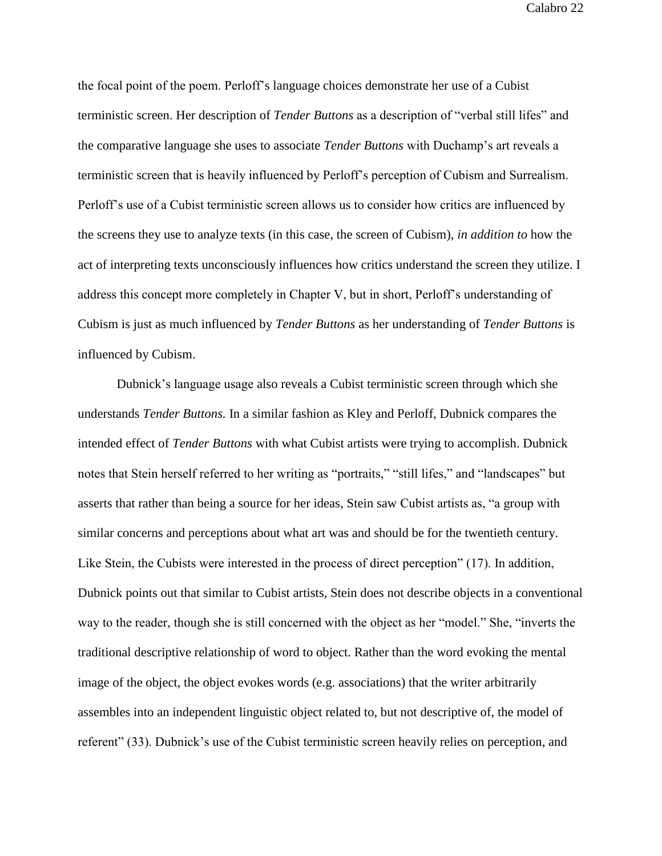the focal point of the poem. Perloff's language choices demonstrate her use of a Cubist terministic screen. Her description of *Tender Buttons* as a description of "verbal still lifes" and the comparative language she uses to associate *Tender Buttons* with Duchamp's art reveals a terministic screen that is heavily influenced by Perloff's perception of Cubism and Surrealism. Perloff's use of a Cubist terministic screen allows us to consider how critics are influenced by the screens they use to analyze texts (in this case, the screen of Cubism), *in addition to* how the act of interpreting texts unconsciously influences how critics understand the screen they utilize. I address this concept more completely in Chapter V, but in short, Perloff's understanding of Cubism is just as much influenced by *Tender Buttons* as her understanding of *Tender Buttons* is influenced by Cubism.

Dubnick's language usage also reveals a Cubist terministic screen through which she understands *Tender Buttons.* In a similar fashion as Kley and Perloff, Dubnick compares the intended effect of *Tender Buttons* with what Cubist artists were trying to accomplish. Dubnick notes that Stein herself referred to her writing as "portraits," "still lifes," and "landscapes" but asserts that rather than being a source for her ideas, Stein saw Cubist artists as, "a group with similar concerns and perceptions about what art was and should be for the twentieth century. Like Stein, the Cubists were interested in the process of direct perception" (17). In addition, Dubnick points out that similar to Cubist artists, Stein does not describe objects in a conventional way to the reader, though she is still concerned with the object as her "model." She, "inverts the traditional descriptive relationship of word to object. Rather than the word evoking the mental image of the object, the object evokes words (e.g. associations) that the writer arbitrarily assembles into an independent linguistic object related to, but not descriptive of, the model of referent" (33). Dubnick's use of the Cubist terministic screen heavily relies on perception, and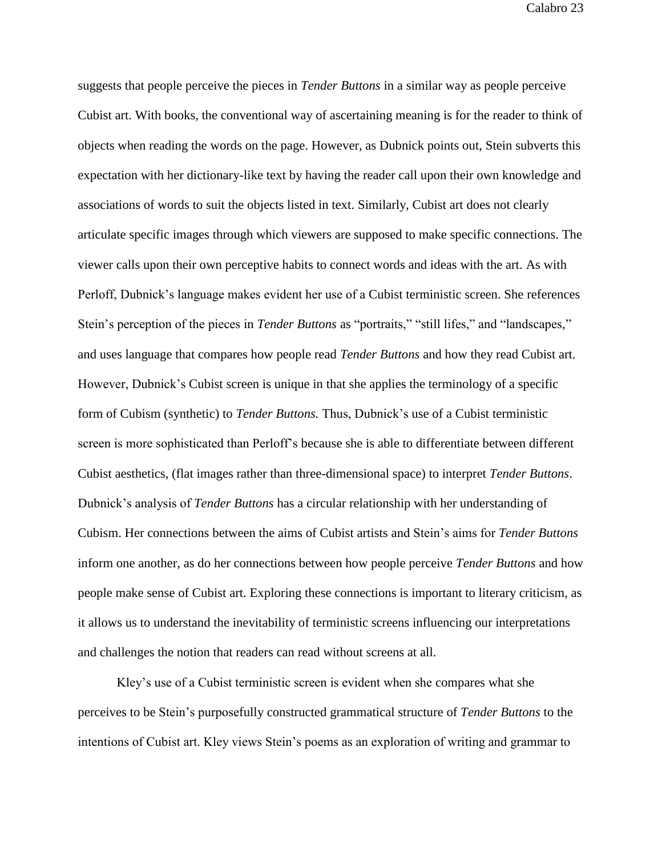suggests that people perceive the pieces in *Tender Buttons* in a similar way as people perceive Cubist art. With books, the conventional way of ascertaining meaning is for the reader to think of objects when reading the words on the page. However, as Dubnick points out, Stein subverts this expectation with her dictionary-like text by having the reader call upon their own knowledge and associations of words to suit the objects listed in text. Similarly, Cubist art does not clearly articulate specific images through which viewers are supposed to make specific connections. The viewer calls upon their own perceptive habits to connect words and ideas with the art. As with Perloff, Dubnick's language makes evident her use of a Cubist terministic screen. She references Stein's perception of the pieces in *Tender Buttons* as "portraits," "still lifes," and "landscapes," and uses language that compares how people read *Tender Buttons* and how they read Cubist art. However, Dubnick's Cubist screen is unique in that she applies the terminology of a specific form of Cubism (synthetic) to *Tender Buttons.* Thus, Dubnick's use of a Cubist terministic screen is more sophisticated than Perloff's because she is able to differentiate between different Cubist aesthetics, (flat images rather than three-dimensional space) to interpret *Tender Buttons*. Dubnick's analysis of *Tender Buttons* has a circular relationship with her understanding of Cubism. Her connections between the aims of Cubist artists and Stein's aims for *Tender Buttons* inform one another, as do her connections between how people perceive *Tender Buttons* and how people make sense of Cubist art. Exploring these connections is important to literary criticism, as it allows us to understand the inevitability of terministic screens influencing our interpretations and challenges the notion that readers can read without screens at all.

Kley's use of a Cubist terministic screen is evident when she compares what she perceives to be Stein's purposefully constructed grammatical structure of *Tender Buttons* to the intentions of Cubist art. Kley views Stein's poems as an exploration of writing and grammar to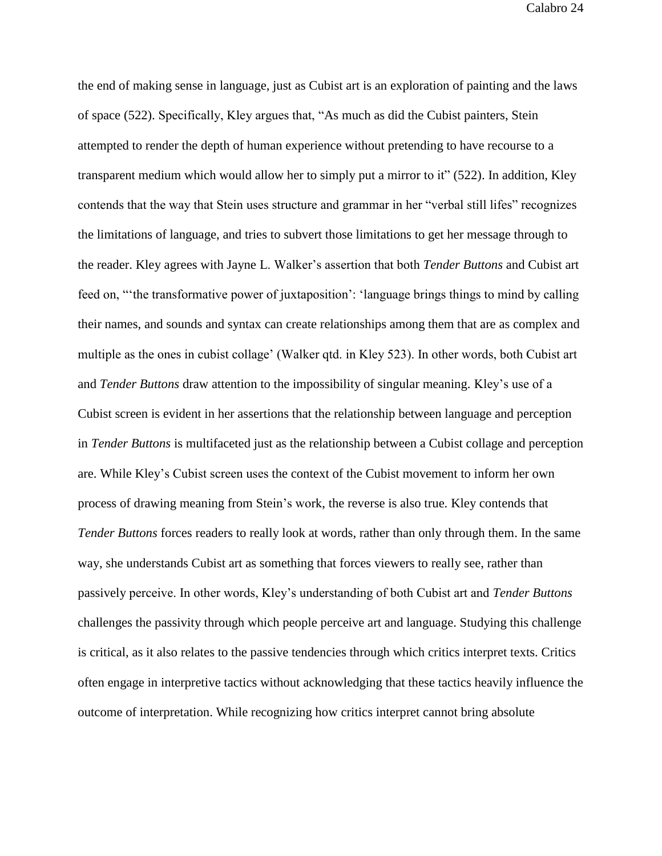the end of making sense in language, just as Cubist art is an exploration of painting and the laws of space (522). Specifically, Kley argues that, "As much as did the Cubist painters, Stein attempted to render the depth of human experience without pretending to have recourse to a transparent medium which would allow her to simply put a mirror to it" (522). In addition, Kley contends that the way that Stein uses structure and grammar in her "verbal still lifes" recognizes the limitations of language, and tries to subvert those limitations to get her message through to the reader. Kley agrees with Jayne L. Walker's assertion that both *Tender Buttons* and Cubist art feed on, "'the transformative power of juxtaposition': 'language brings things to mind by calling their names, and sounds and syntax can create relationships among them that are as complex and multiple as the ones in cubist collage' (Walker qtd. in Kley 523). In other words, both Cubist art and *Tender Buttons* draw attention to the impossibility of singular meaning. Kley's use of a Cubist screen is evident in her assertions that the relationship between language and perception in *Tender Buttons* is multifaceted just as the relationship between a Cubist collage and perception are. While Kley's Cubist screen uses the context of the Cubist movement to inform her own process of drawing meaning from Stein's work, the reverse is also true. Kley contends that *Tender Buttons* forces readers to really look at words, rather than only through them. In the same way, she understands Cubist art as something that forces viewers to really see, rather than passively perceive. In other words, Kley's understanding of both Cubist art and *Tender Buttons* challenges the passivity through which people perceive art and language. Studying this challenge is critical, as it also relates to the passive tendencies through which critics interpret texts. Critics often engage in interpretive tactics without acknowledging that these tactics heavily influence the outcome of interpretation. While recognizing how critics interpret cannot bring absolute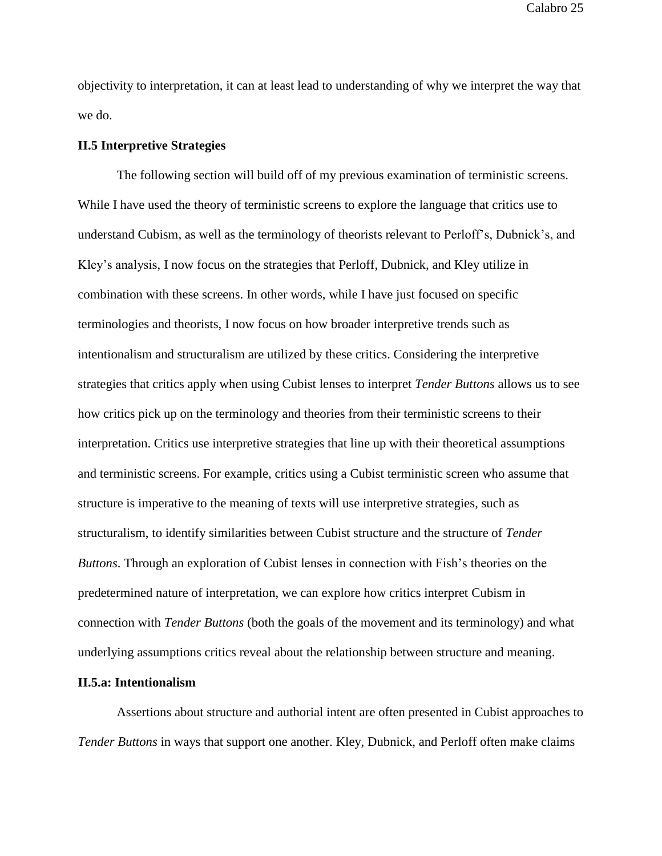objectivity to interpretation, it can at least lead to understanding of why we interpret the way that we do.

### **II.5 Interpretive Strategies**

The following section will build off of my previous examination of terministic screens. While I have used the theory of terministic screens to explore the language that critics use to understand Cubism, as well as the terminology of theorists relevant to Perloff's, Dubnick's, and Kley's analysis, I now focus on the strategies that Perloff, Dubnick, and Kley utilize in combination with these screens. In other words, while I have just focused on specific terminologies and theorists, I now focus on how broader interpretive trends such as intentionalism and structuralism are utilized by these critics. Considering the interpretive strategies that critics apply when using Cubist lenses to interpret *Tender Buttons* allows us to see how critics pick up on the terminology and theories from their terministic screens to their interpretation. Critics use interpretive strategies that line up with their theoretical assumptions and terministic screens. For example, critics using a Cubist terministic screen who assume that structure is imperative to the meaning of texts will use interpretive strategies, such as structuralism, to identify similarities between Cubist structure and the structure of *Tender Buttons*. Through an exploration of Cubist lenses in connection with Fish's theories on the predetermined nature of interpretation, we can explore how critics interpret Cubism in connection with *Tender Buttons* (both the goals of the movement and its terminology) and what underlying assumptions critics reveal about the relationship between structure and meaning.

### **II.5.a: Intentionalism**

Assertions about structure and authorial intent are often presented in Cubist approaches to *Tender Buttons* in ways that support one another. Kley, Dubnick, and Perloff often make claims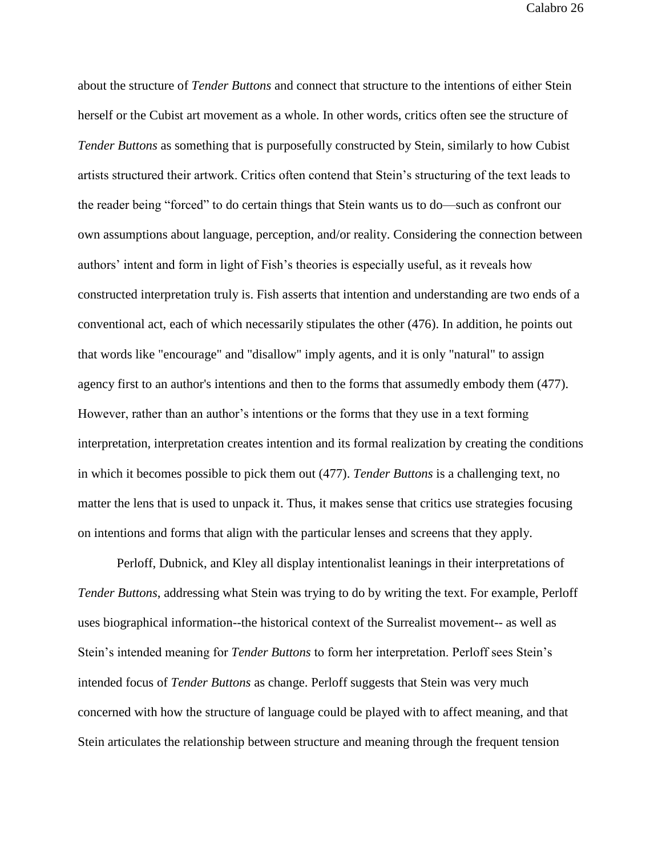about the structure of *Tender Buttons* and connect that structure to the intentions of either Stein herself or the Cubist art movement as a whole. In other words, critics often see the structure of *Tender Buttons* as something that is purposefully constructed by Stein, similarly to how Cubist artists structured their artwork. Critics often contend that Stein's structuring of the text leads to the reader being "forced" to do certain things that Stein wants us to do—such as confront our own assumptions about language, perception, and/or reality. Considering the connection between authors' intent and form in light of Fish's theories is especially useful, as it reveals how constructed interpretation truly is. Fish asserts that intention and understanding are two ends of a conventional act, each of which necessarily stipulates the other (476). In addition, he points out that words like "encourage" and "disallow" imply agents, and it is only "natural" to assign agency first to an author's intentions and then to the forms that assumedly embody them (477). However, rather than an author's intentions or the forms that they use in a text forming interpretation, interpretation creates intention and its formal realization by creating the conditions in which it becomes possible to pick them out (477). *Tender Buttons* is a challenging text, no matter the lens that is used to unpack it. Thus, it makes sense that critics use strategies focusing on intentions and forms that align with the particular lenses and screens that they apply.

 Perloff, Dubnick, and Kley all display intentionalist leanings in their interpretations of *Tender Buttons*, addressing what Stein was trying to do by writing the text. For example, Perloff uses biographical information--the historical context of the Surrealist movement-- as well as Stein's intended meaning for *Tender Buttons* to form her interpretation. Perloff sees Stein's intended focus of *Tender Buttons* as change. Perloff suggests that Stein was very much concerned with how the structure of language could be played with to affect meaning, and that Stein articulates the relationship between structure and meaning through the frequent tension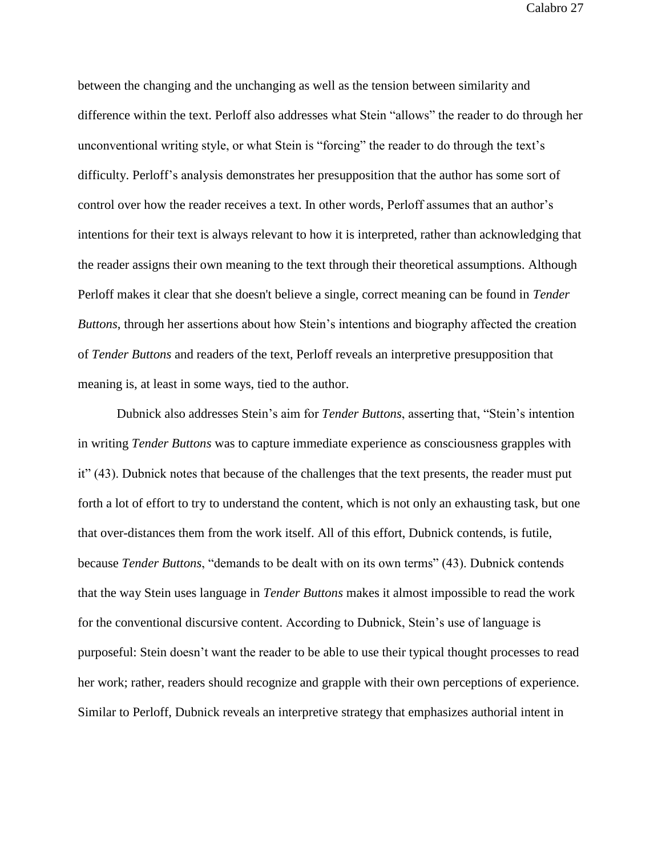between the changing and the unchanging as well as the tension between similarity and difference within the text. Perloff also addresses what Stein "allows" the reader to do through her unconventional writing style, or what Stein is "forcing" the reader to do through the text's difficulty. Perloff's analysis demonstrates her presupposition that the author has some sort of control over how the reader receives a text. In other words, Perloff assumes that an author's intentions for their text is always relevant to how it is interpreted, rather than acknowledging that the reader assigns their own meaning to the text through their theoretical assumptions. Although Perloff makes it clear that she doesn't believe a single, correct meaning can be found in *Tender Buttons*, through her assertions about how Stein's intentions and biography affected the creation of *Tender Buttons* and readers of the text, Perloff reveals an interpretive presupposition that meaning is, at least in some ways, tied to the author.

Dubnick also addresses Stein's aim for *Tender Buttons*, asserting that, "Stein's intention in writing *Tender Buttons* was to capture immediate experience as consciousness grapples with it" (43). Dubnick notes that because of the challenges that the text presents, the reader must put forth a lot of effort to try to understand the content, which is not only an exhausting task, but one that over-distances them from the work itself. All of this effort, Dubnick contends, is futile, because *Tender Buttons*, "demands to be dealt with on its own terms" (43). Dubnick contends that the way Stein uses language in *Tender Buttons* makes it almost impossible to read the work for the conventional discursive content. According to Dubnick, Stein's use of language is purposeful: Stein doesn't want the reader to be able to use their typical thought processes to read her work; rather, readers should recognize and grapple with their own perceptions of experience. Similar to Perloff, Dubnick reveals an interpretive strategy that emphasizes authorial intent in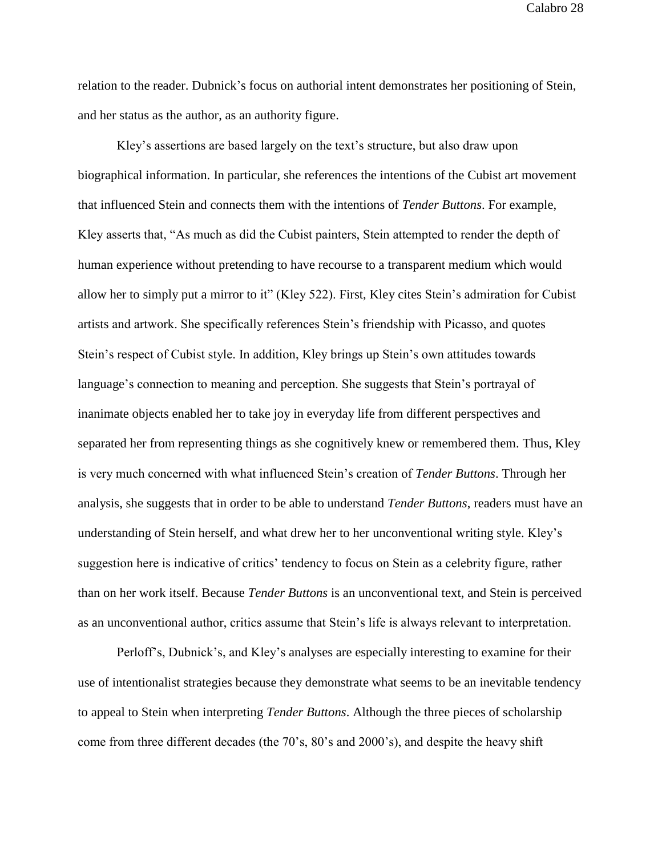relation to the reader. Dubnick's focus on authorial intent demonstrates her positioning of Stein, and her status as the author, as an authority figure.

Kley's assertions are based largely on the text's structure, but also draw upon biographical information. In particular, she references the intentions of the Cubist art movement that influenced Stein and connects them with the intentions of *Tender Buttons*. For example, Kley asserts that, "As much as did the Cubist painters, Stein attempted to render the depth of human experience without pretending to have recourse to a transparent medium which would allow her to simply put a mirror to it" (Kley 522). First, Kley cites Stein's admiration for Cubist artists and artwork. She specifically references Stein's friendship with Picasso, and quotes Stein's respect of Cubist style. In addition, Kley brings up Stein's own attitudes towards language's connection to meaning and perception. She suggests that Stein's portrayal of inanimate objects enabled her to take joy in everyday life from different perspectives and separated her from representing things as she cognitively knew or remembered them. Thus, Kley is very much concerned with what influenced Stein's creation of *Tender Buttons*. Through her analysis, she suggests that in order to be able to understand *Tender Buttons*, readers must have an understanding of Stein herself, and what drew her to her unconventional writing style. Kley's suggestion here is indicative of critics' tendency to focus on Stein as a celebrity figure, rather than on her work itself. Because *Tender Buttons* is an unconventional text, and Stein is perceived as an unconventional author, critics assume that Stein's life is always relevant to interpretation.

Perloff's, Dubnick's, and Kley's analyses are especially interesting to examine for their use of intentionalist strategies because they demonstrate what seems to be an inevitable tendency to appeal to Stein when interpreting *Tender Buttons*. Although the three pieces of scholarship come from three different decades (the 70's, 80's and 2000's), and despite the heavy shift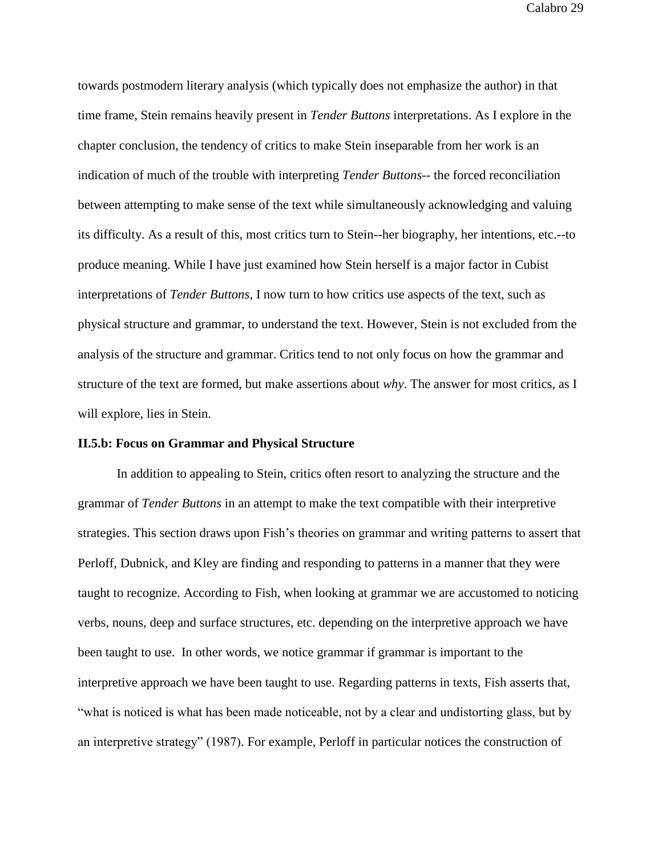towards postmodern literary analysis (which typically does not emphasize the author) in that time frame, Stein remains heavily present in *Tender Buttons* interpretations. As I explore in the chapter conclusion, the tendency of critics to make Stein inseparable from her work is an indication of much of the trouble with interpreting *Tender Buttons*-- the forced reconciliation between attempting to make sense of the text while simultaneously acknowledging and valuing its difficulty. As a result of this, most critics turn to Stein--her biography, her intentions, etc.--to produce meaning. While I have just examined how Stein herself is a major factor in Cubist interpretations of *Tender Buttons*, I now turn to how critics use aspects of the text, such as physical structure and grammar, to understand the text. However, Stein is not excluded from the analysis of the structure and grammar. Critics tend to not only focus on how the grammar and structure of the text are formed, but make assertions about *why*. The answer for most critics, as I will explore, lies in Stein.

### **II.5.b: Focus on Grammar and Physical Structure**

In addition to appealing to Stein, critics often resort to analyzing the structure and the grammar of *Tender Buttons* in an attempt to make the text compatible with their interpretive strategies. This section draws upon Fish's theories on grammar and writing patterns to assert that Perloff, Dubnick, and Kley are finding and responding to patterns in a manner that they were taught to recognize. According to Fish, when looking at grammar we are accustomed to noticing verbs, nouns, deep and surface structures, etc. depending on the interpretive approach we have been taught to use. In other words, we notice grammar if grammar is important to the interpretive approach we have been taught to use. Regarding patterns in texts, Fish asserts that, "what is noticed is what has been made noticeable, not by a clear and undistorting glass, but by an interpretive strategy" (1987). For example, Perloff in particular notices the construction of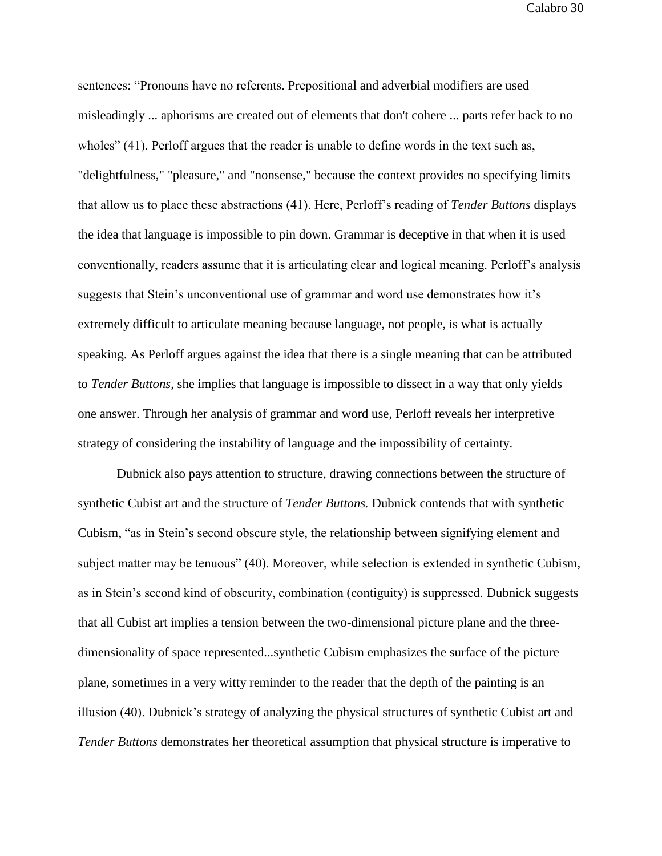sentences: "Pronouns have no referents. Prepositional and adverbial modifiers are used misleadingly ... aphorisms are created out of elements that don't cohere ... parts refer back to no wholes" (41). Perloff argues that the reader is unable to define words in the text such as, "delightfulness," "pleasure," and "nonsense," because the context provides no specifying limits that allow us to place these abstractions (41). Here, Perloff's reading of *Tender Buttons* displays the idea that language is impossible to pin down. Grammar is deceptive in that when it is used conventionally, readers assume that it is articulating clear and logical meaning. Perloff's analysis suggests that Stein's unconventional use of grammar and word use demonstrates how it's extremely difficult to articulate meaning because language, not people, is what is actually speaking. As Perloff argues against the idea that there is a single meaning that can be attributed to *Tender Buttons*, she implies that language is impossible to dissect in a way that only yields one answer. Through her analysis of grammar and word use, Perloff reveals her interpretive strategy of considering the instability of language and the impossibility of certainty.

Dubnick also pays attention to structure, drawing connections between the structure of synthetic Cubist art and the structure of *Tender Buttons.* Dubnick contends that with synthetic Cubism, "as in Stein's second obscure style, the relationship between signifying element and subject matter may be tenuous" (40). Moreover, while selection is extended in synthetic Cubism, as in Stein's second kind of obscurity, combination (contiguity) is suppressed. Dubnick suggests that all Cubist art implies a tension between the two-dimensional picture plane and the threedimensionality of space represented...synthetic Cubism emphasizes the surface of the picture plane, sometimes in a very witty reminder to the reader that the depth of the painting is an illusion (40). Dubnick's strategy of analyzing the physical structures of synthetic Cubist art and *Tender Buttons* demonstrates her theoretical assumption that physical structure is imperative to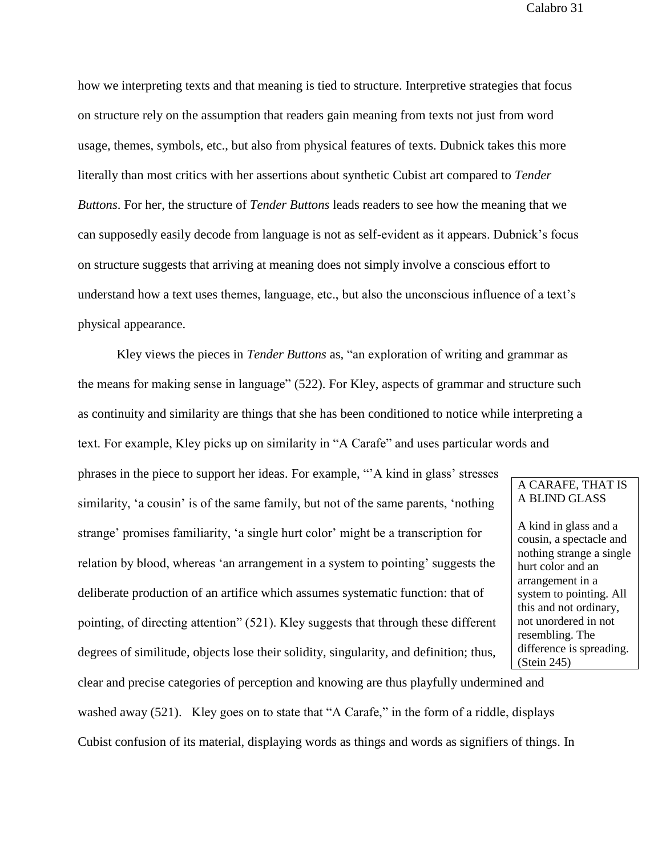how we interpreting texts and that meaning is tied to structure. Interpretive strategies that focus on structure rely on the assumption that readers gain meaning from texts not just from word usage, themes, symbols, etc., but also from physical features of texts. Dubnick takes this more literally than most critics with her assertions about synthetic Cubist art compared to *Tender Buttons*. For her, the structure of *Tender Buttons* leads readers to see how the meaning that we can supposedly easily decode from language is not as self-evident as it appears. Dubnick's focus on structure suggests that arriving at meaning does not simply involve a conscious effort to understand how a text uses themes, language, etc., but also the unconscious influence of a text's physical appearance.

Kley views the pieces in *Tender Buttons* as*,* "an exploration of writing and grammar as the means for making sense in language" (522). For Kley, aspects of grammar and structure such as continuity and similarity are things that she has been conditioned to notice while interpreting a text. For example, Kley picks up on similarity in "A Carafe" and uses particular words and

phrases in the piece to support her ideas. For example, "'A kind in glass' stresses similarity, 'a cousin' is of the same family, but not of the same parents, 'nothing strange' promises familiarity, 'a single hurt color' might be a transcription for relation by blood, whereas 'an arrangement in a system to pointing' suggests the deliberate production of an artifice which assumes systematic function: that of pointing, of directing attention" (521). Kley suggests that through these different degrees of similitude, objects lose their solidity, singularity, and definition; thus,

# A CARAFE, THAT IS A BLIND GLASS

A kind in glass and a cousin, a spectacle and nothing strange a single hurt color and an arrangement in a system to pointing. All this and not ordinary, not unordered in not resembling. The difference is spreading. (Stein 245)

clear and precise categories of perception and knowing are thus playfully undermined and washed away (521). Kley goes on to state that "A Carafe," in the form of a riddle, displays Cubist confusion of its material, displaying words as things and words as signifiers of things. In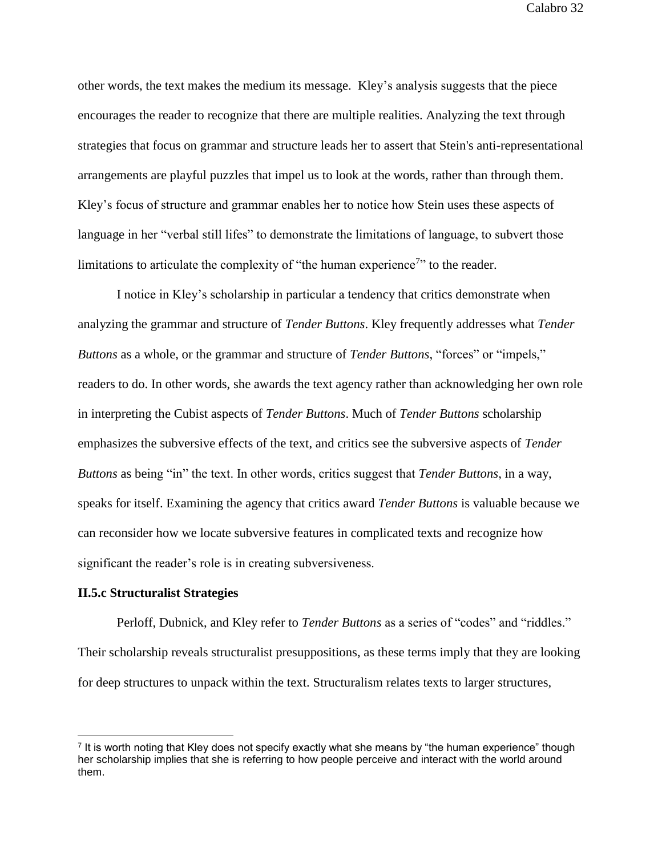other words, the text makes the medium its message. Kley's analysis suggests that the piece encourages the reader to recognize that there are multiple realities. Analyzing the text through strategies that focus on grammar and structure leads her to assert that Stein's anti-representational arrangements are playful puzzles that impel us to look at the words, rather than through them. Kley's focus of structure and grammar enables her to notice how Stein uses these aspects of language in her "verbal still lifes" to demonstrate the limitations of language, to subvert those limitations to articulate the complexity of "the human experience<sup>7</sup>" to the reader.

I notice in Kley's scholarship in particular a tendency that critics demonstrate when analyzing the grammar and structure of *Tender Buttons*. Kley frequently addresses what *Tender Buttons* as a whole, or the grammar and structure of *Tender Buttons*, "forces" or "impels," readers to do. In other words, she awards the text agency rather than acknowledging her own role in interpreting the Cubist aspects of *Tender Buttons*. Much of *Tender Buttons* scholarship emphasizes the subversive effects of the text, and critics see the subversive aspects of *Tender Buttons* as being "in" the text. In other words, critics suggest that *Tender Buttons*, in a way, speaks for itself. Examining the agency that critics award *Tender Buttons* is valuable because we can reconsider how we locate subversive features in complicated texts and recognize how significant the reader's role is in creating subversiveness.

#### **II.5.c Structuralist Strategies**

Perloff, Dubnick, and Kley refer to *Tender Buttons* as a series of "codes" and "riddles." Their scholarship reveals structuralist presuppositions, as these terms imply that they are looking for deep structures to unpack within the text. Structuralism relates texts to larger structures,

<sup>7</sup> It is worth noting that Kley does not specify exactly what she means by "the human experience" though her scholarship implies that she is referring to how people perceive and interact with the world around them.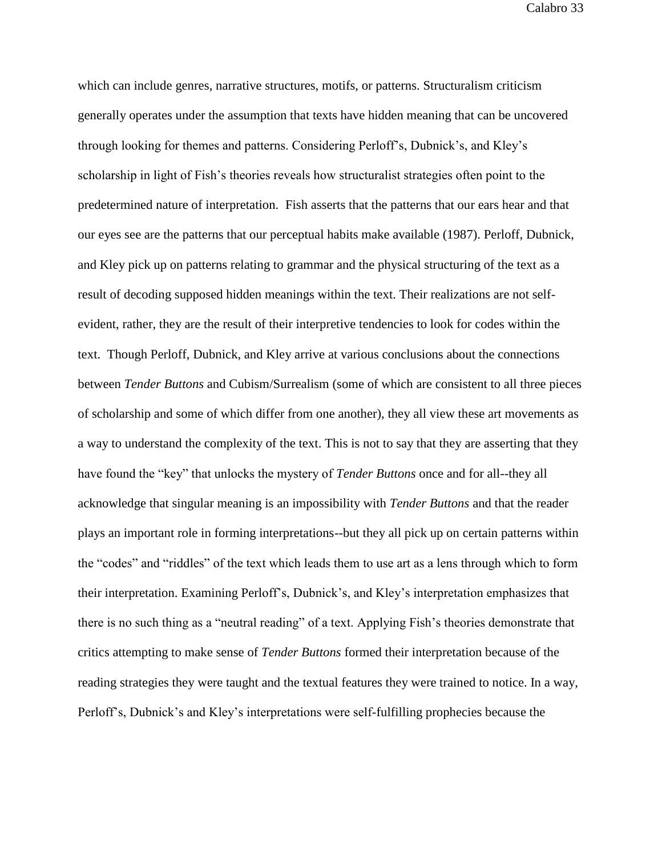which can include genres, narrative structures, motifs, or patterns. Structuralism criticism generally operates under the assumption that texts have hidden meaning that can be uncovered through looking for themes and patterns. Considering Perloff's, Dubnick's, and Kley's scholarship in light of Fish's theories reveals how structuralist strategies often point to the predetermined nature of interpretation. Fish asserts that the patterns that our ears hear and that our eyes see are the patterns that our perceptual habits make available (1987). Perloff, Dubnick, and Kley pick up on patterns relating to grammar and the physical structuring of the text as a result of decoding supposed hidden meanings within the text. Their realizations are not selfevident, rather, they are the result of their interpretive tendencies to look for codes within the text. Though Perloff, Dubnick, and Kley arrive at various conclusions about the connections between *Tender Buttons* and Cubism/Surrealism (some of which are consistent to all three pieces of scholarship and some of which differ from one another), they all view these art movements as a way to understand the complexity of the text. This is not to say that they are asserting that they have found the "key" that unlocks the mystery of *Tender Buttons* once and for all--they all acknowledge that singular meaning is an impossibility with *Tender Buttons* and that the reader plays an important role in forming interpretations--but they all pick up on certain patterns within the "codes" and "riddles" of the text which leads them to use art as a lens through which to form their interpretation. Examining Perloff's, Dubnick's, and Kley's interpretation emphasizes that there is no such thing as a "neutral reading" of a text. Applying Fish's theories demonstrate that critics attempting to make sense of *Tender Buttons* formed their interpretation because of the reading strategies they were taught and the textual features they were trained to notice. In a way, Perloff's, Dubnick's and Kley's interpretations were self-fulfilling prophecies because the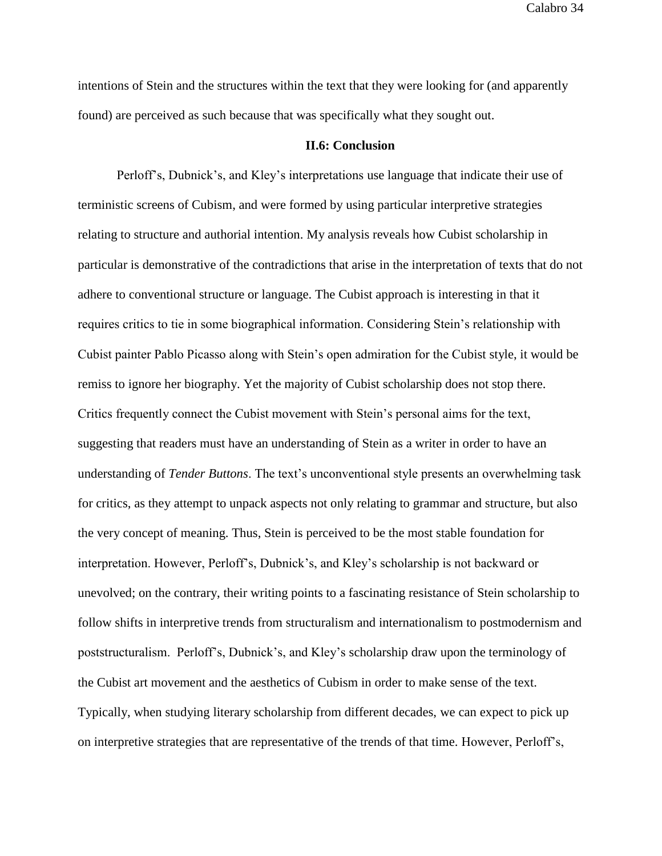intentions of Stein and the structures within the text that they were looking for (and apparently found) are perceived as such because that was specifically what they sought out.

#### **II.6: Conclusion**

Perloff's, Dubnick's, and Kley's interpretations use language that indicate their use of terministic screens of Cubism, and were formed by using particular interpretive strategies relating to structure and authorial intention. My analysis reveals how Cubist scholarship in particular is demonstrative of the contradictions that arise in the interpretation of texts that do not adhere to conventional structure or language. The Cubist approach is interesting in that it requires critics to tie in some biographical information. Considering Stein's relationship with Cubist painter Pablo Picasso along with Stein's open admiration for the Cubist style, it would be remiss to ignore her biography. Yet the majority of Cubist scholarship does not stop there. Critics frequently connect the Cubist movement with Stein's personal aims for the text, suggesting that readers must have an understanding of Stein as a writer in order to have an understanding of *Tender Buttons*. The text's unconventional style presents an overwhelming task for critics, as they attempt to unpack aspects not only relating to grammar and structure, but also the very concept of meaning. Thus, Stein is perceived to be the most stable foundation for interpretation. However, Perloff's, Dubnick's, and Kley's scholarship is not backward or unevolved; on the contrary, their writing points to a fascinating resistance of Stein scholarship to follow shifts in interpretive trends from structuralism and internationalism to postmodernism and poststructuralism. Perloff's, Dubnick's, and Kley's scholarship draw upon the terminology of the Cubist art movement and the aesthetics of Cubism in order to make sense of the text. Typically, when studying literary scholarship from different decades, we can expect to pick up on interpretive strategies that are representative of the trends of that time. However, Perloff's,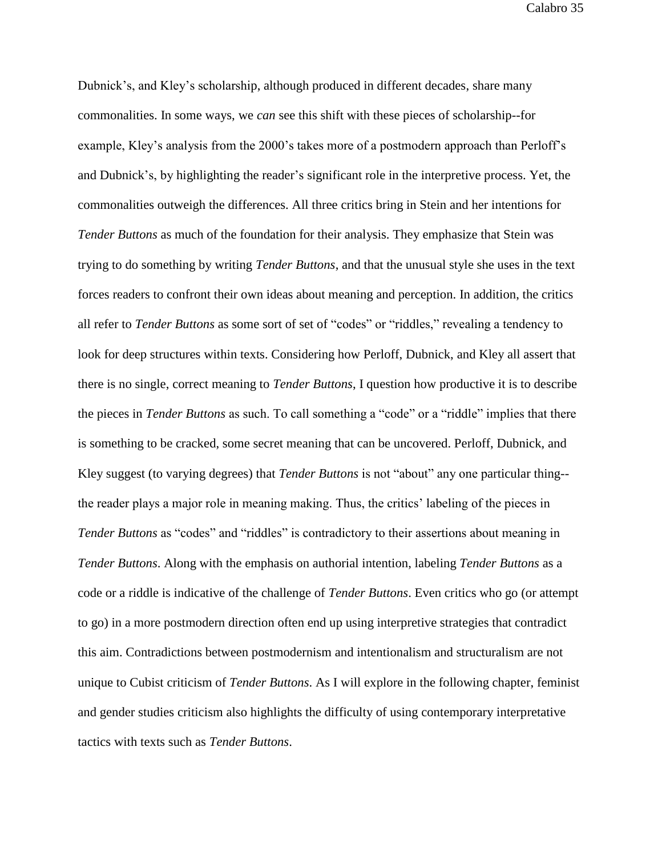Dubnick's, and Kley's scholarship, although produced in different decades, share many commonalities. In some ways, we *can* see this shift with these pieces of scholarship--for example, Kley's analysis from the 2000's takes more of a postmodern approach than Perloff's and Dubnick's, by highlighting the reader's significant role in the interpretive process. Yet, the commonalities outweigh the differences. All three critics bring in Stein and her intentions for *Tender Buttons* as much of the foundation for their analysis. They emphasize that Stein was trying to do something by writing *Tender Buttons*, and that the unusual style she uses in the text forces readers to confront their own ideas about meaning and perception. In addition, the critics all refer to *Tender Buttons* as some sort of set of "codes" or "riddles," revealing a tendency to look for deep structures within texts. Considering how Perloff, Dubnick, and Kley all assert that there is no single, correct meaning to *Tender Buttons*, I question how productive it is to describe the pieces in *Tender Buttons* as such. To call something a "code" or a "riddle" implies that there is something to be cracked, some secret meaning that can be uncovered. Perloff, Dubnick, and Kley suggest (to varying degrees) that *Tender Buttons* is not "about" any one particular thing- the reader plays a major role in meaning making. Thus, the critics' labeling of the pieces in *Tender Buttons* as "codes" and "riddles" is contradictory to their assertions about meaning in *Tender Buttons*. Along with the emphasis on authorial intention, labeling *Tender Buttons* as a code or a riddle is indicative of the challenge of *Tender Buttons*. Even critics who go (or attempt to go) in a more postmodern direction often end up using interpretive strategies that contradict this aim. Contradictions between postmodernism and intentionalism and structuralism are not unique to Cubist criticism of *Tender Buttons*. As I will explore in the following chapter, feminist and gender studies criticism also highlights the difficulty of using contemporary interpretative tactics with texts such as *Tender Buttons*.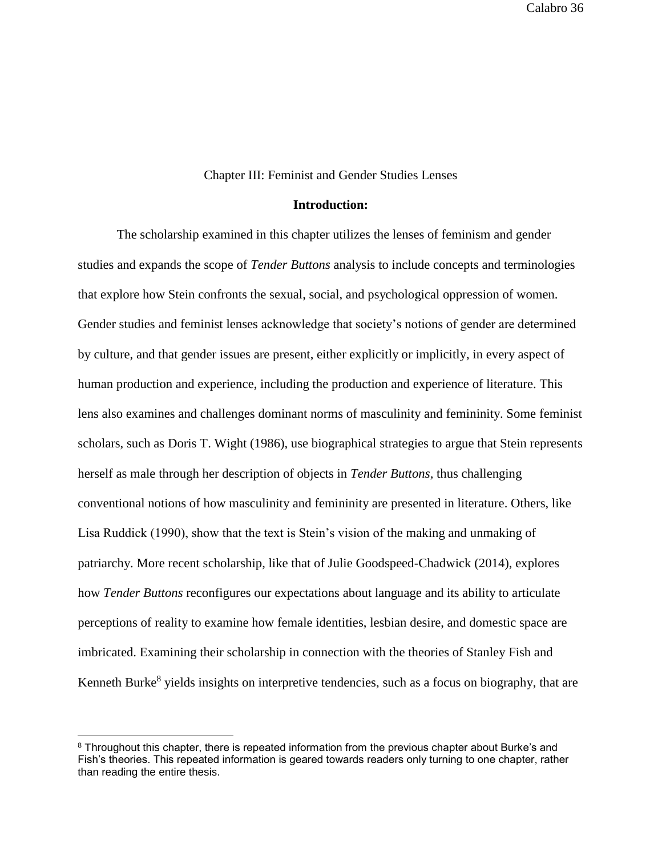### Chapter III: Feminist and Gender Studies Lenses

### **Introduction:**

The scholarship examined in this chapter utilizes the lenses of feminism and gender studies and expands the scope of *Tender Buttons* analysis to include concepts and terminologies that explore how Stein confronts the sexual, social, and psychological oppression of women. Gender studies and feminist lenses acknowledge that society's notions of gender are determined by culture, and that gender issues are present, either explicitly or implicitly, in every aspect of human production and experience, including the production and experience of literature. This lens also examines and challenges dominant norms of masculinity and femininity. Some feminist scholars, such as Doris T. Wight (1986), use biographical strategies to argue that Stein represents herself as male through her description of objects in *Tender Buttons,* thus challenging conventional notions of how masculinity and femininity are presented in literature. Others, like Lisa Ruddick (1990), show that the text is Stein's vision of the making and unmaking of patriarchy. More recent scholarship, like that of Julie Goodspeed-Chadwick (2014), explores how *Tender Buttons* reconfigures our expectations about language and its ability to articulate perceptions of reality to examine how female identities, lesbian desire, and domestic space are imbricated. Examining their scholarship in connection with the theories of Stanley Fish and Kenneth Burke<sup>8</sup> yields insights on interpretive tendencies, such as a focus on biography, that are

<sup>&</sup>lt;sup>8</sup> Throughout this chapter, there is repeated information from the previous chapter about Burke's and Fish's theories. This repeated information is geared towards readers only turning to one chapter, rather than reading the entire thesis.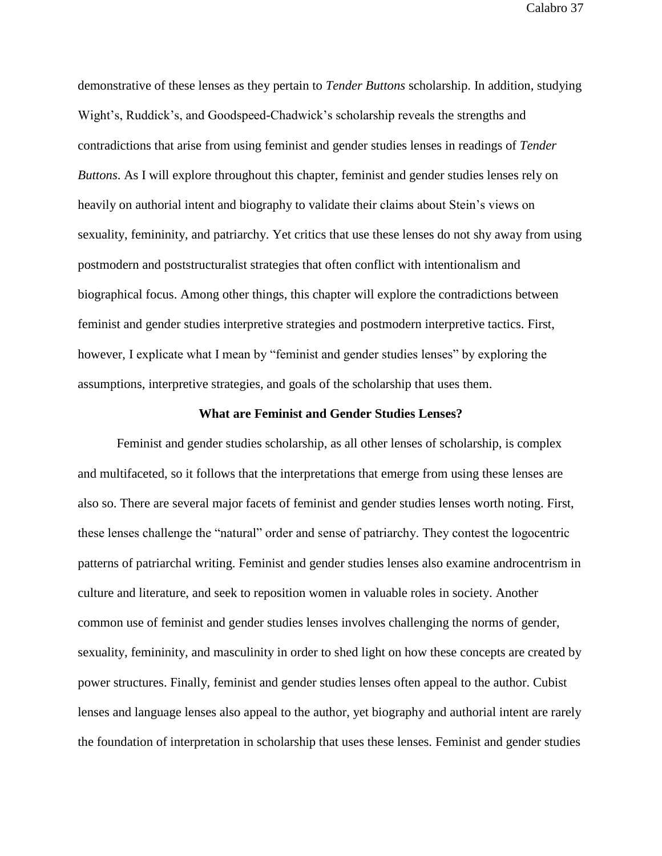demonstrative of these lenses as they pertain to *Tender Buttons* scholarship. In addition, studying Wight's, Ruddick's, and Goodspeed-Chadwick's scholarship reveals the strengths and contradictions that arise from using feminist and gender studies lenses in readings of *Tender Buttons*. As I will explore throughout this chapter, feminist and gender studies lenses rely on heavily on authorial intent and biography to validate their claims about Stein's views on sexuality, femininity, and patriarchy. Yet critics that use these lenses do not shy away from using postmodern and poststructuralist strategies that often conflict with intentionalism and biographical focus. Among other things, this chapter will explore the contradictions between feminist and gender studies interpretive strategies and postmodern interpretive tactics. First, however, I explicate what I mean by "feminist and gender studies lenses" by exploring the assumptions, interpretive strategies, and goals of the scholarship that uses them.

## **What are Feminist and Gender Studies Lenses?**

Feminist and gender studies scholarship, as all other lenses of scholarship, is complex and multifaceted, so it follows that the interpretations that emerge from using these lenses are also so. There are several major facets of feminist and gender studies lenses worth noting. First, these lenses challenge the "natural" order and sense of patriarchy. They contest the logocentric patterns of patriarchal writing. Feminist and gender studies lenses also examine androcentrism in culture and literature, and seek to reposition women in valuable roles in society. Another common use of feminist and gender studies lenses involves challenging the norms of gender, sexuality, femininity, and masculinity in order to shed light on how these concepts are created by power structures. Finally, feminist and gender studies lenses often appeal to the author. Cubist lenses and language lenses also appeal to the author, yet biography and authorial intent are rarely the foundation of interpretation in scholarship that uses these lenses. Feminist and gender studies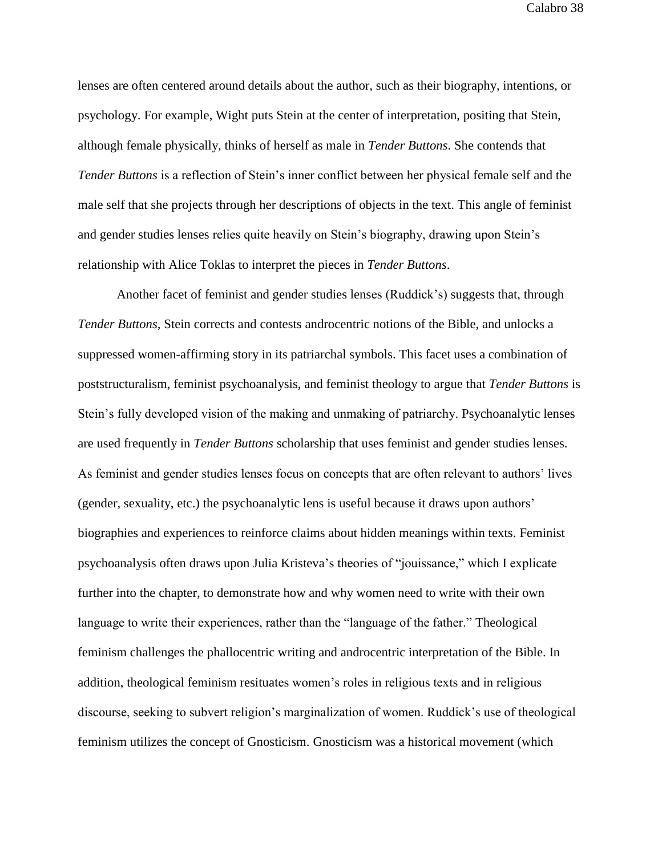lenses are often centered around details about the author, such as their biography, intentions, or psychology. For example, Wight puts Stein at the center of interpretation, positing that Stein, although female physically, thinks of herself as male in *Tender Buttons*. She contends that *Tender Buttons* is a reflection of Stein's inner conflict between her physical female self and the male self that she projects through her descriptions of objects in the text. This angle of feminist and gender studies lenses relies quite heavily on Stein's biography, drawing upon Stein's relationship with Alice Toklas to interpret the pieces in *Tender Buttons*.

Another facet of feminist and gender studies lenses (Ruddick's) suggests that, through *Tender Buttons,* Stein corrects and contests androcentric notions of the Bible, and unlocks a suppressed women-affirming story in its patriarchal symbols. This facet uses a combination of poststructuralism, feminist psychoanalysis, and feminist theology to argue that *Tender Buttons* is Stein's fully developed vision of the making and unmaking of patriarchy. Psychoanalytic lenses are used frequently in *Tender Buttons* scholarship that uses feminist and gender studies lenses. As feminist and gender studies lenses focus on concepts that are often relevant to authors' lives (gender, sexuality, etc.) the psychoanalytic lens is useful because it draws upon authors' biographies and experiences to reinforce claims about hidden meanings within texts. Feminist psychoanalysis often draws upon Julia Kristeva's theories of "jouissance," which I explicate further into the chapter, to demonstrate how and why women need to write with their own language to write their experiences, rather than the "language of the father." Theological feminism challenges the phallocentric writing and androcentric interpretation of the Bible. In addition, theological feminism resituates women's roles in religious texts and in religious discourse, seeking to subvert religion's marginalization of women. Ruddick's use of theological feminism utilizes the concept of Gnosticism. Gnosticism was a historical movement (which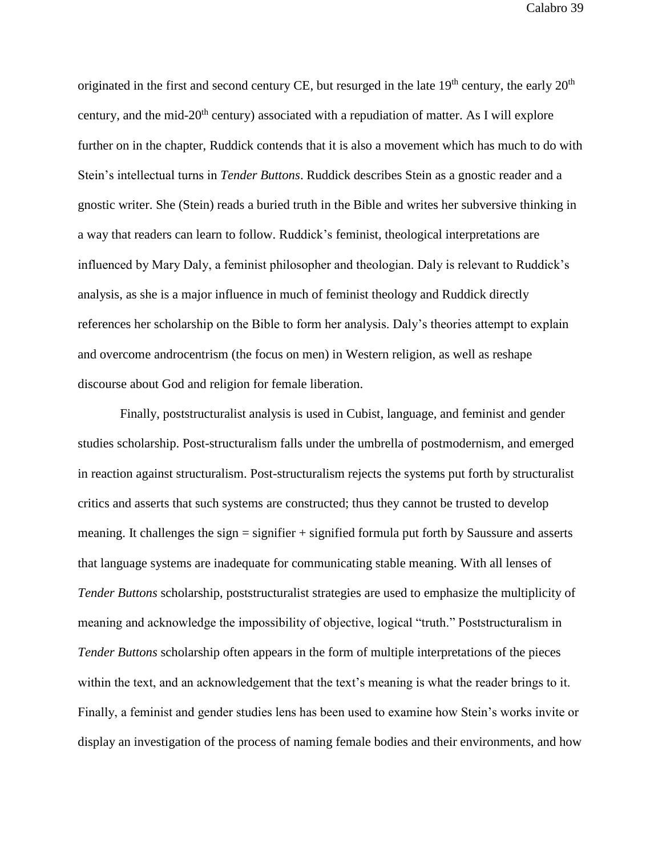originated in the first and second century CE, but resurged in the late  $19<sup>th</sup>$  century, the early  $20<sup>th</sup>$ century, and the mid- $20<sup>th</sup>$  century) associated with a repudiation of matter. As I will explore further on in the chapter, Ruddick contends that it is also a movement which has much to do with Stein's intellectual turns in *Tender Buttons*. Ruddick describes Stein as a gnostic reader and a gnostic writer. She (Stein) reads a buried truth in the Bible and writes her subversive thinking in a way that readers can learn to follow. Ruddick's feminist, theological interpretations are influenced by Mary Daly, a feminist philosopher and theologian. Daly is relevant to Ruddick's analysis, as she is a major influence in much of feminist theology and Ruddick directly references her scholarship on the Bible to form her analysis. Daly's theories attempt to explain and overcome androcentrism (the focus on men) in Western religion, as well as reshape discourse about God and religion for female liberation.

Finally, poststructuralist analysis is used in Cubist, language, and feminist and gender studies scholarship. Post-structuralism falls under the umbrella of postmodernism, and emerged in reaction against structuralism. Post-structuralism rejects the systems put forth by structuralist critics and asserts that such systems are constructed; thus they cannot be trusted to develop meaning. It challenges the sign = signifier + signified formula put forth by Saussure and asserts that language systems are inadequate for communicating stable meaning. With all lenses of *Tender Buttons* scholarship, poststructuralist strategies are used to emphasize the multiplicity of meaning and acknowledge the impossibility of objective, logical "truth." Poststructuralism in *Tender Buttons* scholarship often appears in the form of multiple interpretations of the pieces within the text, and an acknowledgement that the text's meaning is what the reader brings to it. Finally, a feminist and gender studies lens has been used to examine how Stein's works invite or display an investigation of the process of naming female bodies and their environments, and how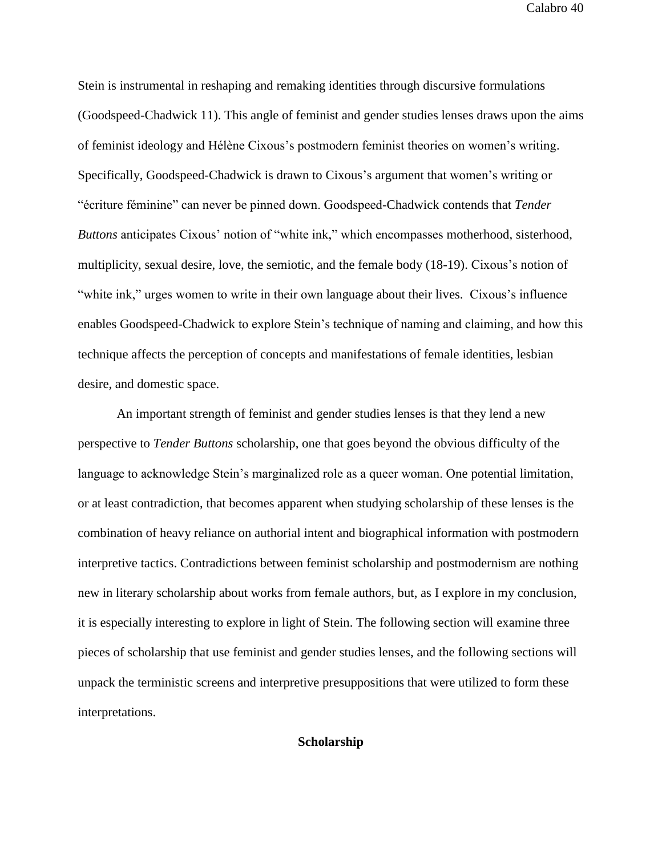Stein is instrumental in reshaping and remaking identities through discursive formulations (Goodspeed-Chadwick 11). This angle of feminist and gender studies lenses draws upon the aims of feminist ideology and Hélène Cixous's postmodern feminist theories on women's writing. Specifically, Goodspeed-Chadwick is drawn to Cixous's argument that women's writing or "écriture féminine" can never be pinned down. Goodspeed-Chadwick contends that *Tender Buttons* anticipates Cixous' notion of "white ink," which encompasses motherhood, sisterhood, multiplicity, sexual desire, love, the semiotic, and the female body (18-19). Cixous's notion of "white ink," urges women to write in their own language about their lives. Cixous's influence enables Goodspeed-Chadwick to explore Stein's technique of naming and claiming, and how this technique affects the perception of concepts and manifestations of female identities, lesbian desire, and domestic space.

An important strength of feminist and gender studies lenses is that they lend a new perspective to *Tender Buttons* scholarship, one that goes beyond the obvious difficulty of the language to acknowledge Stein's marginalized role as a queer woman. One potential limitation, or at least contradiction, that becomes apparent when studying scholarship of these lenses is the combination of heavy reliance on authorial intent and biographical information with postmodern interpretive tactics. Contradictions between feminist scholarship and postmodernism are nothing new in literary scholarship about works from female authors, but, as I explore in my conclusion, it is especially interesting to explore in light of Stein. The following section will examine three pieces of scholarship that use feminist and gender studies lenses, and the following sections will unpack the terministic screens and interpretive presuppositions that were utilized to form these interpretations.

# **Scholarship**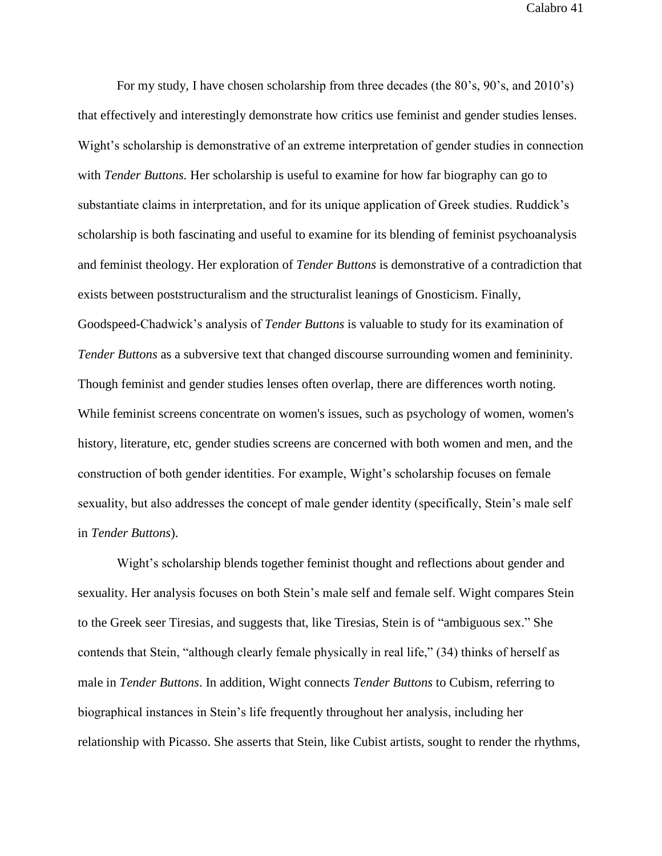For my study, I have chosen scholarship from three decades (the 80's, 90's, and 2010's) that effectively and interestingly demonstrate how critics use feminist and gender studies lenses. Wight's scholarship is demonstrative of an extreme interpretation of gender studies in connection with *Tender Buttons.* Her scholarship is useful to examine for how far biography can go to substantiate claims in interpretation, and for its unique application of Greek studies. Ruddick's scholarship is both fascinating and useful to examine for its blending of feminist psychoanalysis and feminist theology. Her exploration of *Tender Buttons* is demonstrative of a contradiction that exists between poststructuralism and the structuralist leanings of Gnosticism. Finally, Goodspeed-Chadwick's analysis of *Tender Buttons* is valuable to study for its examination of *Tender Buttons* as a subversive text that changed discourse surrounding women and femininity. Though feminist and gender studies lenses often overlap, there are differences worth noting. While feminist screens concentrate on women's issues, such as psychology of women, women's history, literature, etc, gender studies screens are concerned with both women and men, and the construction of both gender identities. For example, Wight's scholarship focuses on female sexuality, but also addresses the concept of male gender identity (specifically, Stein's male self in *Tender Buttons*).

Wight's scholarship blends together feminist thought and reflections about gender and sexuality. Her analysis focuses on both Stein's male self and female self. Wight compares Stein to the Greek seer Tiresias, and suggests that, like Tiresias, Stein is of "ambiguous sex." She contends that Stein, "although clearly female physically in real life," (34) thinks of herself as male in *Tender Buttons*. In addition, Wight connects *Tender Buttons* to Cubism, referring to biographical instances in Stein's life frequently throughout her analysis, including her relationship with Picasso. She asserts that Stein, like Cubist artists, sought to render the rhythms,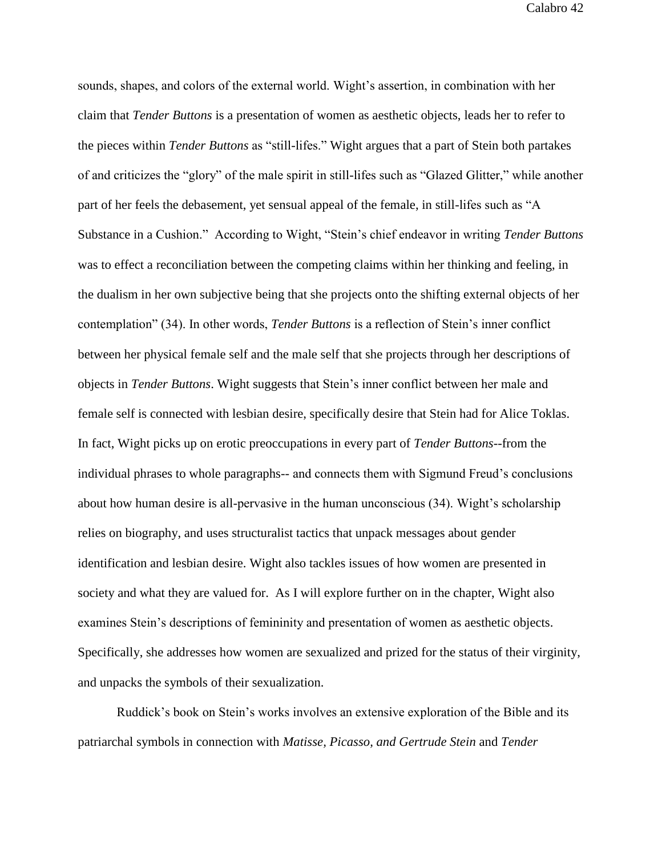sounds, shapes, and colors of the external world. Wight's assertion, in combination with her claim that *Tender Buttons* is a presentation of women as aesthetic objects, leads her to refer to the pieces within *Tender Buttons* as "still-lifes." Wight argues that a part of Stein both partakes of and criticizes the "glory" of the male spirit in still-lifes such as "Glazed Glitter," while another part of her feels the debasement, yet sensual appeal of the female, in still-lifes such as "A Substance in a Cushion." According to Wight, "Stein's chief endeavor in writing *Tender Buttons* was to effect a reconciliation between the competing claims within her thinking and feeling, in the dualism in her own subjective being that she projects onto the shifting external objects of her contemplation" (34). In other words, *Tender Buttons* is a reflection of Stein's inner conflict between her physical female self and the male self that she projects through her descriptions of objects in *Tender Buttons*. Wight suggests that Stein's inner conflict between her male and female self is connected with lesbian desire, specifically desire that Stein had for Alice Toklas. In fact, Wight picks up on erotic preoccupations in every part of *Tender Buttons*--from the individual phrases to whole paragraphs-- and connects them with Sigmund Freud's conclusions about how human desire is all-pervasive in the human unconscious (34). Wight's scholarship relies on biography, and uses structuralist tactics that unpack messages about gender identification and lesbian desire. Wight also tackles issues of how women are presented in society and what they are valued for. As I will explore further on in the chapter, Wight also examines Stein's descriptions of femininity and presentation of women as aesthetic objects. Specifically, she addresses how women are sexualized and prized for the status of their virginity, and unpacks the symbols of their sexualization.

Ruddick's book on Stein's works involves an extensive exploration of the Bible and its patriarchal symbols in connection with *Matisse, Picasso, and Gertrude Stein* and *Tender*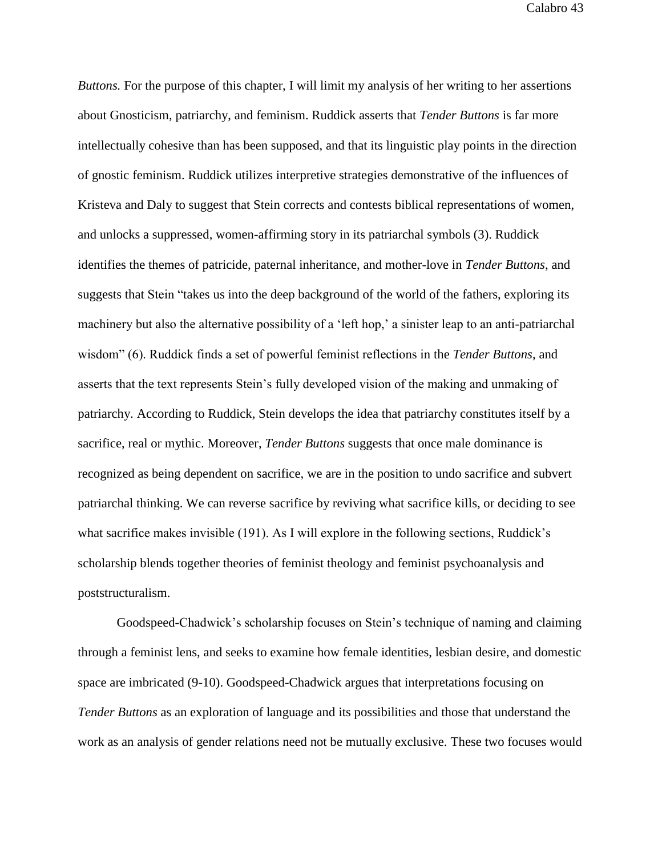*Buttons.* For the purpose of this chapter, I will limit my analysis of her writing to her assertions about Gnosticism, patriarchy, and feminism. Ruddick asserts that *Tender Buttons* is far more intellectually cohesive than has been supposed, and that its linguistic play points in the direction of gnostic feminism. Ruddick utilizes interpretive strategies demonstrative of the influences of Kristeva and Daly to suggest that Stein corrects and contests biblical representations of women, and unlocks a suppressed, women-affirming story in its patriarchal symbols (3). Ruddick identifies the themes of patricide, paternal inheritance, and mother-love in *Tender Buttons*, and suggests that Stein "takes us into the deep background of the world of the fathers, exploring its machinery but also the alternative possibility of a 'left hop,' a sinister leap to an anti-patriarchal wisdom" (6). Ruddick finds a set of powerful feminist reflections in the *Tender Buttons*, and asserts that the text represents Stein's fully developed vision of the making and unmaking of patriarchy. According to Ruddick, Stein develops the idea that patriarchy constitutes itself by a sacrifice, real or mythic. Moreover, *Tender Buttons* suggests that once male dominance is recognized as being dependent on sacrifice, we are in the position to undo sacrifice and subvert patriarchal thinking. We can reverse sacrifice by reviving what sacrifice kills, or deciding to see what sacrifice makes invisible (191). As I will explore in the following sections, Ruddick's scholarship blends together theories of feminist theology and feminist psychoanalysis and poststructuralism.

Goodspeed-Chadwick's scholarship focuses on Stein's technique of naming and claiming through a feminist lens, and seeks to examine how female identities, lesbian desire, and domestic space are imbricated (9-10). Goodspeed-Chadwick argues that interpretations focusing on *Tender Buttons* as an exploration of language and its possibilities and those that understand the work as an analysis of gender relations need not be mutually exclusive. These two focuses would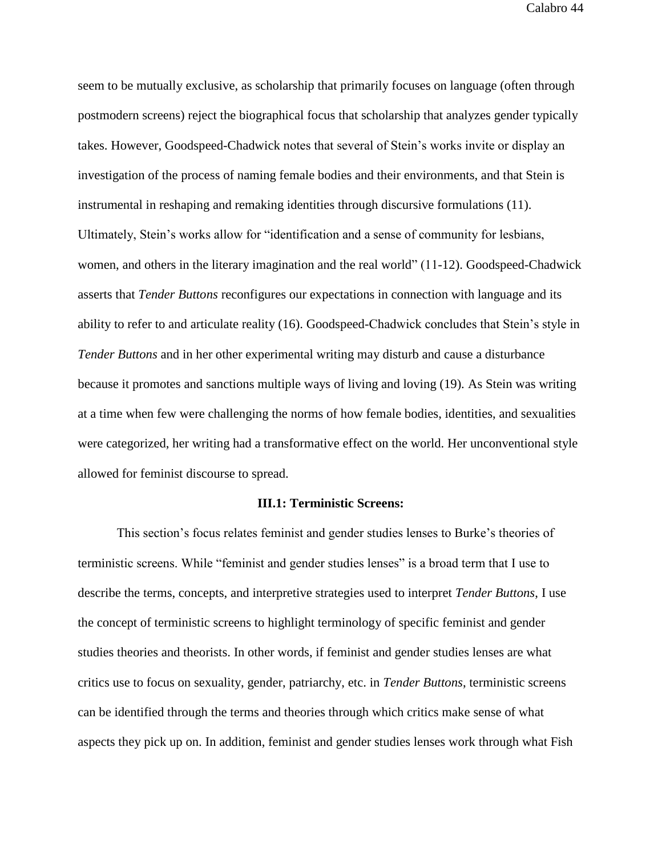seem to be mutually exclusive, as scholarship that primarily focuses on language (often through postmodern screens) reject the biographical focus that scholarship that analyzes gender typically takes. However, Goodspeed-Chadwick notes that several of Stein's works invite or display an investigation of the process of naming female bodies and their environments, and that Stein is instrumental in reshaping and remaking identities through discursive formulations (11). Ultimately, Stein's works allow for "identification and a sense of community for lesbians, women, and others in the literary imagination and the real world" (11-12). Goodspeed-Chadwick asserts that *Tender Buttons* reconfigures our expectations in connection with language and its ability to refer to and articulate reality (16). Goodspeed-Chadwick concludes that Stein's style in *Tender Buttons* and in her other experimental writing may disturb and cause a disturbance because it promotes and sanctions multiple ways of living and loving (19). As Stein was writing at a time when few were challenging the norms of how female bodies, identities, and sexualities were categorized, her writing had a transformative effect on the world. Her unconventional style allowed for feminist discourse to spread.

## **III.1: Terministic Screens:**

This section's focus relates feminist and gender studies lenses to Burke's theories of terministic screens. While "feminist and gender studies lenses" is a broad term that I use to describe the terms, concepts, and interpretive strategies used to interpret *Tender Buttons*, I use the concept of terministic screens to highlight terminology of specific feminist and gender studies theories and theorists. In other words, if feminist and gender studies lenses are what critics use to focus on sexuality, gender, patriarchy, etc. in *Tender Buttons*, terministic screens can be identified through the terms and theories through which critics make sense of what aspects they pick up on. In addition, feminist and gender studies lenses work through what Fish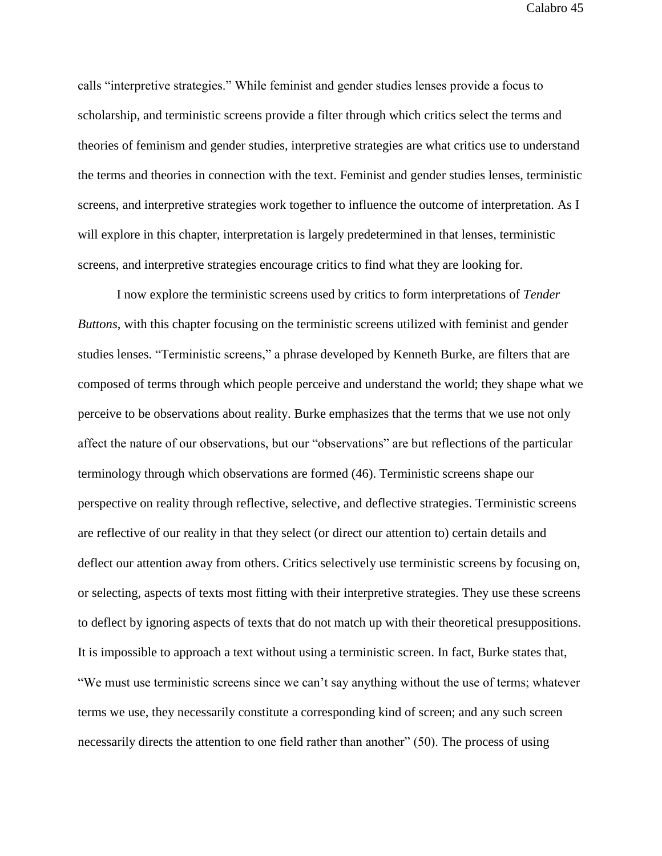calls "interpretive strategies." While feminist and gender studies lenses provide a focus to scholarship, and terministic screens provide a filter through which critics select the terms and theories of feminism and gender studies, interpretive strategies are what critics use to understand the terms and theories in connection with the text. Feminist and gender studies lenses, terministic screens, and interpretive strategies work together to influence the outcome of interpretation. As I will explore in this chapter, interpretation is largely predetermined in that lenses, terministic screens, and interpretive strategies encourage critics to find what they are looking for.

I now explore the terministic screens used by critics to form interpretations of *Tender Buttons*, with this chapter focusing on the terministic screens utilized with feminist and gender studies lenses. "Terministic screens," a phrase developed by Kenneth Burke, are filters that are composed of terms through which people perceive and understand the world; they shape what we perceive to be observations about reality. Burke emphasizes that the terms that we use not only affect the nature of our observations, but our "observations" are but reflections of the particular terminology through which observations are formed (46). Terministic screens shape our perspective on reality through reflective, selective, and deflective strategies. Terministic screens are reflective of our reality in that they select (or direct our attention to) certain details and deflect our attention away from others. Critics selectively use terministic screens by focusing on, or selecting, aspects of texts most fitting with their interpretive strategies. They use these screens to deflect by ignoring aspects of texts that do not match up with their theoretical presuppositions. It is impossible to approach a text without using a terministic screen. In fact, Burke states that, "We must use terministic screens since we can't say anything without the use of terms; whatever terms we use, they necessarily constitute a corresponding kind of screen; and any such screen necessarily directs the attention to one field rather than another" (50). The process of using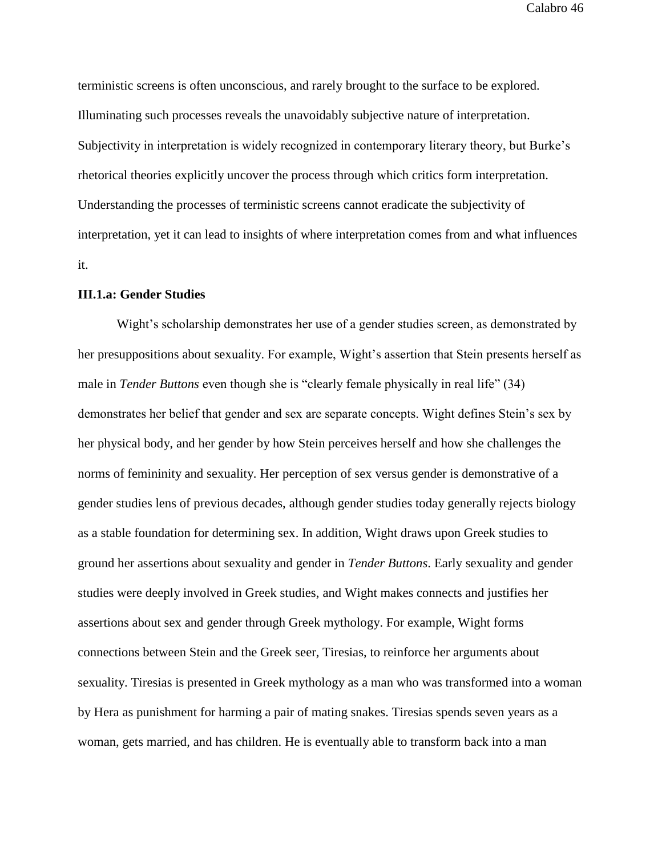terministic screens is often unconscious, and rarely brought to the surface to be explored. Illuminating such processes reveals the unavoidably subjective nature of interpretation. Subjectivity in interpretation is widely recognized in contemporary literary theory, but Burke's rhetorical theories explicitly uncover the process through which critics form interpretation. Understanding the processes of terministic screens cannot eradicate the subjectivity of interpretation, yet it can lead to insights of where interpretation comes from and what influences it.

## **III.1.a: Gender Studies**

Wight's scholarship demonstrates her use of a gender studies screen, as demonstrated by her presuppositions about sexuality. For example, Wight's assertion that Stein presents herself as male in *Tender Buttons* even though she is "clearly female physically in real life" (34) demonstrates her belief that gender and sex are separate concepts. Wight defines Stein's sex by her physical body, and her gender by how Stein perceives herself and how she challenges the norms of femininity and sexuality. Her perception of sex versus gender is demonstrative of a gender studies lens of previous decades, although gender studies today generally rejects biology as a stable foundation for determining sex. In addition, Wight draws upon Greek studies to ground her assertions about sexuality and gender in *Tender Buttons*. Early sexuality and gender studies were deeply involved in Greek studies, and Wight makes connects and justifies her assertions about sex and gender through Greek mythology. For example, Wight forms connections between Stein and the Greek seer, Tiresias, to reinforce her arguments about sexuality. Tiresias is presented in Greek mythology as a man who was transformed into a woman by Hera as punishment for harming a pair of mating snakes. Tiresias spends seven years as a woman, gets married, and has children. He is eventually able to transform back into a man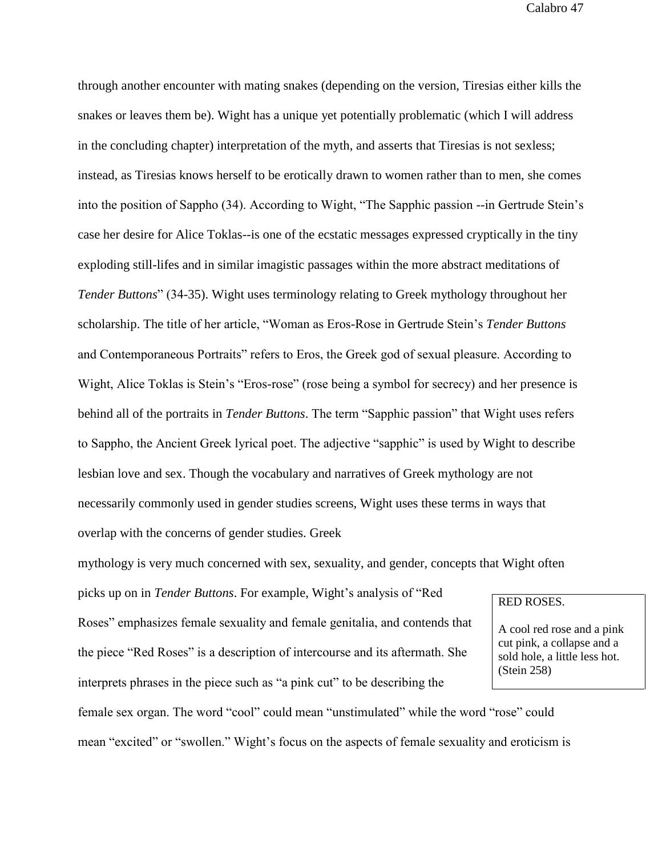through another encounter with mating snakes (depending on the version, Tiresias either kills the snakes or leaves them be). Wight has a unique yet potentially problematic (which I will address in the concluding chapter) interpretation of the myth, and asserts that Tiresias is not sexless; instead, as Tiresias knows herself to be erotically drawn to women rather than to men, she comes into the position of Sappho (34). According to Wight, "The Sapphic passion --in Gertrude Stein's case her desire for Alice Toklas--is one of the ecstatic messages expressed cryptically in the tiny exploding still-lifes and in similar imagistic passages within the more abstract meditations of *Tender Buttons*" (34-35). Wight uses terminology relating to Greek mythology throughout her scholarship. The title of her article, "Woman as Eros-Rose in Gertrude Stein's *Tender Buttons* and Contemporaneous Portraits" refers to Eros, the Greek god of sexual pleasure. According to Wight, Alice Toklas is Stein's "Eros-rose" (rose being a symbol for secrecy) and her presence is behind all of the portraits in *Tender Buttons*. The term "Sapphic passion" that Wight uses refers to Sappho, the Ancient Greek lyrical poet. The adjective "sapphic" is used by Wight to describe lesbian love and sex. Though the vocabulary and narratives of Greek mythology are not necessarily commonly used in gender studies screens, Wight uses these terms in ways that overlap with the concerns of gender studies. Greek

mythology is very much concerned with sex, sexuality, and gender, concepts that Wight often

picks up on in *Tender Buttons*. For example, Wight's analysis of "Red Roses" emphasizes female sexuality and female genitalia, and contends that the piece "Red Roses" is a description of intercourse and its aftermath. She interprets phrases in the piece such as "a pink cut" to be describing the

## RED ROSES.

A cool red rose and a pink cut pink, a collapse and a sold hole, a little less hot. (Stein 258)

female sex organ. The word "cool" could mean "unstimulated" while the word "rose" could mean "excited" or "swollen." Wight's focus on the aspects of female sexuality and eroticism is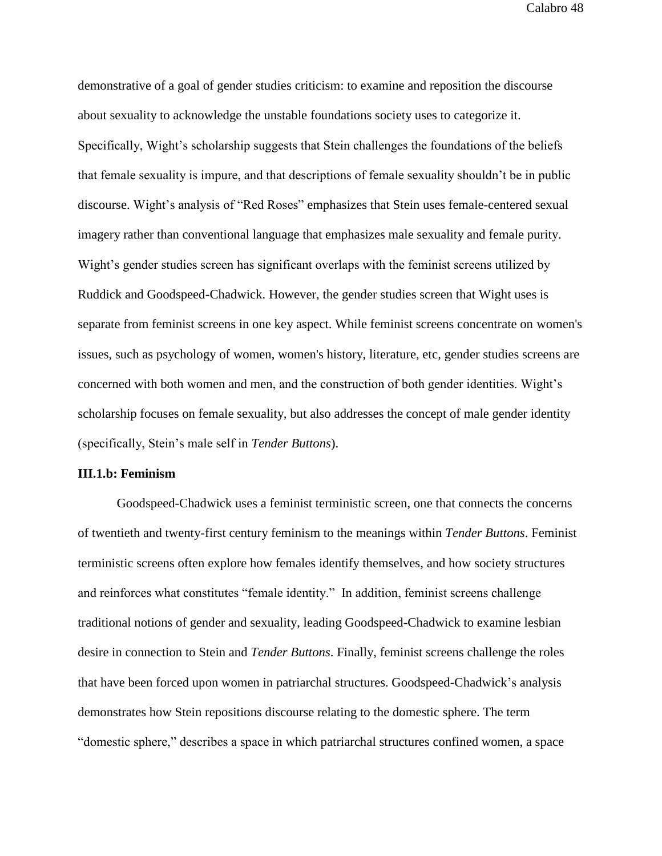demonstrative of a goal of gender studies criticism: to examine and reposition the discourse about sexuality to acknowledge the unstable foundations society uses to categorize it. Specifically, Wight's scholarship suggests that Stein challenges the foundations of the beliefs that female sexuality is impure, and that descriptions of female sexuality shouldn't be in public discourse. Wight's analysis of "Red Roses" emphasizes that Stein uses female-centered sexual imagery rather than conventional language that emphasizes male sexuality and female purity. Wight's gender studies screen has significant overlaps with the feminist screens utilized by Ruddick and Goodspeed-Chadwick. However, the gender studies screen that Wight uses is separate from feminist screens in one key aspect. While feminist screens concentrate on women's issues, such as psychology of women, women's history, literature, etc, gender studies screens are concerned with both women and men, and the construction of both gender identities. Wight's scholarship focuses on female sexuality, but also addresses the concept of male gender identity (specifically, Stein's male self in *Tender Buttons*).

## **III.1.b: Feminism**

Goodspeed-Chadwick uses a feminist terministic screen, one that connects the concerns of twentieth and twenty-first century feminism to the meanings within *Tender Buttons*. Feminist terministic screens often explore how females identify themselves, and how society structures and reinforces what constitutes "female identity." In addition, feminist screens challenge traditional notions of gender and sexuality, leading Goodspeed-Chadwick to examine lesbian desire in connection to Stein and *Tender Buttons*. Finally, feminist screens challenge the roles that have been forced upon women in patriarchal structures. Goodspeed-Chadwick's analysis demonstrates how Stein repositions discourse relating to the domestic sphere. The term "domestic sphere," describes a space in which patriarchal structures confined women, a space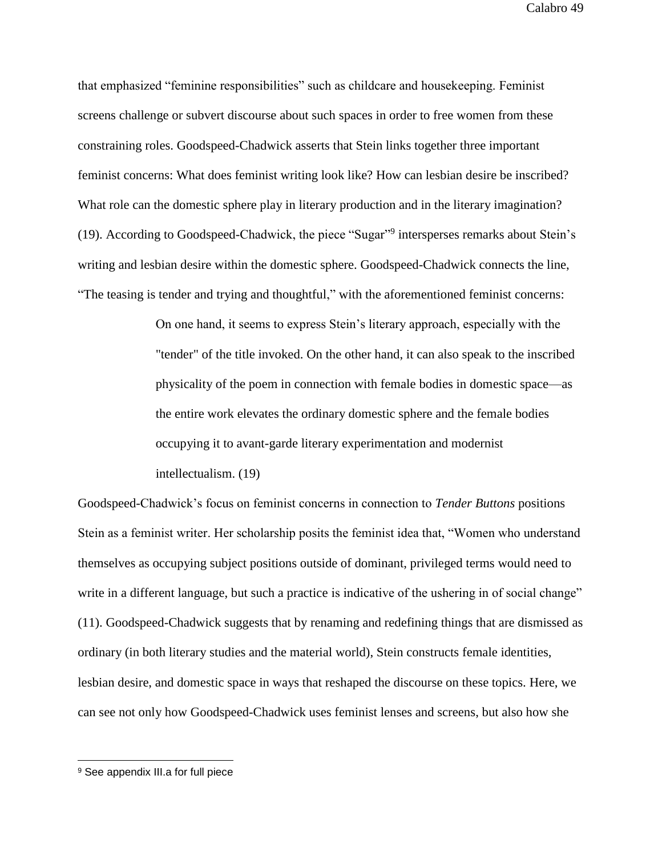that emphasized "feminine responsibilities" such as childcare and housekeeping. Feminist screens challenge or subvert discourse about such spaces in order to free women from these constraining roles. Goodspeed-Chadwick asserts that Stein links together three important feminist concerns: What does feminist writing look like? How can lesbian desire be inscribed? What role can the domestic sphere play in literary production and in the literary imagination? (19). According to Goodspeed-Chadwick, the piece "Sugar"<sup>9</sup> intersperses remarks about Stein's writing and lesbian desire within the domestic sphere. Goodspeed-Chadwick connects the line, "The teasing is tender and trying and thoughtful," with the aforementioned feminist concerns:

> On one hand, it seems to express Stein's literary approach, especially with the "tender" of the title invoked. On the other hand, it can also speak to the inscribed physicality of the poem in connection with female bodies in domestic space—as the entire work elevates the ordinary domestic sphere and the female bodies occupying it to avant-garde literary experimentation and modernist intellectualism. (19)

Goodspeed-Chadwick's focus on feminist concerns in connection to *Tender Buttons* positions Stein as a feminist writer. Her scholarship posits the feminist idea that, "Women who understand themselves as occupying subject positions outside of dominant, privileged terms would need to write in a different language, but such a practice is indicative of the ushering in of social change" (11). Goodspeed-Chadwick suggests that by renaming and redefining things that are dismissed as ordinary (in both literary studies and the material world), Stein constructs female identities, lesbian desire, and domestic space in ways that reshaped the discourse on these topics. Here, we can see not only how Goodspeed-Chadwick uses feminist lenses and screens, but also how she

 $\overline{a}$ 

<sup>&</sup>lt;sup>9</sup> See appendix III.a for full piece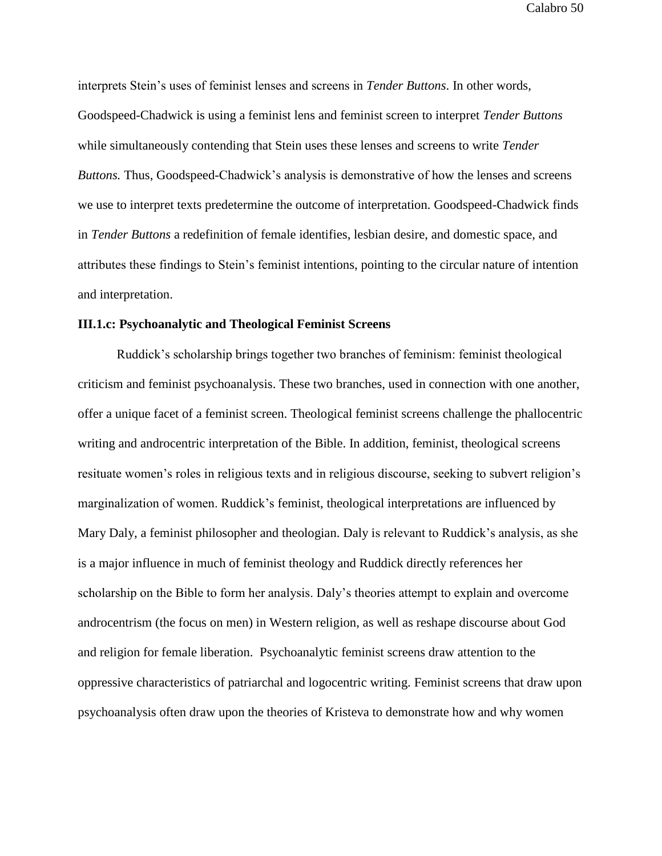interprets Stein's uses of feminist lenses and screens in *Tender Buttons*. In other words, Goodspeed-Chadwick is using a feminist lens and feminist screen to interpret *Tender Buttons* while simultaneously contending that Stein uses these lenses and screens to write *Tender Buttons.* Thus, Goodspeed-Chadwick's analysis is demonstrative of how the lenses and screens we use to interpret texts predetermine the outcome of interpretation. Goodspeed-Chadwick finds in *Tender Buttons* a redefinition of female identifies, lesbian desire, and domestic space, and attributes these findings to Stein's feminist intentions, pointing to the circular nature of intention and interpretation.

## **III.1.c: Psychoanalytic and Theological Feminist Screens**

Ruddick's scholarship brings together two branches of feminism: feminist theological criticism and feminist psychoanalysis. These two branches, used in connection with one another, offer a unique facet of a feminist screen. Theological feminist screens challenge the phallocentric writing and androcentric interpretation of the Bible. In addition, feminist, theological screens resituate women's roles in religious texts and in religious discourse, seeking to subvert religion's marginalization of women. Ruddick's feminist, theological interpretations are influenced by Mary Daly, a feminist philosopher and theologian. Daly is relevant to Ruddick's analysis, as she is a major influence in much of feminist theology and Ruddick directly references her scholarship on the Bible to form her analysis. Daly's theories attempt to explain and overcome androcentrism (the focus on men) in Western religion, as well as reshape discourse about God and religion for female liberation. Psychoanalytic feminist screens draw attention to the oppressive characteristics of patriarchal and logocentric writing. Feminist screens that draw upon psychoanalysis often draw upon the theories of Kristeva to demonstrate how and why women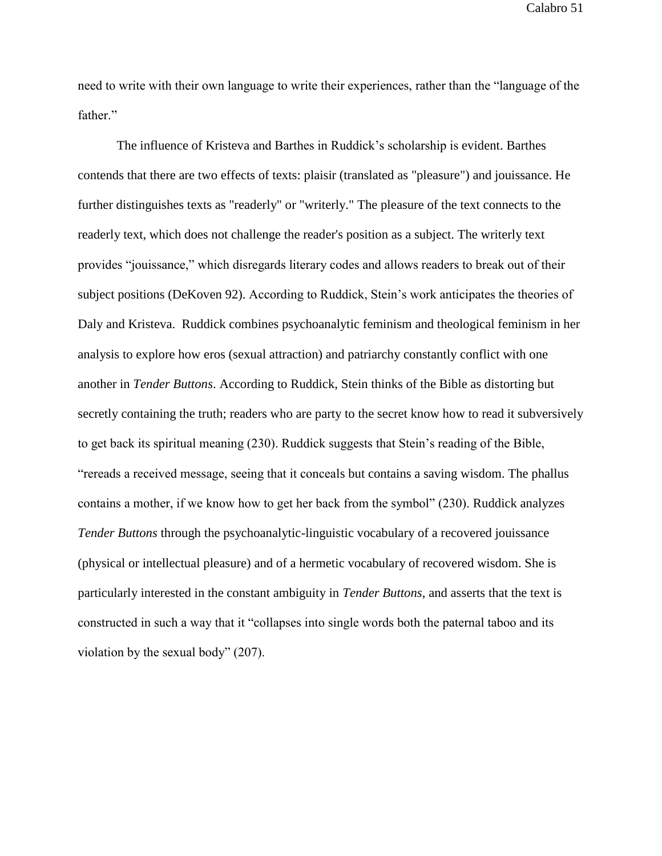need to write with their own language to write their experiences, rather than the "language of the father."

The influence of Kristeva and Barthes in Ruddick's scholarship is evident. Barthes contends that there are two effects of texts: plaisir (translated as "pleasure") and jouissance. He further distinguishes texts as "readerly" or "writerly." The pleasure of the text connects to the readerly text, which does not challenge the reader's position as a subject. The writerly text provides "jouissance," which disregards literary codes and allows readers to break out of their subject positions (DeKoven 92). According to Ruddick, Stein's work anticipates the theories of Daly and Kristeva. Ruddick combines psychoanalytic feminism and theological feminism in her analysis to explore how eros (sexual attraction) and patriarchy constantly conflict with one another in *Tender Buttons*. According to Ruddick, Stein thinks of the Bible as distorting but secretly containing the truth; readers who are party to the secret know how to read it subversively to get back its spiritual meaning (230). Ruddick suggests that Stein's reading of the Bible, "rereads a received message, seeing that it conceals but contains a saving wisdom. The phallus contains a mother, if we know how to get her back from the symbol" (230). Ruddick analyzes *Tender Buttons* through the psychoanalytic-linguistic vocabulary of a recovered jouissance (physical or intellectual pleasure) and of a hermetic vocabulary of recovered wisdom. She is particularly interested in the constant ambiguity in *Tender Buttons*, and asserts that the text is constructed in such a way that it "collapses into single words both the paternal taboo and its violation by the sexual body" (207).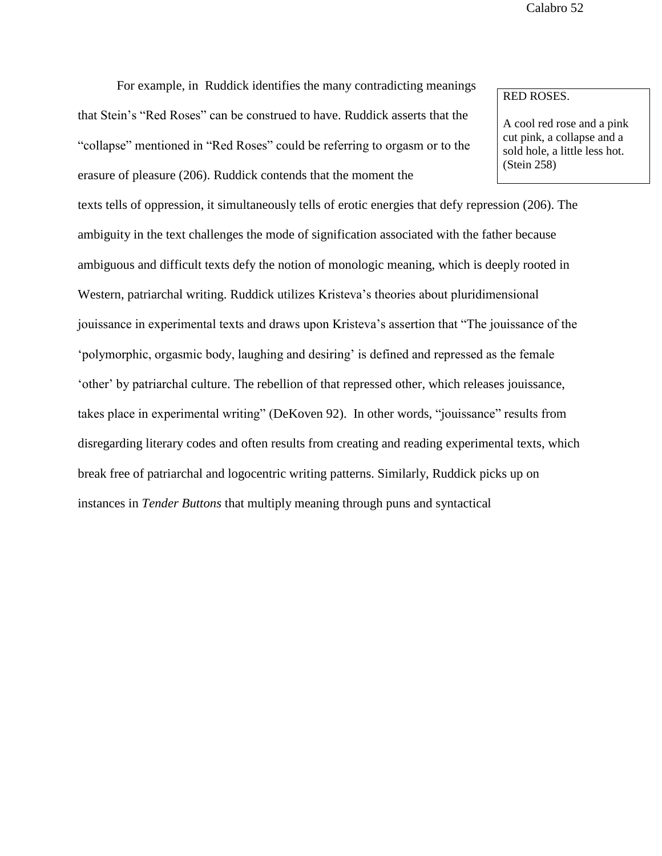For example, in Ruddick identifies the many contradicting meanings

that Stein's "Red Roses" can be construed to have. Ruddick asserts that the "collapse" mentioned in "Red Roses" could be referring to orgasm or to the erasure of pleasure (206). Ruddick contends that the moment the

texts tells of oppression, it simultaneously tells of erotic energies that defy repression (206). The ambiguity in the text challenges the mode of signification associated with the father because ambiguous and difficult texts defy the notion of monologic meaning, which is deeply rooted in Western, patriarchal writing. Ruddick utilizes Kristeva's theories about pluridimensional jouissance in experimental texts and draws upon Kristeva's assertion that "The jouissance of the 'polymorphic, orgasmic body, laughing and desiring' is defined and repressed as the female 'other' by patriarchal culture. The rebellion of that repressed other, which releases jouissance, takes place in experimental writing" (DeKoven 92). In other words, "jouissance" results from disregarding literary codes and often results from creating and reading experimental texts, which break free of patriarchal and logocentric writing patterns. Similarly, Ruddick picks up on instances in *Tender Buttons* that multiply meaning through puns and syntactical

# RED ROSES.

A cool red rose and a pink cut pink, a collapse and a sold hole, a little less hot. (Stein 258)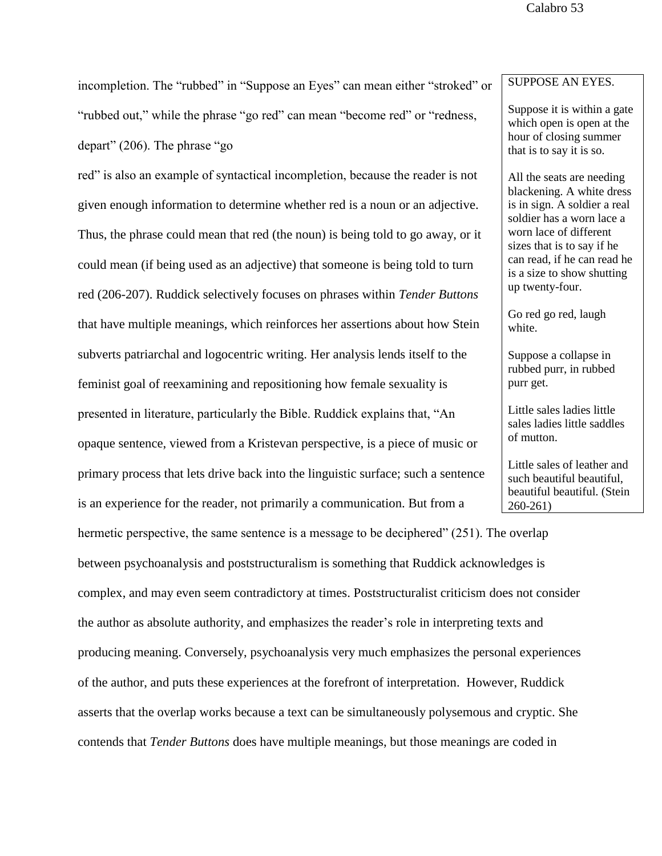incompletion. The "rubbed" in "Suppose an Eyes" can mean either "stroked" or "rubbed out," while the phrase "go red" can mean "become red" or "redness, depart" (206). The phrase "go

red" is also an example of syntactical incompletion, because the reader is not given enough information to determine whether red is a noun or an adjective. Thus, the phrase could mean that red (the noun) is being told to go away, or it could mean (if being used as an adjective) that someone is being told to turn red (206-207). Ruddick selectively focuses on phrases within *Tender Buttons* that have multiple meanings, which reinforces her assertions about how Stein subverts patriarchal and logocentric writing. Her analysis lends itself to the feminist goal of reexamining and repositioning how female sexuality is presented in literature, particularly the Bible. Ruddick explains that, "An opaque sentence, viewed from a Kristevan perspective, is a piece of music or primary process that lets drive back into the linguistic surface; such a sentence is an experience for the reader, not primarily a communication. But from a

hermetic perspective, the same sentence is a message to be deciphered" (251). The overlap between psychoanalysis and poststructuralism is something that Ruddick acknowledges is complex, and may even seem contradictory at times. Poststructuralist criticism does not consider the author as absolute authority, and emphasizes the reader's role in interpreting texts and producing meaning. Conversely, psychoanalysis very much emphasizes the personal experiences of the author, and puts these experiences at the forefront of interpretation. However, Ruddick asserts that the overlap works because a text can be simultaneously polysemous and cryptic. She contends that *Tender Buttons* does have multiple meanings, but those meanings are coded in

# SUPPOSE AN EYES.

Suppose it is within a gate which open is open at the hour of closing summer that is to say it is so.

All the seats are needing blackening. A white dress is in sign. A soldier a real soldier has a worn lace a worn lace of different sizes that is to say if he can read, if he can read he is a size to show shutting up twenty-four.

Go red go red, laugh white.

Suppose a collapse in rubbed purr, in rubbed purr get.

Little sales ladies little sales ladies little saddles of mutton.

Little sales of leather and such beautiful beautiful, beautiful beautiful. (Stein 260-261)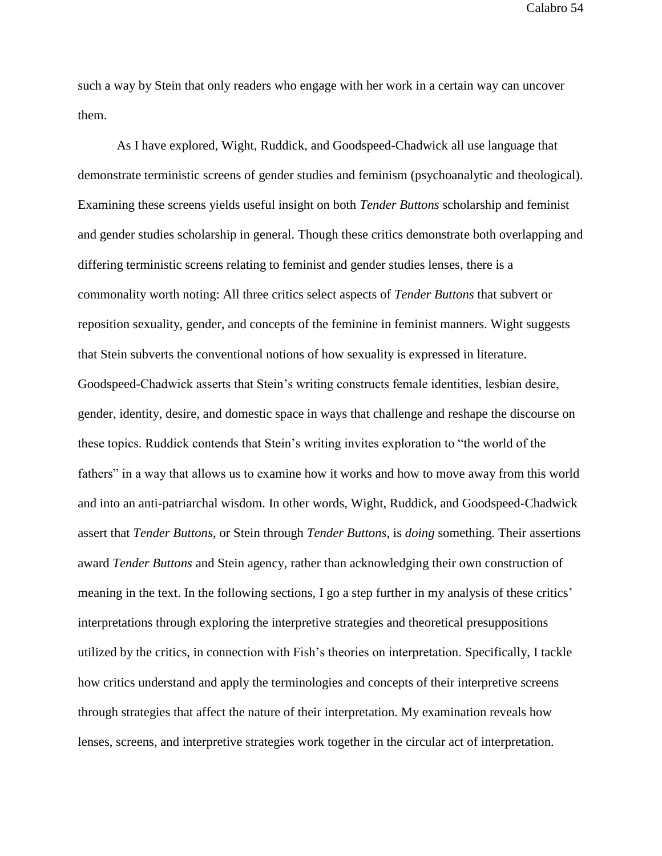such a way by Stein that only readers who engage with her work in a certain way can uncover them.

As I have explored, Wight, Ruddick, and Goodspeed-Chadwick all use language that demonstrate terministic screens of gender studies and feminism (psychoanalytic and theological). Examining these screens yields useful insight on both *Tender Buttons* scholarship and feminist and gender studies scholarship in general. Though these critics demonstrate both overlapping and differing terministic screens relating to feminist and gender studies lenses, there is a commonality worth noting: All three critics select aspects of *Tender Buttons* that subvert or reposition sexuality, gender, and concepts of the feminine in feminist manners. Wight suggests that Stein subverts the conventional notions of how sexuality is expressed in literature. Goodspeed-Chadwick asserts that Stein's writing constructs female identities, lesbian desire, gender, identity, desire, and domestic space in ways that challenge and reshape the discourse on these topics. Ruddick contends that Stein's writing invites exploration to "the world of the fathers" in a way that allows us to examine how it works and how to move away from this world and into an anti-patriarchal wisdom. In other words, Wight, Ruddick, and Goodspeed-Chadwick assert that *Tender Buttons*, or Stein through *Tender Buttons*, is *doing* something. Their assertions award *Tender Buttons* and Stein agency, rather than acknowledging their own construction of meaning in the text. In the following sections, I go a step further in my analysis of these critics' interpretations through exploring the interpretive strategies and theoretical presuppositions utilized by the critics, in connection with Fish's theories on interpretation. Specifically, I tackle how critics understand and apply the terminologies and concepts of their interpretive screens through strategies that affect the nature of their interpretation. My examination reveals how lenses, screens, and interpretive strategies work together in the circular act of interpretation.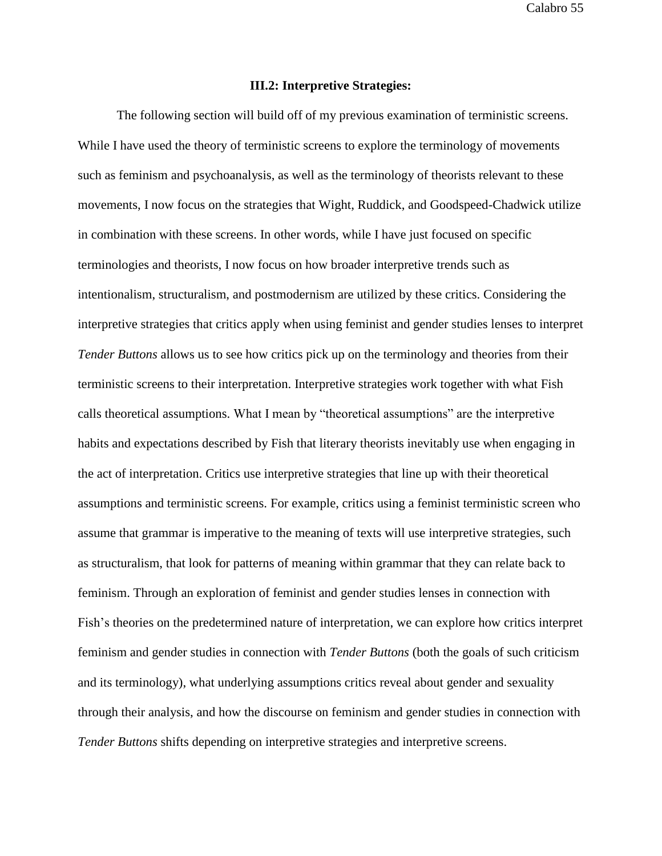### **III.2: Interpretive Strategies:**

The following section will build off of my previous examination of terministic screens. While I have used the theory of terministic screens to explore the terminology of movements such as feminism and psychoanalysis, as well as the terminology of theorists relevant to these movements, I now focus on the strategies that Wight, Ruddick, and Goodspeed-Chadwick utilize in combination with these screens. In other words, while I have just focused on specific terminologies and theorists, I now focus on how broader interpretive trends such as intentionalism, structuralism, and postmodernism are utilized by these critics. Considering the interpretive strategies that critics apply when using feminist and gender studies lenses to interpret *Tender Buttons* allows us to see how critics pick up on the terminology and theories from their terministic screens to their interpretation. Interpretive strategies work together with what Fish calls theoretical assumptions. What I mean by "theoretical assumptions" are the interpretive habits and expectations described by Fish that literary theorists inevitably use when engaging in the act of interpretation. Critics use interpretive strategies that line up with their theoretical assumptions and terministic screens. For example, critics using a feminist terministic screen who assume that grammar is imperative to the meaning of texts will use interpretive strategies, such as structuralism, that look for patterns of meaning within grammar that they can relate back to feminism. Through an exploration of feminist and gender studies lenses in connection with Fish's theories on the predetermined nature of interpretation, we can explore how critics interpret feminism and gender studies in connection with *Tender Buttons* (both the goals of such criticism and its terminology), what underlying assumptions critics reveal about gender and sexuality through their analysis, and how the discourse on feminism and gender studies in connection with *Tender Buttons* shifts depending on interpretive strategies and interpretive screens.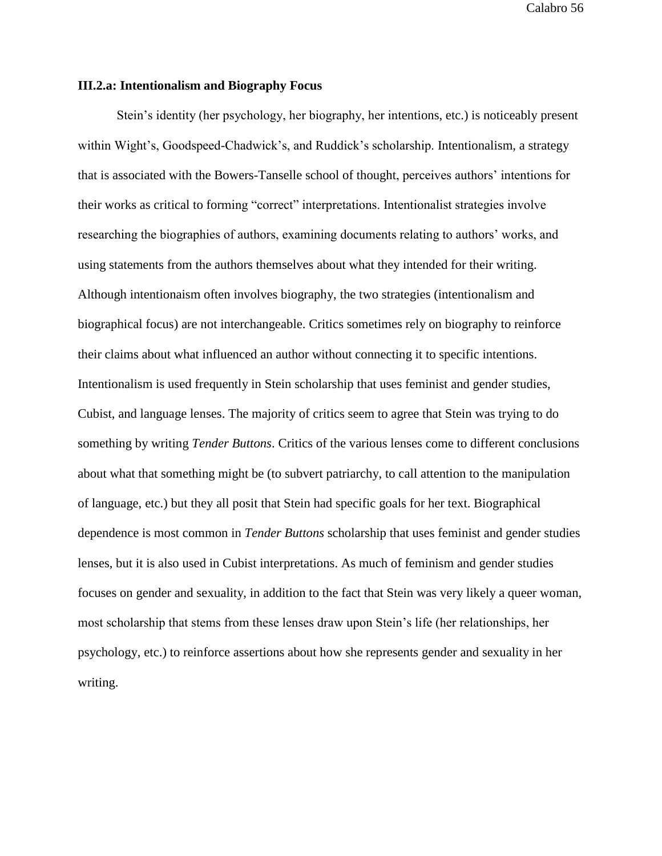## **III.2.a: Intentionalism and Biography Focus**

Stein's identity (her psychology, her biography, her intentions, etc.) is noticeably present within Wight's, Goodspeed-Chadwick's, and Ruddick's scholarship. Intentionalism, a strategy that is associated with the Bowers-Tanselle school of thought, perceives authors' intentions for their works as critical to forming "correct" interpretations. Intentionalist strategies involve researching the biographies of authors, examining documents relating to authors' works, and using statements from the authors themselves about what they intended for their writing. Although intentionaism often involves biography, the two strategies (intentionalism and biographical focus) are not interchangeable. Critics sometimes rely on biography to reinforce their claims about what influenced an author without connecting it to specific intentions. Intentionalism is used frequently in Stein scholarship that uses feminist and gender studies, Cubist, and language lenses. The majority of critics seem to agree that Stein was trying to do something by writing *Tender Buttons*. Critics of the various lenses come to different conclusions about what that something might be (to subvert patriarchy, to call attention to the manipulation of language, etc.) but they all posit that Stein had specific goals for her text. Biographical dependence is most common in *Tender Buttons* scholarship that uses feminist and gender studies lenses, but it is also used in Cubist interpretations. As much of feminism and gender studies focuses on gender and sexuality, in addition to the fact that Stein was very likely a queer woman, most scholarship that stems from these lenses draw upon Stein's life (her relationships, her psychology, etc.) to reinforce assertions about how she represents gender and sexuality in her writing.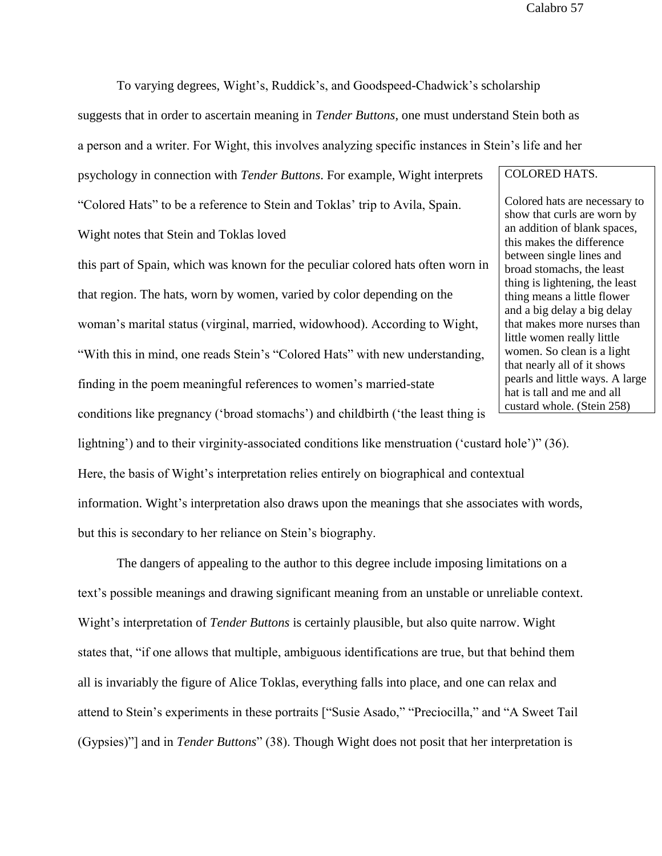To varying degrees, Wight's, Ruddick's, and Goodspeed-Chadwick's scholarship

suggests that in order to ascertain meaning in *Tender Buttons*, one must understand Stein both as

a person and a writer. For Wight, this involves analyzing specific instances in Stein's life and her

psychology in connection with *Tender Buttons*. For example, Wight interprets

"Colored Hats" to be a reference to Stein and Toklas' trip to Avila, Spain.

Wight notes that Stein and Toklas loved

this part of Spain, which was known for the peculiar colored hats often worn in that region. The hats, worn by women, varied by color depending on the woman's marital status (virginal, married, widowhood). According to Wight, "With this in mind, one reads Stein's "Colored Hats" with new understanding, finding in the poem meaningful references to women's married-state

conditions like pregnancy ('broad stomachs') and childbirth ('the least thing is

lightning') and to their virginity-associated conditions like menstruation ('custard hole')" (36).

Here, the basis of Wight's interpretation relies entirely on biographical and contextual information. Wight's interpretation also draws upon the meanings that she associates with words, but this is secondary to her reliance on Stein's biography.

The dangers of appealing to the author to this degree include imposing limitations on a text's possible meanings and drawing significant meaning from an unstable or unreliable context. Wight's interpretation of *Tender Buttons* is certainly plausible, but also quite narrow. Wight states that, "if one allows that multiple, ambiguous identifications are true, but that behind them all is invariably the figure of Alice Toklas, everything falls into place, and one can relax and attend to Stein's experiments in these portraits ["Susie Asado," "Preciocilla," and "A Sweet Tail (Gypsies)"] and in *Tender Buttons*" (38). Though Wight does not posit that her interpretation is

### COLORED HATS.

Colored hats are necessary to show that curls are worn by an addition of blank spaces, this makes the difference between single lines and broad stomachs, the least thing is lightening, the least thing means a little flower and a big delay a big delay that makes more nurses than little women really little women. So clean is a light that nearly all of it shows pearls and little ways. A large hat is tall and me and all custard whole. (Stein 258)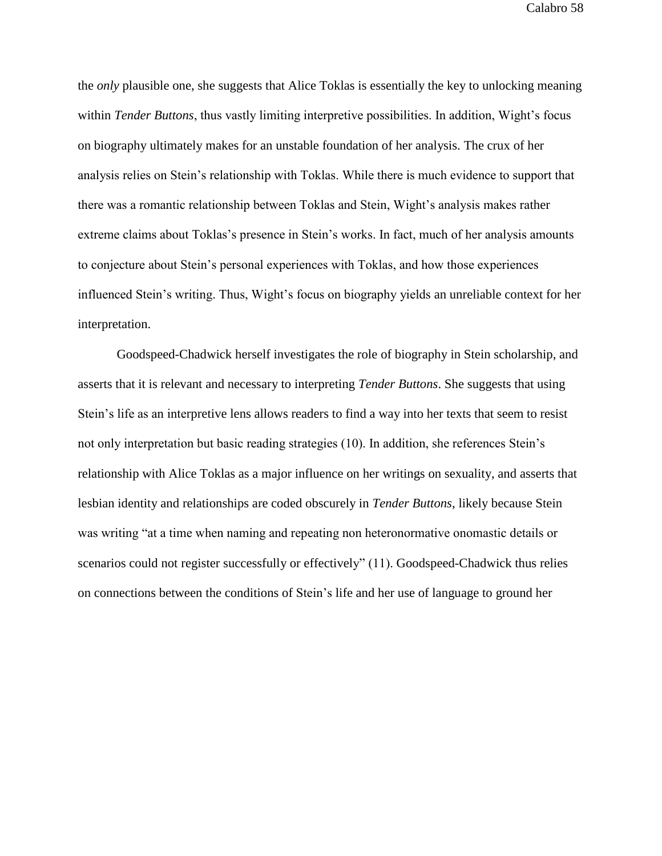the *only* plausible one, she suggests that Alice Toklas is essentially the key to unlocking meaning within *Tender Buttons*, thus vastly limiting interpretive possibilities. In addition, Wight's focus on biography ultimately makes for an unstable foundation of her analysis. The crux of her analysis relies on Stein's relationship with Toklas. While there is much evidence to support that there was a romantic relationship between Toklas and Stein, Wight's analysis makes rather extreme claims about Toklas's presence in Stein's works. In fact, much of her analysis amounts to conjecture about Stein's personal experiences with Toklas, and how those experiences influenced Stein's writing. Thus, Wight's focus on biography yields an unreliable context for her interpretation.

Goodspeed-Chadwick herself investigates the role of biography in Stein scholarship, and asserts that it is relevant and necessary to interpreting *Tender Buttons*. She suggests that using Stein's life as an interpretive lens allows readers to find a way into her texts that seem to resist not only interpretation but basic reading strategies (10). In addition, she references Stein's relationship with Alice Toklas as a major influence on her writings on sexuality, and asserts that lesbian identity and relationships are coded obscurely in *Tender Buttons*, likely because Stein was writing "at a time when naming and repeating non heteronormative onomastic details or scenarios could not register successfully or effectively" (11). Goodspeed-Chadwick thus relies on connections between the conditions of Stein's life and her use of language to ground her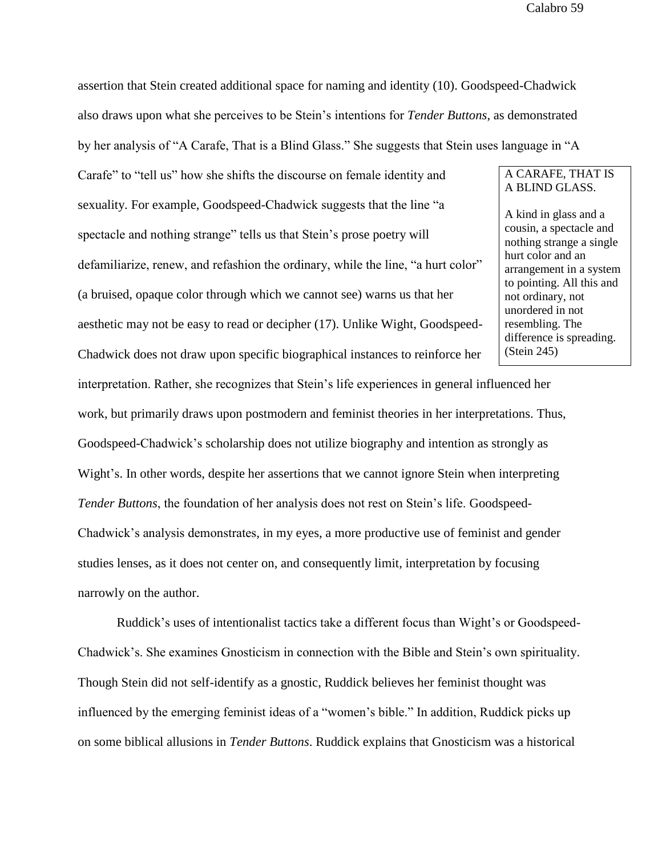assertion that Stein created additional space for naming and identity (10). Goodspeed-Chadwick also draws upon what she perceives to be Stein's intentions for *Tender Buttons*, as demonstrated

by her analysis of "A Carafe, That is a Blind Glass." She suggests that Stein uses language in "A

Carafe" to "tell us" how she shifts the discourse on female identity and sexuality. For example, Goodspeed-Chadwick suggests that the line "a spectacle and nothing strange" tells us that Stein's prose poetry will defamiliarize, renew, and refashion the ordinary, while the line, "a hurt color" (a bruised, opaque color through which we cannot see) warns us that her aesthetic may not be easy to read or decipher (17). Unlike Wight, Goodspeed-Chadwick does not draw upon specific biographical instances to reinforce her

# A CARAFE, THAT IS A BLIND GLASS.

A kind in glass and a cousin, a spectacle and nothing strange a single hurt color and an arrangement in a system to pointing. All this and not ordinary, not unordered in not resembling. The difference is spreading. (Stein 245)

interpretation. Rather, she recognizes that Stein's life experiences in general influenced her work, but primarily draws upon postmodern and feminist theories in her interpretations. Thus, Goodspeed-Chadwick's scholarship does not utilize biography and intention as strongly as Wight's. In other words, despite her assertions that we cannot ignore Stein when interpreting *Tender Buttons*, the foundation of her analysis does not rest on Stein's life. Goodspeed-Chadwick's analysis demonstrates, in my eyes, a more productive use of feminist and gender studies lenses, as it does not center on, and consequently limit, interpretation by focusing narrowly on the author.

Ruddick's uses of intentionalist tactics take a different focus than Wight's or Goodspeed-Chadwick's. She examines Gnosticism in connection with the Bible and Stein's own spirituality. Though Stein did not self-identify as a gnostic, Ruddick believes her feminist thought was influenced by the emerging feminist ideas of a "women's bible." In addition, Ruddick picks up on some biblical allusions in *Tender Buttons*. Ruddick explains that Gnosticism was a historical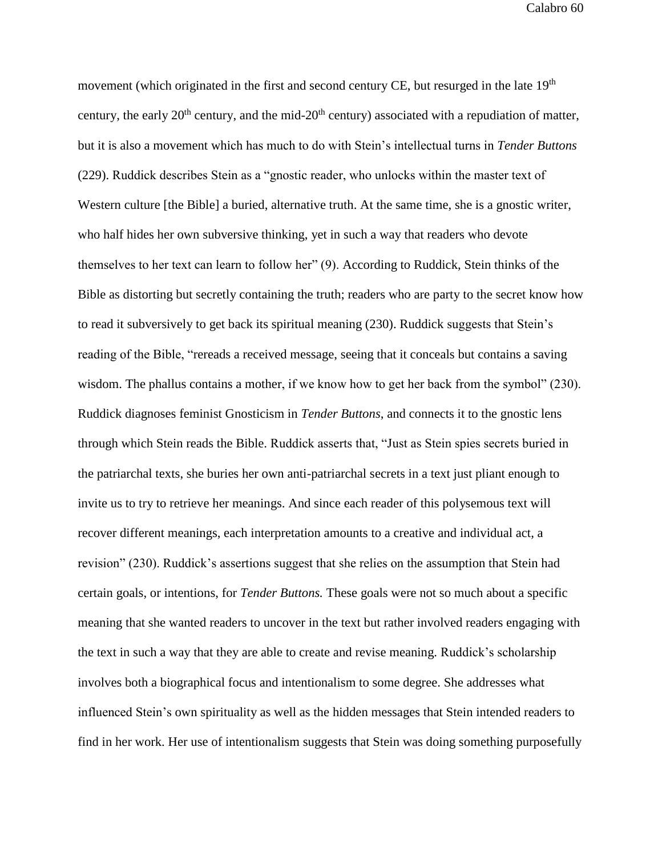movement (which originated in the first and second century CE, but resurged in the late  $19<sup>th</sup>$ century, the early  $20<sup>th</sup>$  century, and the mid- $20<sup>th</sup>$  century) associated with a repudiation of matter, but it is also a movement which has much to do with Stein's intellectual turns in *Tender Buttons*  (229). Ruddick describes Stein as a "gnostic reader, who unlocks within the master text of Western culture [the Bible] a buried, alternative truth. At the same time, she is a gnostic writer, who half hides her own subversive thinking, yet in such a way that readers who devote themselves to her text can learn to follow her" (9). According to Ruddick, Stein thinks of the Bible as distorting but secretly containing the truth; readers who are party to the secret know how to read it subversively to get back its spiritual meaning (230). Ruddick suggests that Stein's reading of the Bible, "rereads a received message, seeing that it conceals but contains a saving wisdom. The phallus contains a mother, if we know how to get her back from the symbol" (230). Ruddick diagnoses feminist Gnosticism in *Tender Buttons*, and connects it to the gnostic lens through which Stein reads the Bible. Ruddick asserts that, "Just as Stein spies secrets buried in the patriarchal texts, she buries her own anti-patriarchal secrets in a text just pliant enough to invite us to try to retrieve her meanings. And since each reader of this polysemous text will recover different meanings, each interpretation amounts to a creative and individual act, a revision" (230). Ruddick's assertions suggest that she relies on the assumption that Stein had certain goals, or intentions, for *Tender Buttons.* These goals were not so much about a specific meaning that she wanted readers to uncover in the text but rather involved readers engaging with the text in such a way that they are able to create and revise meaning. Ruddick's scholarship involves both a biographical focus and intentionalism to some degree. She addresses what influenced Stein's own spirituality as well as the hidden messages that Stein intended readers to find in her work. Her use of intentionalism suggests that Stein was doing something purposefully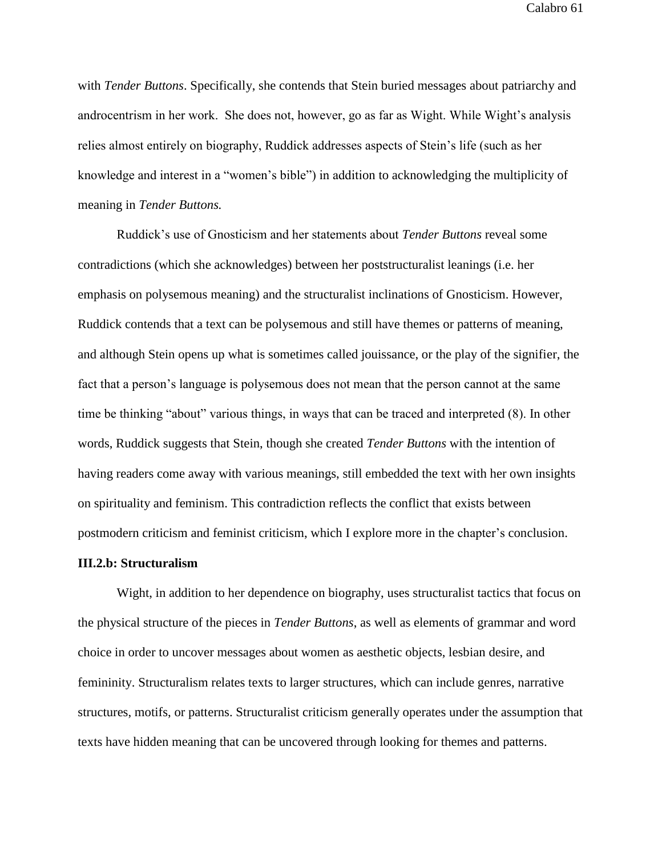with *Tender Buttons*. Specifically, she contends that Stein buried messages about patriarchy and androcentrism in her work. She does not, however, go as far as Wight. While Wight's analysis relies almost entirely on biography, Ruddick addresses aspects of Stein's life (such as her knowledge and interest in a "women's bible") in addition to acknowledging the multiplicity of meaning in *Tender Buttons.*

Ruddick's use of Gnosticism and her statements about *Tender Buttons* reveal some contradictions (which she acknowledges) between her poststructuralist leanings (i.e. her emphasis on polysemous meaning) and the structuralist inclinations of Gnosticism. However, Ruddick contends that a text can be polysemous and still have themes or patterns of meaning, and although Stein opens up what is sometimes called jouissance, or the play of the signifier, the fact that a person's language is polysemous does not mean that the person cannot at the same time be thinking "about" various things, in ways that can be traced and interpreted (8). In other words, Ruddick suggests that Stein, though she created *Tender Buttons* with the intention of having readers come away with various meanings, still embedded the text with her own insights on spirituality and feminism. This contradiction reflects the conflict that exists between postmodern criticism and feminist criticism, which I explore more in the chapter's conclusion.

#### **III.2.b: Structuralism**

Wight, in addition to her dependence on biography, uses structuralist tactics that focus on the physical structure of the pieces in *Tender Buttons*, as well as elements of grammar and word choice in order to uncover messages about women as aesthetic objects, lesbian desire, and femininity. Structuralism relates texts to larger structures, which can include genres, narrative structures, motifs, or patterns. Structuralist criticism generally operates under the assumption that texts have hidden meaning that can be uncovered through looking for themes and patterns.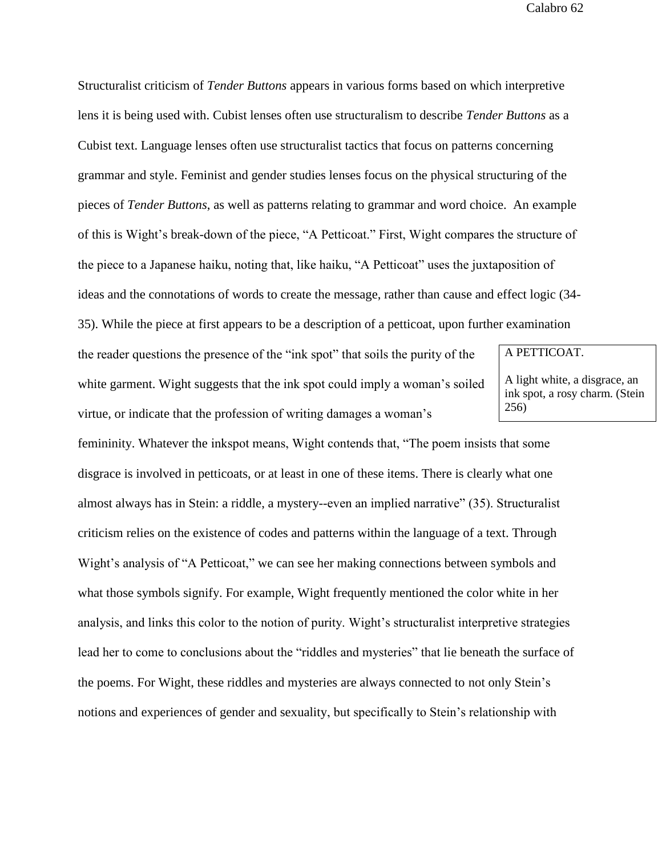Structuralist criticism of *Tender Buttons* appears in various forms based on which interpretive lens it is being used with. Cubist lenses often use structuralism to describe *Tender Buttons* as a Cubist text. Language lenses often use structuralist tactics that focus on patterns concerning grammar and style. Feminist and gender studies lenses focus on the physical structuring of the pieces of *Tender Buttons*, as well as patterns relating to grammar and word choice. An example of this is Wight's break-down of the piece, "A Petticoat." First, Wight compares the structure of the piece to a Japanese haiku, noting that, like haiku, "A Petticoat" uses the juxtaposition of ideas and the connotations of words to create the message, rather than cause and effect logic (34-

35). While the piece at first appears to be a description of a petticoat, upon further examination

the reader questions the presence of the "ink spot" that soils the purity of the white garment. Wight suggests that the ink spot could imply a woman's soiled virtue, or indicate that the profession of writing damages a woman's

A PETTICOAT.

A light white, a disgrace, an ink spot, a rosy charm. (Stein 256)

femininity. Whatever the inkspot means, Wight contends that, "The poem insists that some disgrace is involved in petticoats, or at least in one of these items. There is clearly what one almost always has in Stein: a riddle, a mystery--even an implied narrative" (35). Structuralist criticism relies on the existence of codes and patterns within the language of a text. Through Wight's analysis of "A Petticoat," we can see her making connections between symbols and what those symbols signify. For example, Wight frequently mentioned the color white in her analysis, and links this color to the notion of purity. Wight's structuralist interpretive strategies lead her to come to conclusions about the "riddles and mysteries" that lie beneath the surface of the poems. For Wight, these riddles and mysteries are always connected to not only Stein's notions and experiences of gender and sexuality, but specifically to Stein's relationship with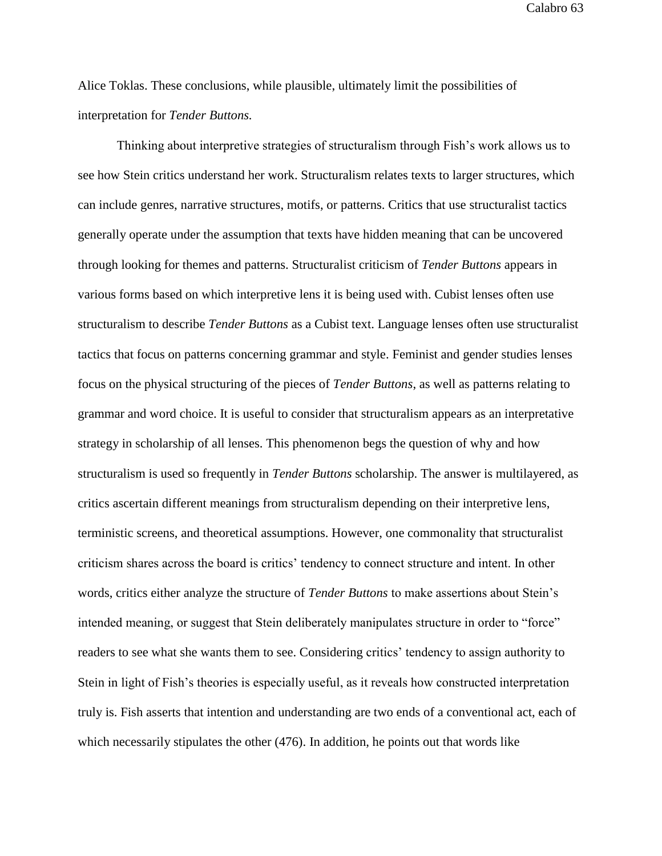Alice Toklas. These conclusions, while plausible, ultimately limit the possibilities of interpretation for *Tender Buttons.*

Thinking about interpretive strategies of structuralism through Fish's work allows us to see how Stein critics understand her work. Structuralism relates texts to larger structures, which can include genres, narrative structures, motifs, or patterns. Critics that use structuralist tactics generally operate under the assumption that texts have hidden meaning that can be uncovered through looking for themes and patterns. Structuralist criticism of *Tender Buttons* appears in various forms based on which interpretive lens it is being used with. Cubist lenses often use structuralism to describe *Tender Buttons* as a Cubist text. Language lenses often use structuralist tactics that focus on patterns concerning grammar and style. Feminist and gender studies lenses focus on the physical structuring of the pieces of *Tender Buttons*, as well as patterns relating to grammar and word choice. It is useful to consider that structuralism appears as an interpretative strategy in scholarship of all lenses. This phenomenon begs the question of why and how structuralism is used so frequently in *Tender Buttons* scholarship. The answer is multilayered, as critics ascertain different meanings from structuralism depending on their interpretive lens, terministic screens, and theoretical assumptions. However, one commonality that structuralist criticism shares across the board is critics' tendency to connect structure and intent. In other words, critics either analyze the structure of *Tender Buttons* to make assertions about Stein's intended meaning, or suggest that Stein deliberately manipulates structure in order to "force" readers to see what she wants them to see. Considering critics' tendency to assign authority to Stein in light of Fish's theories is especially useful, as it reveals how constructed interpretation truly is. Fish asserts that intention and understanding are two ends of a conventional act, each of which necessarily stipulates the other (476). In addition, he points out that words like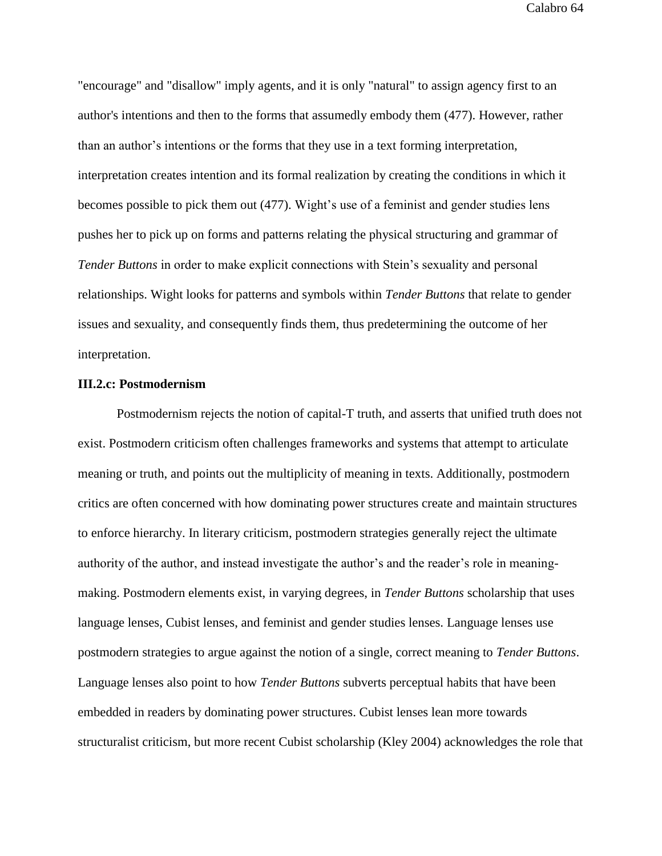"encourage" and "disallow" imply agents, and it is only "natural" to assign agency first to an author's intentions and then to the forms that assumedly embody them (477). However, rather than an author's intentions or the forms that they use in a text forming interpretation, interpretation creates intention and its formal realization by creating the conditions in which it becomes possible to pick them out (477). Wight's use of a feminist and gender studies lens pushes her to pick up on forms and patterns relating the physical structuring and grammar of *Tender Buttons* in order to make explicit connections with Stein's sexuality and personal relationships. Wight looks for patterns and symbols within *Tender Buttons* that relate to gender issues and sexuality, and consequently finds them, thus predetermining the outcome of her interpretation.

## **III.2.c: Postmodernism**

Postmodernism rejects the notion of capital-T truth, and asserts that unified truth does not exist. Postmodern criticism often challenges frameworks and systems that attempt to articulate meaning or truth, and points out the multiplicity of meaning in texts. Additionally, postmodern critics are often concerned with how dominating power structures create and maintain structures to enforce hierarchy. In literary criticism, postmodern strategies generally reject the ultimate authority of the author, and instead investigate the author's and the reader's role in meaningmaking. Postmodern elements exist, in varying degrees, in *Tender Buttons* scholarship that uses language lenses, Cubist lenses, and feminist and gender studies lenses. Language lenses use postmodern strategies to argue against the notion of a single, correct meaning to *Tender Buttons*. Language lenses also point to how *Tender Buttons* subverts perceptual habits that have been embedded in readers by dominating power structures. Cubist lenses lean more towards structuralist criticism, but more recent Cubist scholarship (Kley 2004) acknowledges the role that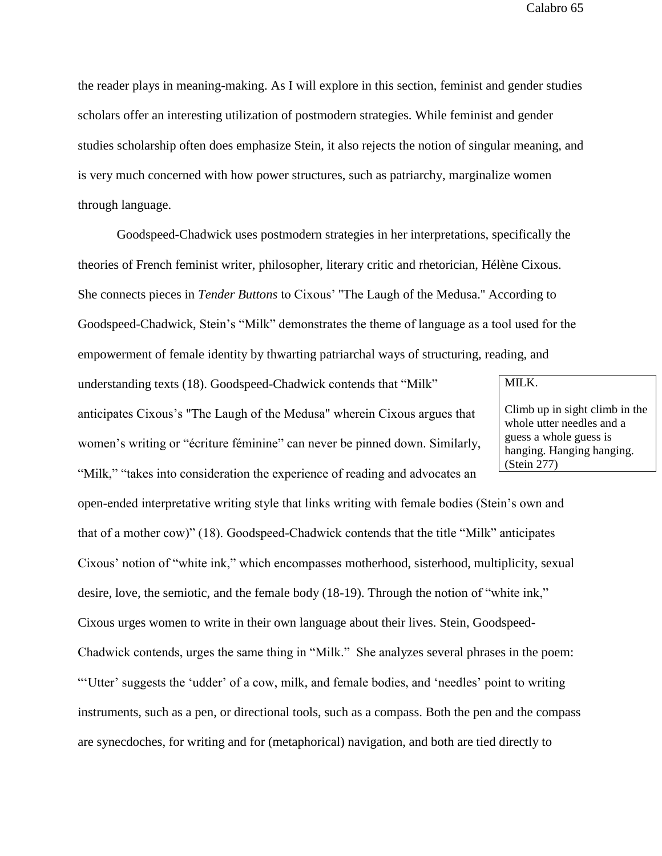the reader plays in meaning-making. As I will explore in this section, feminist and gender studies scholars offer an interesting utilization of postmodern strategies. While feminist and gender studies scholarship often does emphasize Stein, it also rejects the notion of singular meaning, and is very much concerned with how power structures, such as patriarchy, marginalize women through language.

Goodspeed-Chadwick uses postmodern strategies in her interpretations, specifically the theories of French feminist writer, philosopher, literary critic and rhetorician, Hélène Cixous. She connects pieces in *Tender Buttons* to Cixous' ''The Laugh of the Medusa.'' According to Goodspeed-Chadwick, Stein's "Milk" demonstrates the theme of language as a tool used for the empowerment of female identity by thwarting patriarchal ways of structuring, reading, and

understanding texts (18). Goodspeed-Chadwick contends that "Milk" anticipates Cixous's "The Laugh of the Medusa" wherein Cixous argues that women's writing or "écriture féminine" can never be pinned down. Similarly, "Milk," "takes into consideration the experience of reading and advocates an

# MILK.

Climb up in sight climb in the whole utter needles and a guess a whole guess is hanging. Hanging hanging. (Stein 277)

open-ended interpretative writing style that links writing with female bodies (Stein's own and that of a mother cow)" (18). Goodspeed-Chadwick contends that the title "Milk" anticipates Cixous' notion of "white ink," which encompasses motherhood, sisterhood, multiplicity, sexual desire, love, the semiotic, and the female body (18-19). Through the notion of "white ink," Cixous urges women to write in their own language about their lives. Stein, Goodspeed-Chadwick contends, urges the same thing in "Milk." She analyzes several phrases in the poem: "'Utter' suggests the 'udder' of a cow, milk, and female bodies, and 'needles' point to writing instruments, such as a pen, or directional tools, such as a compass. Both the pen and the compass are synecdoches, for writing and for (metaphorical) navigation, and both are tied directly to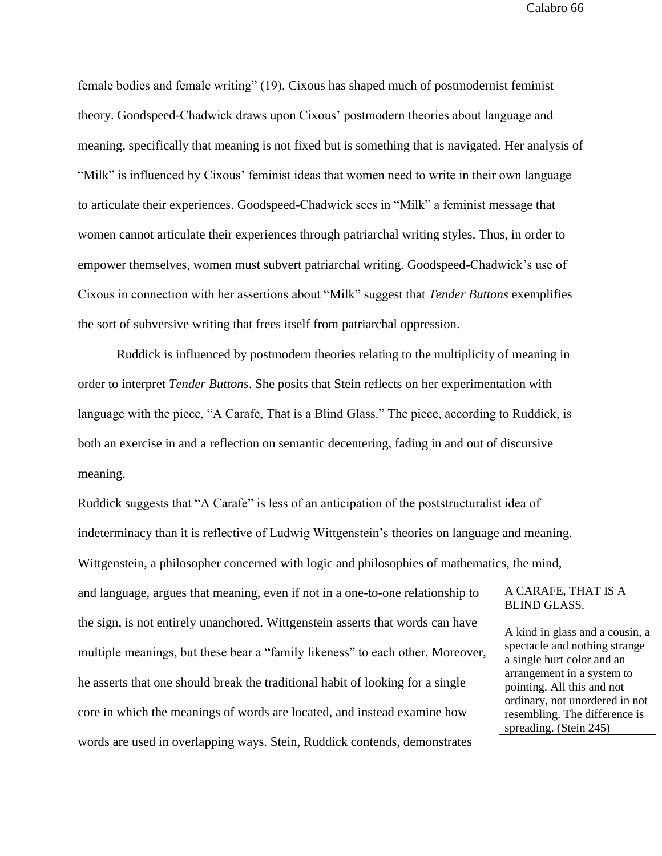female bodies and female writing" (19). Cixous has shaped much of postmodernist feminist theory. Goodspeed-Chadwick draws upon Cixous' postmodern theories about language and meaning, specifically that meaning is not fixed but is something that is navigated. Her analysis of "Milk" is influenced by Cixous' feminist ideas that women need to write in their own language to articulate their experiences. Goodspeed-Chadwick sees in "Milk" a feminist message that women cannot articulate their experiences through patriarchal writing styles. Thus, in order to empower themselves, women must subvert patriarchal writing. Goodspeed-Chadwick's use of Cixous in connection with her assertions about "Milk" suggest that *Tender Buttons* exemplifies the sort of subversive writing that frees itself from patriarchal oppression.

Ruddick is influenced by postmodern theories relating to the multiplicity of meaning in order to interpret *Tender Buttons*. She posits that Stein reflects on her experimentation with language with the piece, "A Carafe, That is a Blind Glass." The piece, according to Ruddick, is both an exercise in and a reflection on semantic decentering, fading in and out of discursive meaning.

Ruddick suggests that "A Carafe" is less of an anticipation of the poststructuralist idea of indeterminacy than it is reflective of Ludwig Wittgenstein's theories on language and meaning. Wittgenstein, a philosopher concerned with logic and philosophies of mathematics, the mind,

and language, argues that meaning, even if not in a one-to-one relationship to the sign, is not entirely unanchored. Wittgenstein asserts that words can have multiple meanings, but these bear a "family likeness" to each other. Moreover, he asserts that one should break the traditional habit of looking for a single core in which the meanings of words are located, and instead examine how words are used in overlapping ways. Stein, Ruddick contends, demonstrates

## A CARAFE, THAT IS A BLIND GLASS.

A kind in glass and a cousin, a spectacle and nothing strange a single hurt color and an arrangement in a system to pointing. All this and not ordinary, not unordered in not resembling. The difference is spreading. (Stein 245)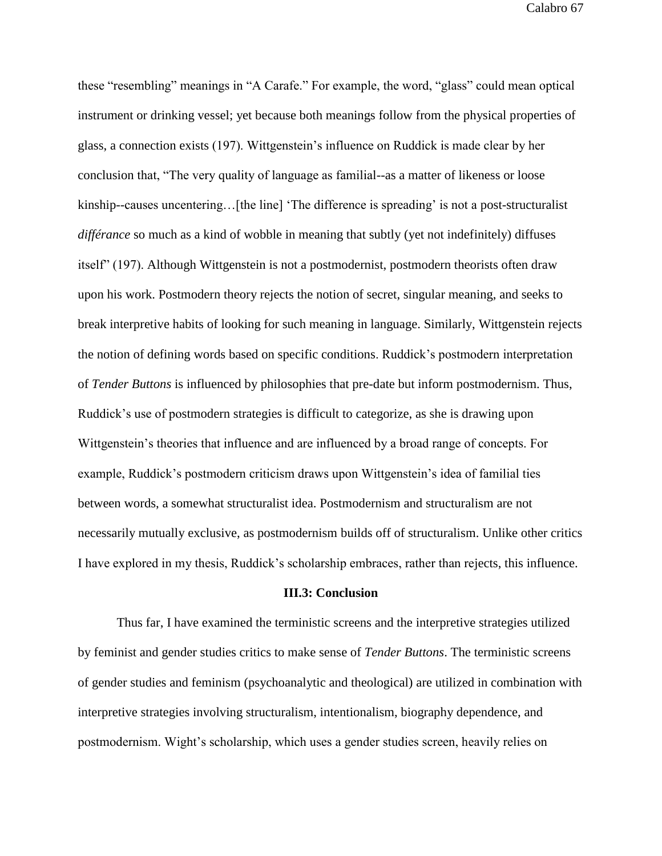these "resembling" meanings in "A Carafe." For example, the word, "glass" could mean optical instrument or drinking vessel; yet because both meanings follow from the physical properties of glass, a connection exists (197). Wittgenstein's influence on Ruddick is made clear by her conclusion that, "The very quality of language as familial--as a matter of likeness or loose kinship--causes uncentering…[the line] 'The difference is spreading' is not a post-structuralist *différance* so much as a kind of wobble in meaning that subtly (yet not indefinitely) diffuses itself" (197). Although Wittgenstein is not a postmodernist, postmodern theorists often draw upon his work. Postmodern theory rejects the notion of secret, singular meaning, and seeks to break interpretive habits of looking for such meaning in language. Similarly, Wittgenstein rejects the notion of defining words based on specific conditions. Ruddick's postmodern interpretation of *Tender Buttons* is influenced by philosophies that pre-date but inform postmodernism. Thus, Ruddick's use of postmodern strategies is difficult to categorize, as she is drawing upon Wittgenstein's theories that influence and are influenced by a broad range of concepts. For example, Ruddick's postmodern criticism draws upon Wittgenstein's idea of familial ties between words, a somewhat structuralist idea. Postmodernism and structuralism are not necessarily mutually exclusive, as postmodernism builds off of structuralism. Unlike other critics I have explored in my thesis, Ruddick's scholarship embraces, rather than rejects, this influence.

## **III.3: Conclusion**

Thus far, I have examined the terministic screens and the interpretive strategies utilized by feminist and gender studies critics to make sense of *Tender Buttons*. The terministic screens of gender studies and feminism (psychoanalytic and theological) are utilized in combination with interpretive strategies involving structuralism, intentionalism, biography dependence, and postmodernism. Wight's scholarship, which uses a gender studies screen, heavily relies on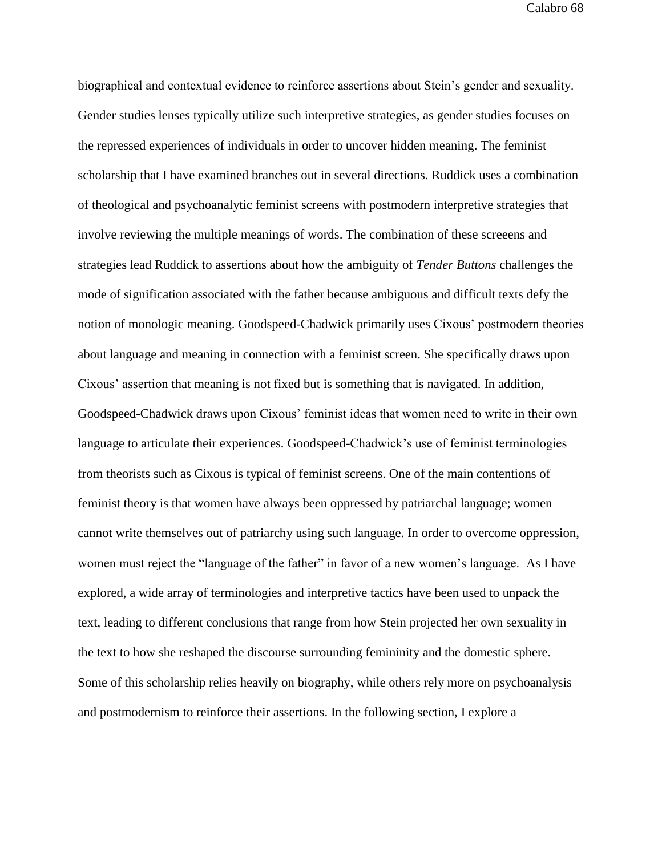biographical and contextual evidence to reinforce assertions about Stein's gender and sexuality. Gender studies lenses typically utilize such interpretive strategies, as gender studies focuses on the repressed experiences of individuals in order to uncover hidden meaning. The feminist scholarship that I have examined branches out in several directions. Ruddick uses a combination of theological and psychoanalytic feminist screens with postmodern interpretive strategies that involve reviewing the multiple meanings of words. The combination of these screeens and strategies lead Ruddick to assertions about how the ambiguity of *Tender Buttons* challenges the mode of signification associated with the father because ambiguous and difficult texts defy the notion of monologic meaning. Goodspeed-Chadwick primarily uses Cixous' postmodern theories about language and meaning in connection with a feminist screen. She specifically draws upon Cixous' assertion that meaning is not fixed but is something that is navigated. In addition, Goodspeed-Chadwick draws upon Cixous' feminist ideas that women need to write in their own language to articulate their experiences. Goodspeed-Chadwick's use of feminist terminologies from theorists such as Cixous is typical of feminist screens. One of the main contentions of feminist theory is that women have always been oppressed by patriarchal language; women cannot write themselves out of patriarchy using such language. In order to overcome oppression, women must reject the "language of the father" in favor of a new women's language. As I have explored, a wide array of terminologies and interpretive tactics have been used to unpack the text, leading to different conclusions that range from how Stein projected her own sexuality in the text to how she reshaped the discourse surrounding femininity and the domestic sphere. Some of this scholarship relies heavily on biography, while others rely more on psychoanalysis and postmodernism to reinforce their assertions. In the following section, I explore a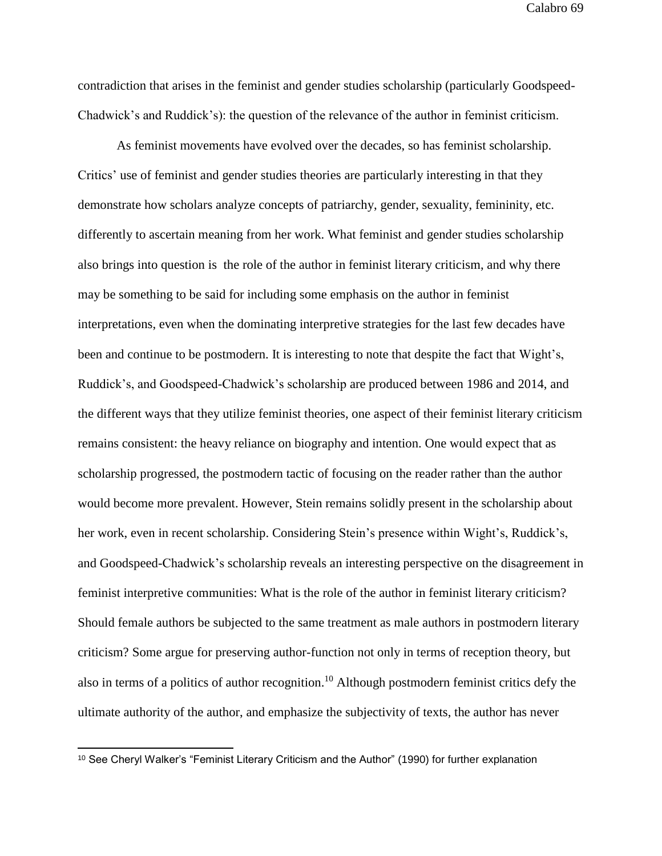contradiction that arises in the feminist and gender studies scholarship (particularly Goodspeed-Chadwick's and Ruddick's): the question of the relevance of the author in feminist criticism.

As feminist movements have evolved over the decades, so has feminist scholarship. Critics' use of feminist and gender studies theories are particularly interesting in that they demonstrate how scholars analyze concepts of patriarchy, gender, sexuality, femininity, etc. differently to ascertain meaning from her work. What feminist and gender studies scholarship also brings into question is the role of the author in feminist literary criticism, and why there may be something to be said for including some emphasis on the author in feminist interpretations, even when the dominating interpretive strategies for the last few decades have been and continue to be postmodern. It is interesting to note that despite the fact that Wight's, Ruddick's, and Goodspeed-Chadwick's scholarship are produced between 1986 and 2014, and the different ways that they utilize feminist theories, one aspect of their feminist literary criticism remains consistent: the heavy reliance on biography and intention. One would expect that as scholarship progressed, the postmodern tactic of focusing on the reader rather than the author would become more prevalent. However, Stein remains solidly present in the scholarship about her work, even in recent scholarship. Considering Stein's presence within Wight's, Ruddick's, and Goodspeed-Chadwick's scholarship reveals an interesting perspective on the disagreement in feminist interpretive communities: What is the role of the author in feminist literary criticism? Should female authors be subjected to the same treatment as male authors in postmodern literary criticism? Some argue for preserving author-function not only in terms of reception theory, but also in terms of a politics of author recognition.<sup>10</sup> Although postmodern feminist critics defy the ultimate authority of the author, and emphasize the subjectivity of texts, the author has never

 $\overline{a}$ 

<sup>&</sup>lt;sup>10</sup> See Cheryl Walker's "Feminist Literary Criticism and the Author" (1990) for further explanation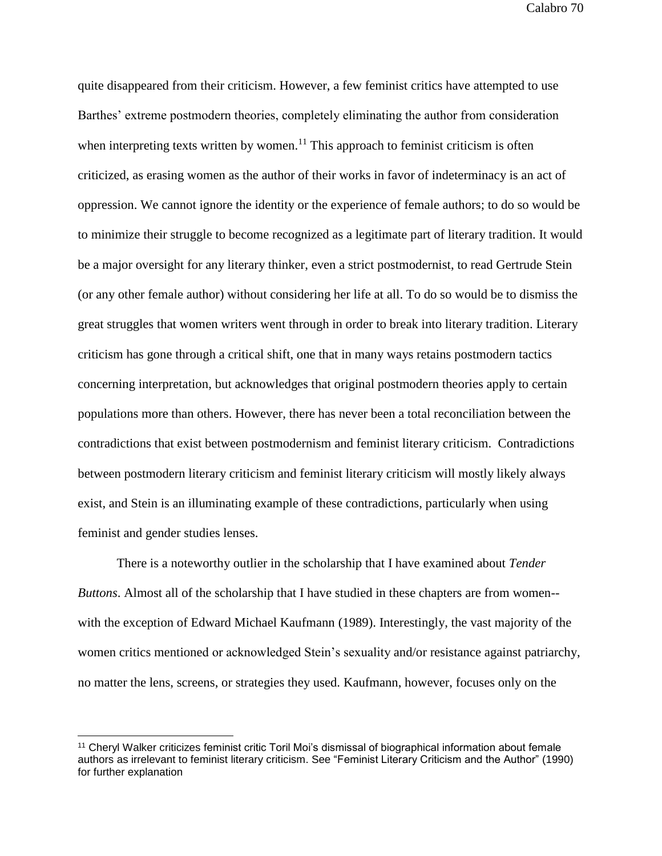quite disappeared from their criticism. However, a few feminist critics have attempted to use Barthes' extreme postmodern theories, completely eliminating the author from consideration when interpreting texts written by women.<sup>11</sup> This approach to feminist criticism is often criticized, as erasing women as the author of their works in favor of indeterminacy is an act of oppression. We cannot ignore the identity or the experience of female authors; to do so would be to minimize their struggle to become recognized as a legitimate part of literary tradition. It would be a major oversight for any literary thinker, even a strict postmodernist, to read Gertrude Stein (or any other female author) without considering her life at all. To do so would be to dismiss the great struggles that women writers went through in order to break into literary tradition. Literary criticism has gone through a critical shift, one that in many ways retains postmodern tactics concerning interpretation, but acknowledges that original postmodern theories apply to certain populations more than others. However, there has never been a total reconciliation between the contradictions that exist between postmodernism and feminist literary criticism. Contradictions between postmodern literary criticism and feminist literary criticism will mostly likely always exist, and Stein is an illuminating example of these contradictions, particularly when using feminist and gender studies lenses.

There is a noteworthy outlier in the scholarship that I have examined about *Tender Buttons*. Almost all of the scholarship that I have studied in these chapters are from women- with the exception of Edward Michael Kaufmann (1989). Interestingly, the vast majority of the women critics mentioned or acknowledged Stein's sexuality and/or resistance against patriarchy, no matter the lens, screens, or strategies they used. Kaufmann, however, focuses only on the

<sup>&</sup>lt;sup>11</sup> Cheryl Walker criticizes feminist critic Toril Moi's dismissal of biographical information about female authors as irrelevant to feminist literary criticism. See "Feminist Literary Criticism and the Author" (1990) for further explanation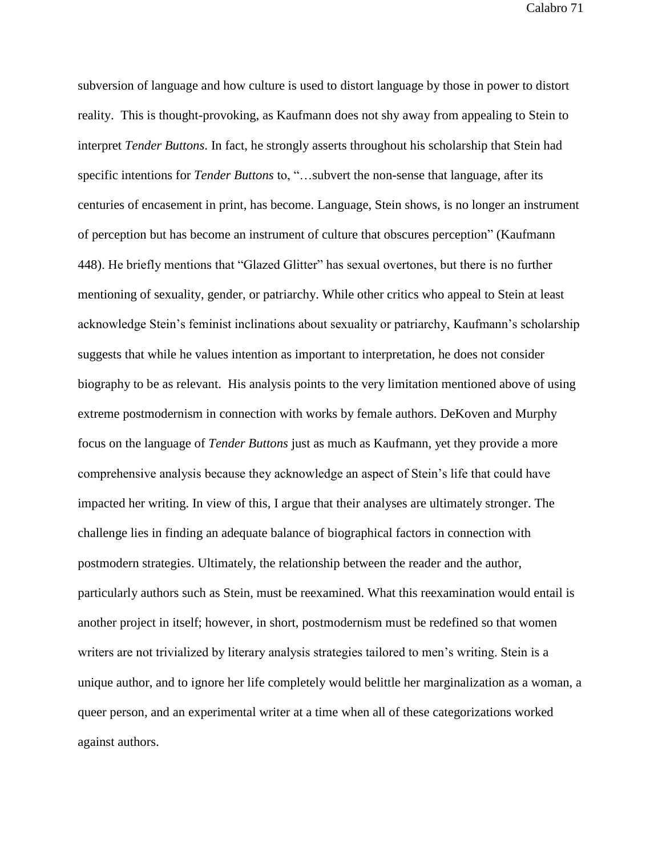subversion of language and how culture is used to distort language by those in power to distort reality. This is thought-provoking, as Kaufmann does not shy away from appealing to Stein to interpret *Tender Buttons*. In fact, he strongly asserts throughout his scholarship that Stein had specific intentions for *Tender Buttons* to, "…subvert the non-sense that language, after its centuries of encasement in print, has become. Language, Stein shows, is no longer an instrument of perception but has become an instrument of culture that obscures perception" (Kaufmann 448). He briefly mentions that "Glazed Glitter" has sexual overtones, but there is no further mentioning of sexuality, gender, or patriarchy. While other critics who appeal to Stein at least acknowledge Stein's feminist inclinations about sexuality or patriarchy, Kaufmann's scholarship suggests that while he values intention as important to interpretation, he does not consider biography to be as relevant. His analysis points to the very limitation mentioned above of using extreme postmodernism in connection with works by female authors. DeKoven and Murphy focus on the language of *Tender Buttons* just as much as Kaufmann, yet they provide a more comprehensive analysis because they acknowledge an aspect of Stein's life that could have impacted her writing. In view of this, I argue that their analyses are ultimately stronger. The challenge lies in finding an adequate balance of biographical factors in connection with postmodern strategies. Ultimately, the relationship between the reader and the author, particularly authors such as Stein, must be reexamined. What this reexamination would entail is another project in itself; however, in short, postmodernism must be redefined so that women writers are not trivialized by literary analysis strategies tailored to men's writing. Stein is a unique author, and to ignore her life completely would belittle her marginalization as a woman, a queer person, and an experimental writer at a time when all of these categorizations worked against authors.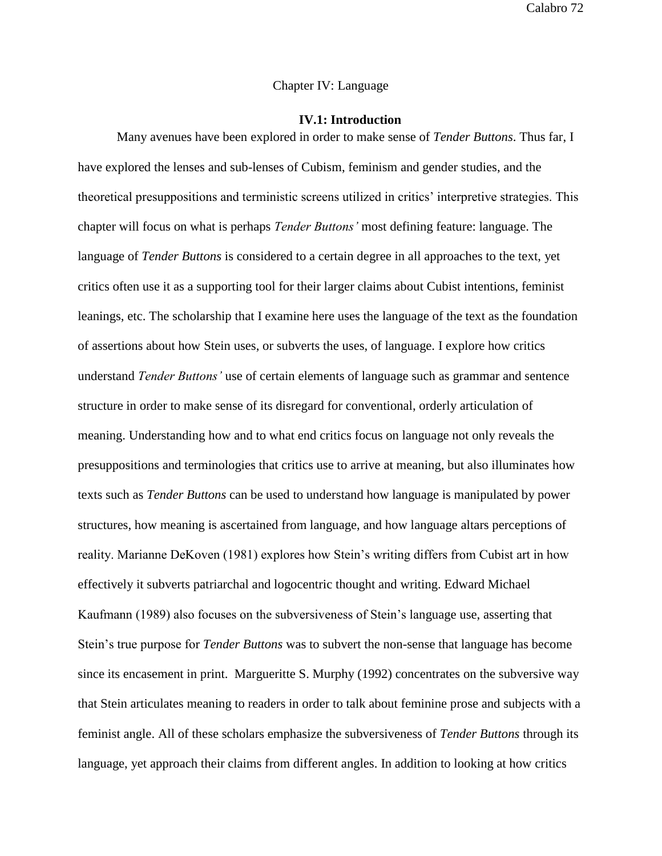# Chapter IV: Language

## **IV.1: Introduction**

Many avenues have been explored in order to make sense of *Tender Buttons*. Thus far, I have explored the lenses and sub-lenses of Cubism, feminism and gender studies, and the theoretical presuppositions and terministic screens utilized in critics' interpretive strategies. This chapter will focus on what is perhaps *Tender Buttons'* most defining feature: language. The language of *Tender Buttons* is considered to a certain degree in all approaches to the text, yet critics often use it as a supporting tool for their larger claims about Cubist intentions, feminist leanings, etc. The scholarship that I examine here uses the language of the text as the foundation of assertions about how Stein uses, or subverts the uses, of language. I explore how critics understand *Tender Buttons'* use of certain elements of language such as grammar and sentence structure in order to make sense of its disregard for conventional, orderly articulation of meaning. Understanding how and to what end critics focus on language not only reveals the presuppositions and terminologies that critics use to arrive at meaning, but also illuminates how texts such as *Tender Buttons* can be used to understand how language is manipulated by power structures, how meaning is ascertained from language, and how language altars perceptions of reality. Marianne DeKoven (1981) explores how Stein's writing differs from Cubist art in how effectively it subverts patriarchal and logocentric thought and writing. Edward Michael Kaufmann (1989) also focuses on the subversiveness of Stein's language use, asserting that Stein's true purpose for *Tender Buttons* was to subvert the non-sense that language has become since its encasement in print. Margueritte S. Murphy (1992) concentrates on the subversive way that Stein articulates meaning to readers in order to talk about feminine prose and subjects with a feminist angle. All of these scholars emphasize the subversiveness of *Tender Buttons* through its language, yet approach their claims from different angles. In addition to looking at how critics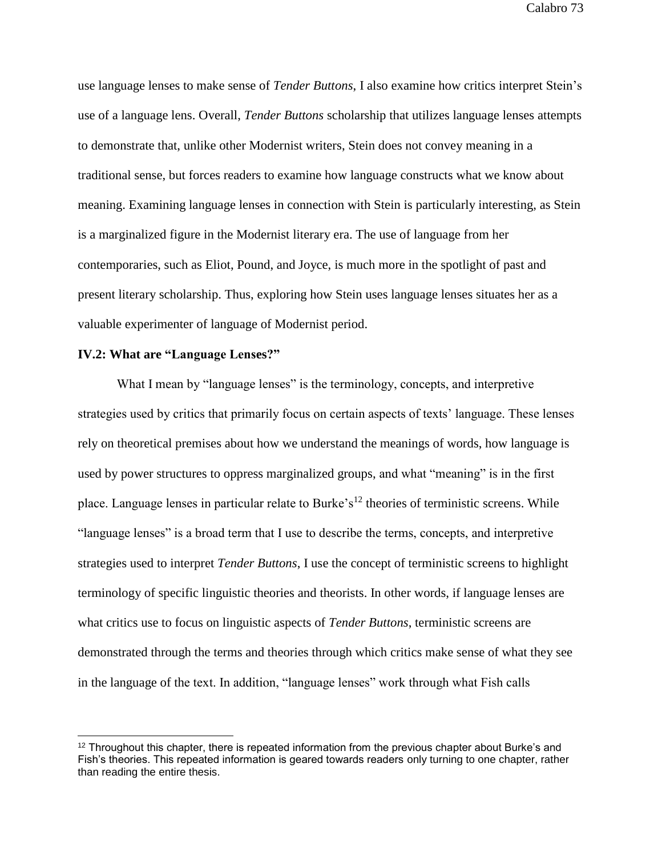use language lenses to make sense of *Tender Buttons*, I also examine how critics interpret Stein's use of a language lens. Overall, *Tender Buttons* scholarship that utilizes language lenses attempts to demonstrate that, unlike other Modernist writers, Stein does not convey meaning in a traditional sense, but forces readers to examine how language constructs what we know about meaning. Examining language lenses in connection with Stein is particularly interesting, as Stein is a marginalized figure in the Modernist literary era. The use of language from her contemporaries, such as Eliot, Pound, and Joyce, is much more in the spotlight of past and present literary scholarship. Thus, exploring how Stein uses language lenses situates her as a valuable experimenter of language of Modernist period.

## **IV.2: What are "Language Lenses?"**

What I mean by "language lenses" is the terminology, concepts, and interpretive strategies used by critics that primarily focus on certain aspects of texts' language. These lenses rely on theoretical premises about how we understand the meanings of words, how language is used by power structures to oppress marginalized groups, and what "meaning" is in the first place. Language lenses in particular relate to Burke's<sup>12</sup> theories of terministic screens. While "language lenses" is a broad term that I use to describe the terms, concepts, and interpretive strategies used to interpret *Tender Buttons*, I use the concept of terministic screens to highlight terminology of specific linguistic theories and theorists. In other words, if language lenses are what critics use to focus on linguistic aspects of *Tender Buttons*, terministic screens are demonstrated through the terms and theories through which critics make sense of what they see in the language of the text. In addition, "language lenses" work through what Fish calls

 $12$  Throughout this chapter, there is repeated information from the previous chapter about Burke's and Fish's theories. This repeated information is geared towards readers only turning to one chapter, rather than reading the entire thesis.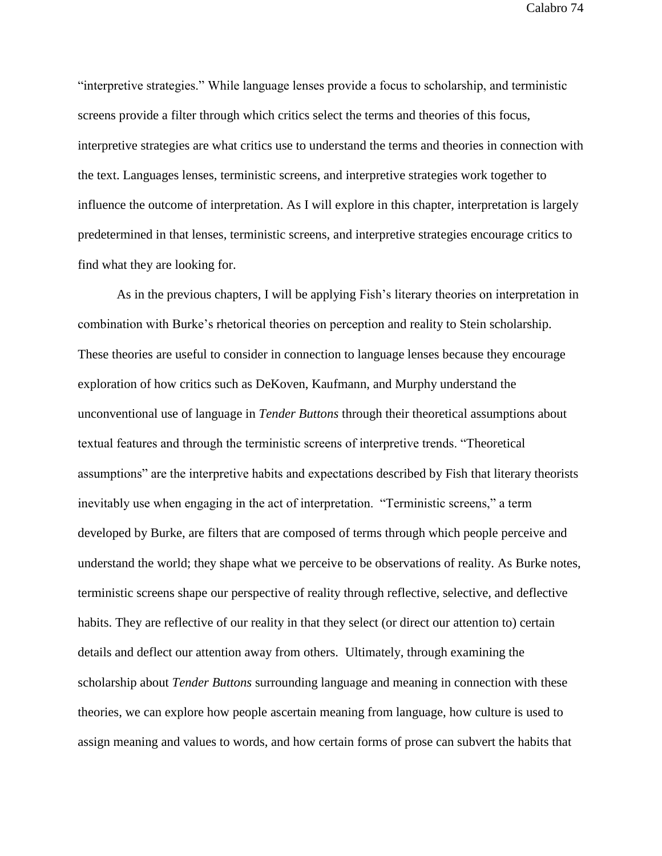"interpretive strategies." While language lenses provide a focus to scholarship, and terministic screens provide a filter through which critics select the terms and theories of this focus, interpretive strategies are what critics use to understand the terms and theories in connection with the text. Languages lenses, terministic screens, and interpretive strategies work together to influence the outcome of interpretation. As I will explore in this chapter, interpretation is largely predetermined in that lenses, terministic screens, and interpretive strategies encourage critics to find what they are looking for.

As in the previous chapters, I will be applying Fish's literary theories on interpretation in combination with Burke's rhetorical theories on perception and reality to Stein scholarship. These theories are useful to consider in connection to language lenses because they encourage exploration of how critics such as DeKoven, Kaufmann, and Murphy understand the unconventional use of language in *Tender Buttons* through their theoretical assumptions about textual features and through the terministic screens of interpretive trends. "Theoretical assumptions" are the interpretive habits and expectations described by Fish that literary theorists inevitably use when engaging in the act of interpretation. "Terministic screens," a term developed by Burke, are filters that are composed of terms through which people perceive and understand the world; they shape what we perceive to be observations of reality. As Burke notes, terministic screens shape our perspective of reality through reflective, selective, and deflective habits. They are reflective of our reality in that they select (or direct our attention to) certain details and deflect our attention away from others. Ultimately, through examining the scholarship about *Tender Buttons* surrounding language and meaning in connection with these theories, we can explore how people ascertain meaning from language, how culture is used to assign meaning and values to words, and how certain forms of prose can subvert the habits that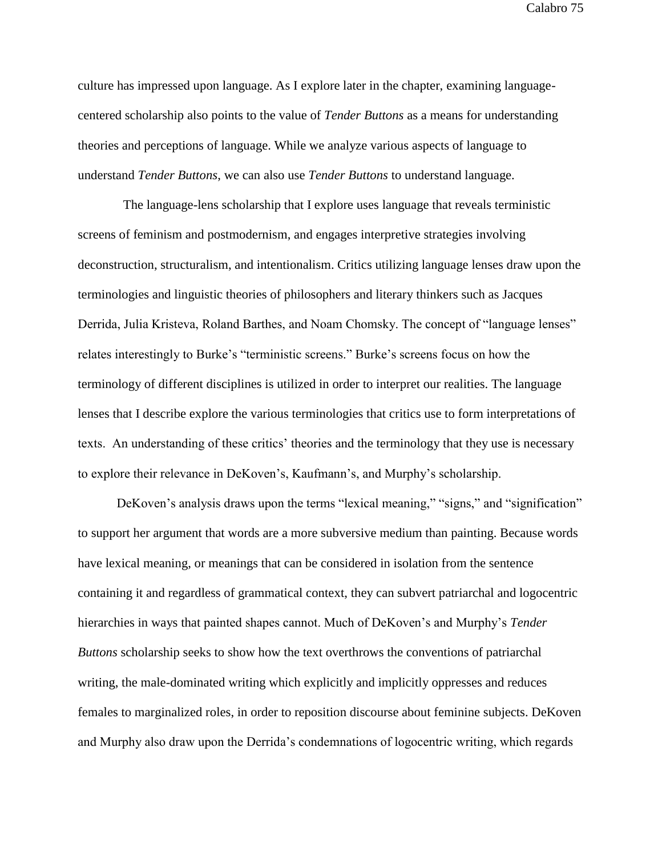culture has impressed upon language. As I explore later in the chapter, examining languagecentered scholarship also points to the value of *Tender Buttons* as a means for understanding theories and perceptions of language. While we analyze various aspects of language to understand *Tender Buttons*, we can also use *Tender Buttons* to understand language.

 The language-lens scholarship that I explore uses language that reveals terministic screens of feminism and postmodernism, and engages interpretive strategies involving deconstruction, structuralism, and intentionalism. Critics utilizing language lenses draw upon the terminologies and linguistic theories of philosophers and literary thinkers such as Jacques Derrida, Julia Kristeva, Roland Barthes, and Noam Chomsky. The concept of "language lenses" relates interestingly to Burke's "terministic screens." Burke's screens focus on how the terminology of different disciplines is utilized in order to interpret our realities. The language lenses that I describe explore the various terminologies that critics use to form interpretations of texts. An understanding of these critics' theories and the terminology that they use is necessary to explore their relevance in DeKoven's, Kaufmann's, and Murphy's scholarship.

DeKoven's analysis draws upon the terms "lexical meaning," "signs," and "signification" to support her argument that words are a more subversive medium than painting. Because words have lexical meaning, or meanings that can be considered in isolation from the sentence containing it and regardless of grammatical context, they can subvert patriarchal and logocentric hierarchies in ways that painted shapes cannot. Much of DeKoven's and Murphy's *Tender Buttons* scholarship seeks to show how the text overthrows the conventions of patriarchal writing, the male-dominated writing which explicitly and implicitly oppresses and reduces females to marginalized roles, in order to reposition discourse about feminine subjects. DeKoven and Murphy also draw upon the Derrida's condemnations of logocentric writing, which regards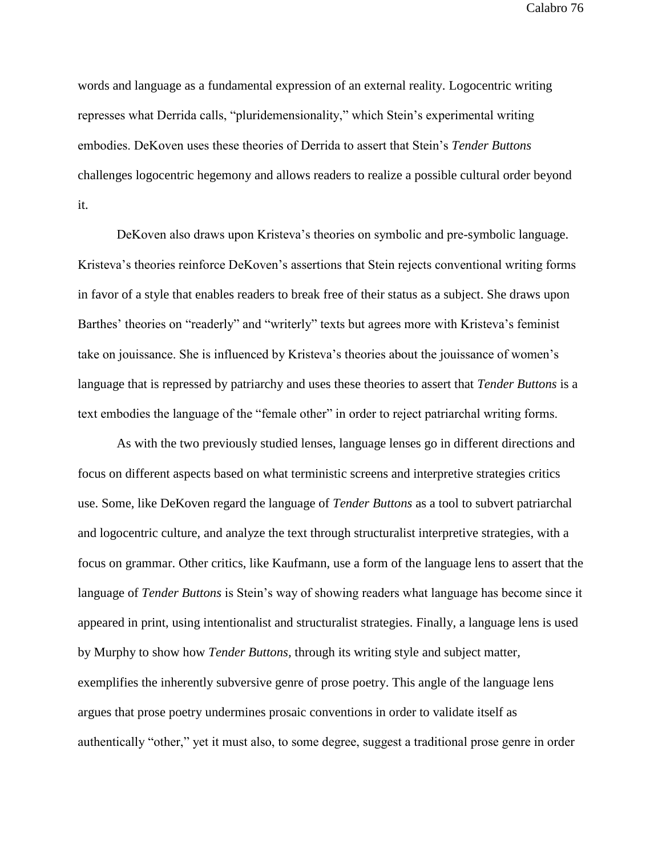words and language as a fundamental expression of an external reality. Logocentric writing represses what Derrida calls, "pluridemensionality," which Stein's experimental writing embodies. DeKoven uses these theories of Derrida to assert that Stein's *Tender Buttons* challenges logocentric hegemony and allows readers to realize a possible cultural order beyond it.

DeKoven also draws upon Kristeva's theories on symbolic and pre-symbolic language. Kristeva's theories reinforce DeKoven's assertions that Stein rejects conventional writing forms in favor of a style that enables readers to break free of their status as a subject. She draws upon Barthes' theories on "readerly" and "writerly" texts but agrees more with Kristeva's feminist take on jouissance. She is influenced by Kristeva's theories about the jouissance of women's language that is repressed by patriarchy and uses these theories to assert that *Tender Buttons* is a text embodies the language of the "female other" in order to reject patriarchal writing forms.

As with the two previously studied lenses, language lenses go in different directions and focus on different aspects based on what terministic screens and interpretive strategies critics use. Some, like DeKoven regard the language of *Tender Buttons* as a tool to subvert patriarchal and logocentric culture, and analyze the text through structuralist interpretive strategies, with a focus on grammar. Other critics, like Kaufmann, use a form of the language lens to assert that the language of *Tender Buttons* is Stein's way of showing readers what language has become since it appeared in print, using intentionalist and structuralist strategies. Finally, a language lens is used by Murphy to show how *Tender Buttons,* through its writing style and subject matter*,* exemplifies the inherently subversive genre of prose poetry. This angle of the language lens argues that prose poetry undermines prosaic conventions in order to validate itself as authentically "other," yet it must also, to some degree, suggest a traditional prose genre in order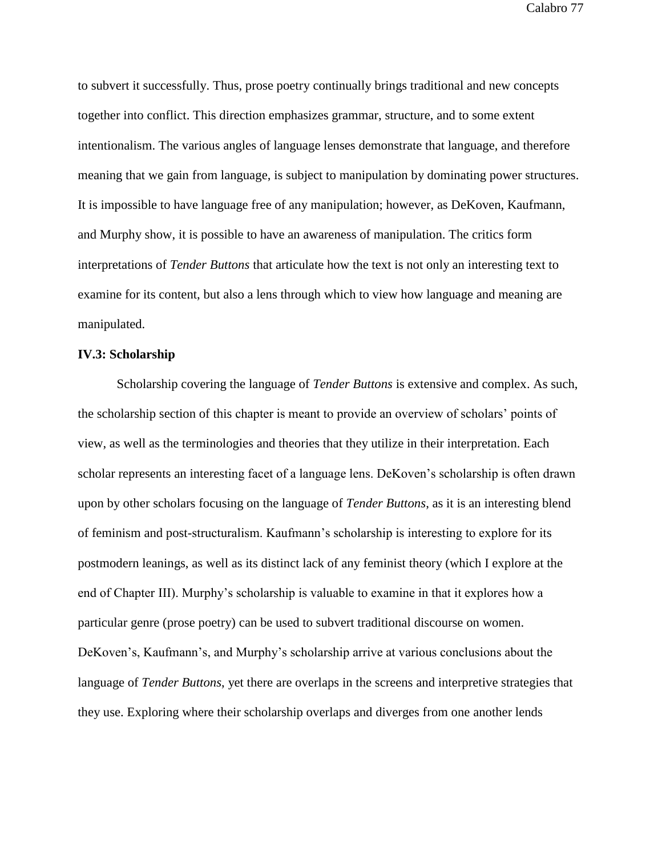to subvert it successfully. Thus, prose poetry continually brings traditional and new concepts together into conflict. This direction emphasizes grammar, structure, and to some extent intentionalism. The various angles of language lenses demonstrate that language, and therefore meaning that we gain from language, is subject to manipulation by dominating power structures. It is impossible to have language free of any manipulation; however, as DeKoven, Kaufmann, and Murphy show, it is possible to have an awareness of manipulation. The critics form interpretations of *Tender Buttons* that articulate how the text is not only an interesting text to examine for its content, but also a lens through which to view how language and meaning are manipulated.

### **IV.3: Scholarship**

Scholarship covering the language of *Tender Buttons* is extensive and complex. As such, the scholarship section of this chapter is meant to provide an overview of scholars' points of view, as well as the terminologies and theories that they utilize in their interpretation. Each scholar represents an interesting facet of a language lens. DeKoven's scholarship is often drawn upon by other scholars focusing on the language of *Tender Buttons*, as it is an interesting blend of feminism and post-structuralism. Kaufmann's scholarship is interesting to explore for its postmodern leanings, as well as its distinct lack of any feminist theory (which I explore at the end of Chapter III). Murphy's scholarship is valuable to examine in that it explores how a particular genre (prose poetry) can be used to subvert traditional discourse on women. DeKoven's, Kaufmann's, and Murphy's scholarship arrive at various conclusions about the language of *Tender Buttons*, yet there are overlaps in the screens and interpretive strategies that they use. Exploring where their scholarship overlaps and diverges from one another lends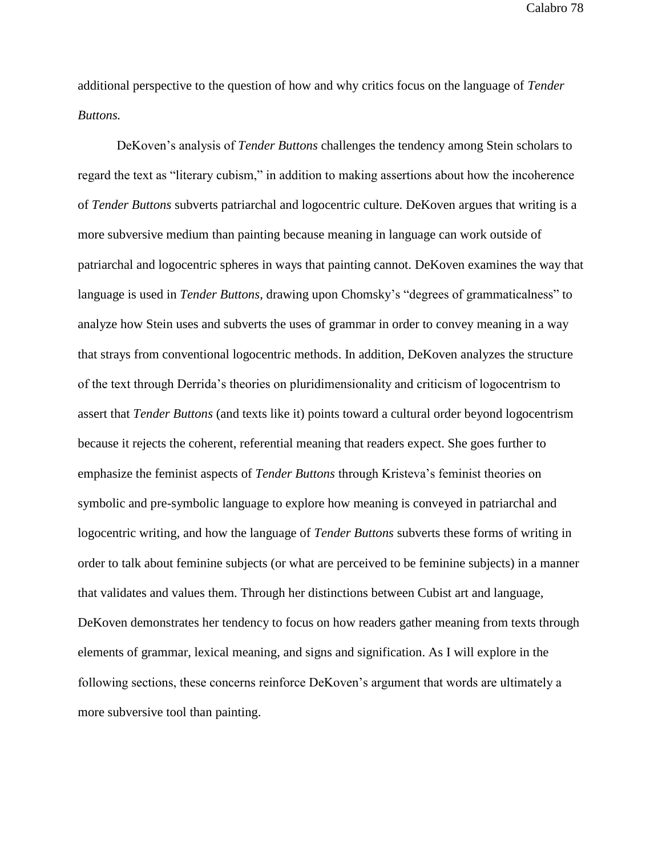additional perspective to the question of how and why critics focus on the language of *Tender Buttons.* 

DeKoven's analysis of *Tender Buttons* challenges the tendency among Stein scholars to regard the text as "literary cubism," in addition to making assertions about how the incoherence of *Tender Buttons* subverts patriarchal and logocentric culture. DeKoven argues that writing is a more subversive medium than painting because meaning in language can work outside of patriarchal and logocentric spheres in ways that painting cannot. DeKoven examines the way that language is used in *Tender Buttons*, drawing upon Chomsky's "degrees of grammaticalness" to analyze how Stein uses and subverts the uses of grammar in order to convey meaning in a way that strays from conventional logocentric methods. In addition, DeKoven analyzes the structure of the text through Derrida's theories on pluridimensionality and criticism of logocentrism to assert that *Tender Buttons* (and texts like it) points toward a cultural order beyond logocentrism because it rejects the coherent, referential meaning that readers expect. She goes further to emphasize the feminist aspects of *Tender Buttons* through Kristeva's feminist theories on symbolic and pre-symbolic language to explore how meaning is conveyed in patriarchal and logocentric writing, and how the language of *Tender Buttons* subverts these forms of writing in order to talk about feminine subjects (or what are perceived to be feminine subjects) in a manner that validates and values them. Through her distinctions between Cubist art and language, DeKoven demonstrates her tendency to focus on how readers gather meaning from texts through elements of grammar, lexical meaning, and signs and signification. As I will explore in the following sections, these concerns reinforce DeKoven's argument that words are ultimately a more subversive tool than painting.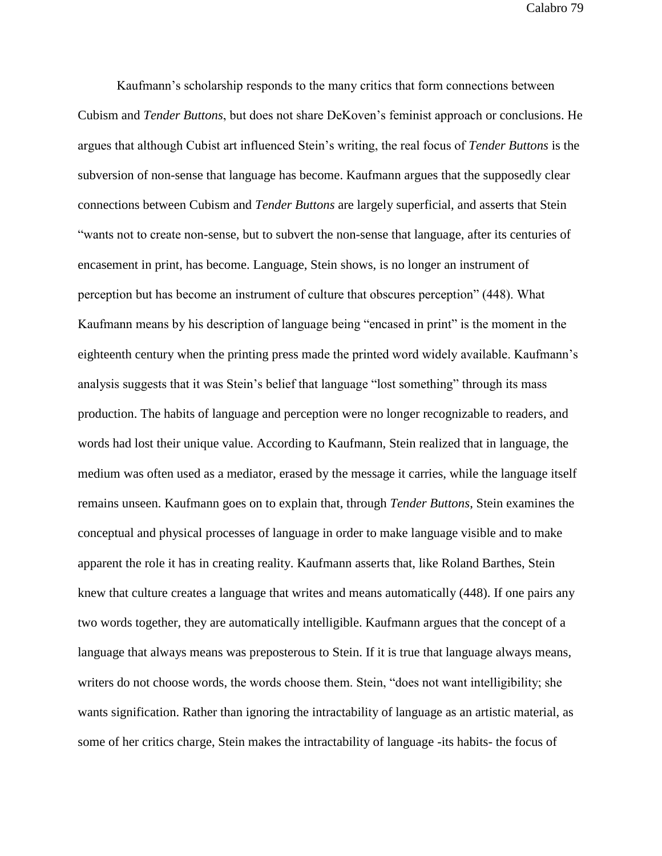Kaufmann's scholarship responds to the many critics that form connections between Cubism and *Tender Buttons*, but does not share DeKoven's feminist approach or conclusions. He argues that although Cubist art influenced Stein's writing, the real focus of *Tender Buttons* is the subversion of non-sense that language has become. Kaufmann argues that the supposedly clear connections between Cubism and *Tender Buttons* are largely superficial, and asserts that Stein "wants not to create non-sense, but to subvert the non-sense that language, after its centuries of encasement in print, has become. Language, Stein shows, is no longer an instrument of perception but has become an instrument of culture that obscures perception" (448). What Kaufmann means by his description of language being "encased in print" is the moment in the eighteenth century when the printing press made the printed word widely available. Kaufmann's analysis suggests that it was Stein's belief that language "lost something" through its mass production. The habits of language and perception were no longer recognizable to readers, and words had lost their unique value. According to Kaufmann, Stein realized that in language, the medium was often used as a mediator, erased by the message it carries, while the language itself remains unseen. Kaufmann goes on to explain that, through *Tender Buttons*, Stein examines the conceptual and physical processes of language in order to make language visible and to make apparent the role it has in creating reality. Kaufmann asserts that, like Roland Barthes, Stein knew that culture creates a language that writes and means automatically (448). If one pairs any two words together, they are automatically intelligible. Kaufmann argues that the concept of a language that always means was preposterous to Stein. If it is true that language always means, writers do not choose words, the words choose them. Stein, "does not want intelligibility; she wants signification. Rather than ignoring the intractability of language as an artistic material, as some of her critics charge, Stein makes the intractability of language -its habits- the focus of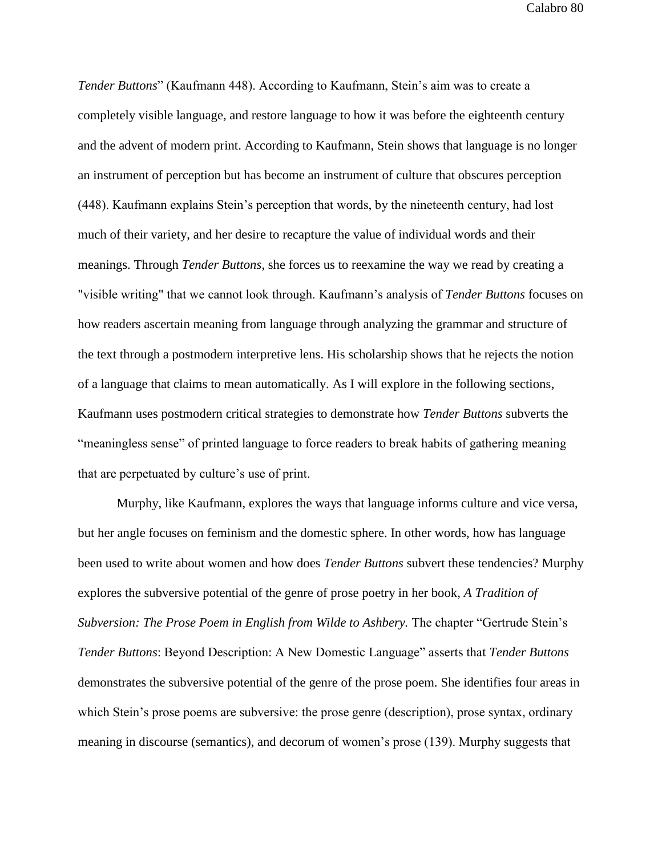*Tender Buttons*" (Kaufmann 448). According to Kaufmann, Stein's aim was to create a completely visible language, and restore language to how it was before the eighteenth century and the advent of modern print. According to Kaufmann, Stein shows that language is no longer an instrument of perception but has become an instrument of culture that obscures perception (448). Kaufmann explains Stein's perception that words, by the nineteenth century, had lost much of their variety, and her desire to recapture the value of individual words and their meanings. Through *Tender Buttons*, she forces us to reexamine the way we read by creating a "visible writing" that we cannot look through. Kaufmann's analysis of *Tender Buttons* focuses on how readers ascertain meaning from language through analyzing the grammar and structure of the text through a postmodern interpretive lens. His scholarship shows that he rejects the notion of a language that claims to mean automatically. As I will explore in the following sections, Kaufmann uses postmodern critical strategies to demonstrate how *Tender Buttons* subverts the "meaningless sense" of printed language to force readers to break habits of gathering meaning that are perpetuated by culture's use of print.

Murphy, like Kaufmann, explores the ways that language informs culture and vice versa, but her angle focuses on feminism and the domestic sphere. In other words, how has language been used to write about women and how does *Tender Buttons* subvert these tendencies? Murphy explores the subversive potential of the genre of prose poetry in her book, *A Tradition of Subversion: The Prose Poem in English from Wilde to Ashbery.* The chapter "Gertrude Stein's *Tender Buttons*: Beyond Description: A New Domestic Language" asserts that *Tender Buttons* demonstrates the subversive potential of the genre of the prose poem. She identifies four areas in which Stein's prose poems are subversive: the prose genre (description), prose syntax, ordinary meaning in discourse (semantics), and decorum of women's prose (139). Murphy suggests that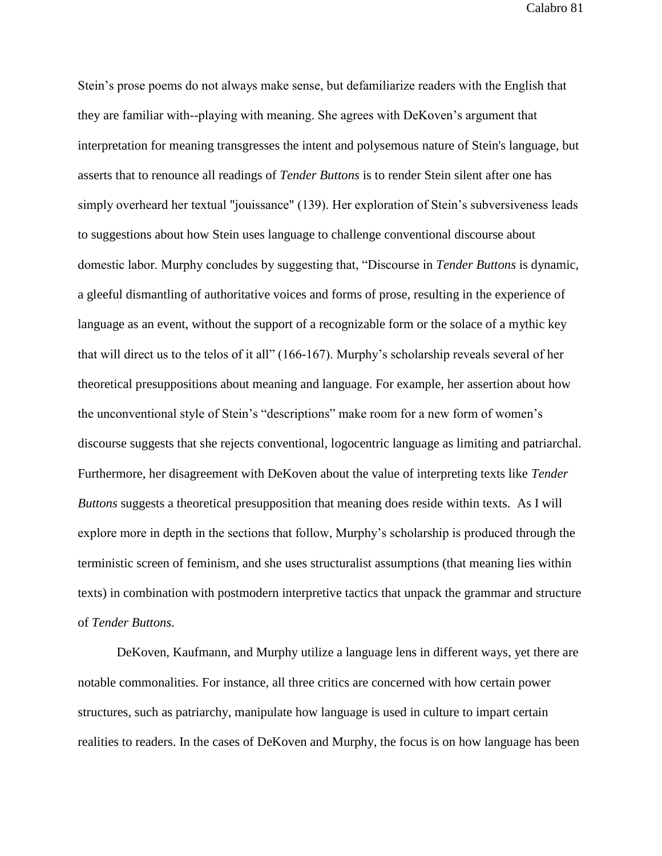Stein's prose poems do not always make sense, but defamiliarize readers with the English that they are familiar with--playing with meaning. She agrees with DeKoven's argument that interpretation for meaning transgresses the intent and polysemous nature of Stein's language, but asserts that to renounce all readings of *Tender Buttons* is to render Stein silent after one has simply overheard her textual "jouissance" (139). Her exploration of Stein's subversiveness leads to suggestions about how Stein uses language to challenge conventional discourse about domestic labor. Murphy concludes by suggesting that, "Discourse in *Tender Buttons* is dynamic, a gleeful dismantling of authoritative voices and forms of prose, resulting in the experience of language as an event, without the support of a recognizable form or the solace of a mythic key that will direct us to the telos of it all" (166-167). Murphy's scholarship reveals several of her theoretical presuppositions about meaning and language. For example, her assertion about how the unconventional style of Stein's "descriptions" make room for a new form of women's discourse suggests that she rejects conventional, logocentric language as limiting and patriarchal. Furthermore, her disagreement with DeKoven about the value of interpreting texts like *Tender Buttons* suggests a theoretical presupposition that meaning does reside within texts. As I will explore more in depth in the sections that follow, Murphy's scholarship is produced through the terministic screen of feminism, and she uses structuralist assumptions (that meaning lies within texts) in combination with postmodern interpretive tactics that unpack the grammar and structure of *Tender Buttons*.

DeKoven, Kaufmann, and Murphy utilize a language lens in different ways, yet there are notable commonalities. For instance, all three critics are concerned with how certain power structures, such as patriarchy, manipulate how language is used in culture to impart certain realities to readers. In the cases of DeKoven and Murphy, the focus is on how language has been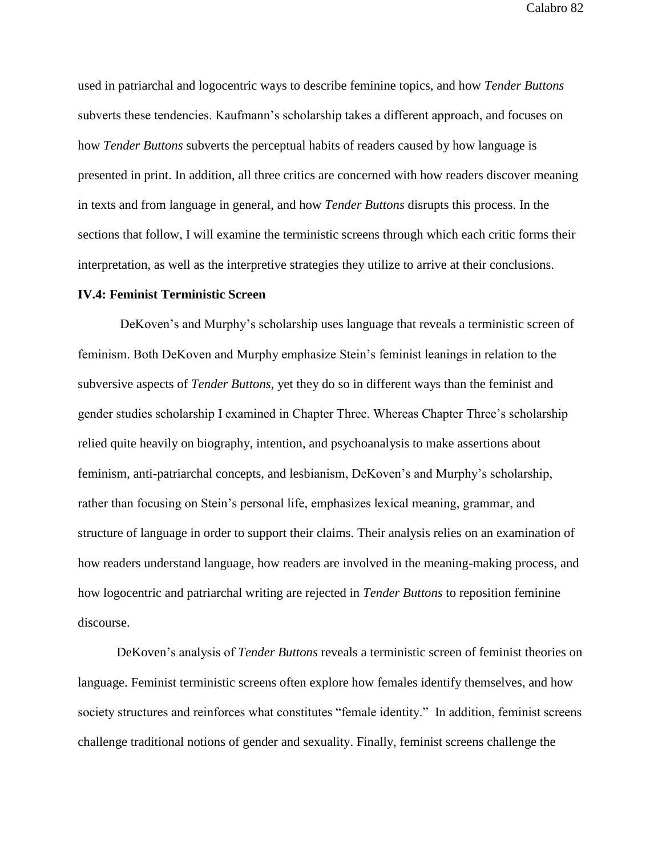used in patriarchal and logocentric ways to describe feminine topics, and how *Tender Buttons* subverts these tendencies. Kaufmann's scholarship takes a different approach, and focuses on how *Tender Buttons* subverts the perceptual habits of readers caused by how language is presented in print. In addition, all three critics are concerned with how readers discover meaning in texts and from language in general, and how *Tender Buttons* disrupts this process. In the sections that follow, I will examine the terministic screens through which each critic forms their interpretation, as well as the interpretive strategies they utilize to arrive at their conclusions.

### **IV.4: Feminist Terministic Screen**

DeKoven's and Murphy's scholarship uses language that reveals a terministic screen of feminism. Both DeKoven and Murphy emphasize Stein's feminist leanings in relation to the subversive aspects of *Tender Buttons*, yet they do so in different ways than the feminist and gender studies scholarship I examined in Chapter Three. Whereas Chapter Three's scholarship relied quite heavily on biography, intention, and psychoanalysis to make assertions about feminism, anti-patriarchal concepts, and lesbianism, DeKoven's and Murphy's scholarship, rather than focusing on Stein's personal life, emphasizes lexical meaning, grammar, and structure of language in order to support their claims. Their analysis relies on an examination of how readers understand language, how readers are involved in the meaning-making process, and how logocentric and patriarchal writing are rejected in *Tender Buttons* to reposition feminine discourse.

DeKoven's analysis of *Tender Buttons* reveals a terministic screen of feminist theories on language. Feminist terministic screens often explore how females identify themselves, and how society structures and reinforces what constitutes "female identity." In addition, feminist screens challenge traditional notions of gender and sexuality. Finally, feminist screens challenge the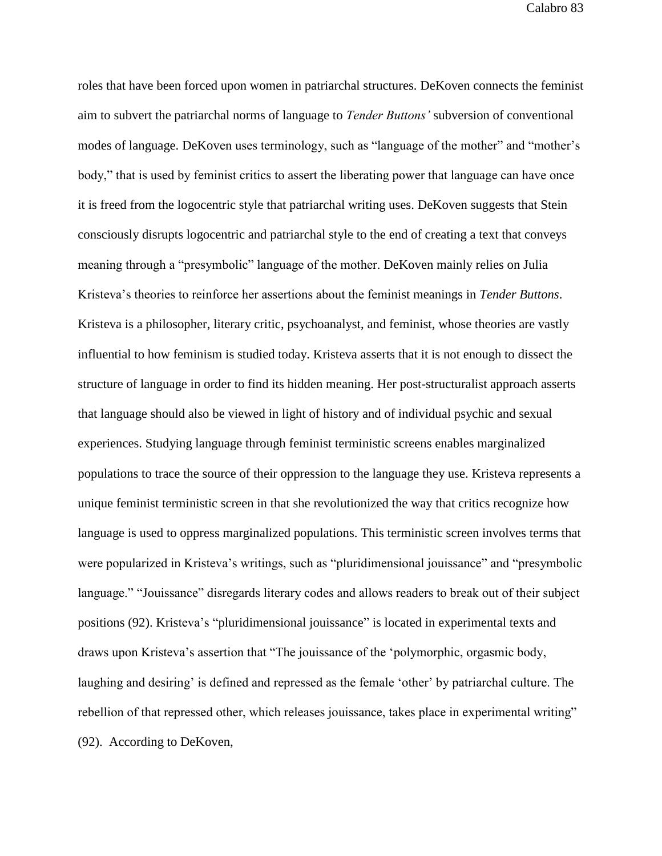roles that have been forced upon women in patriarchal structures. DeKoven connects the feminist aim to subvert the patriarchal norms of language to *Tender Buttons'* subversion of conventional modes of language. DeKoven uses terminology, such as "language of the mother" and "mother's body," that is used by feminist critics to assert the liberating power that language can have once it is freed from the logocentric style that patriarchal writing uses. DeKoven suggests that Stein consciously disrupts logocentric and patriarchal style to the end of creating a text that conveys meaning through a "presymbolic" language of the mother. DeKoven mainly relies on Julia Kristeva's theories to reinforce her assertions about the feminist meanings in *Tender Buttons*. Kristeva is a philosopher, literary critic, psychoanalyst, and feminist, whose theories are vastly influential to how feminism is studied today. Kristeva asserts that it is not enough to dissect the structure of language in order to find its hidden meaning. Her post-structuralist approach asserts that language should also be viewed in light of history and of individual psychic and sexual experiences. Studying language through feminist terministic screens enables marginalized populations to trace the source of their oppression to the language they use. Kristeva represents a unique feminist terministic screen in that she revolutionized the way that critics recognize how language is used to oppress marginalized populations. This terministic screen involves terms that were popularized in Kristeva's writings, such as "pluridimensional jouissance" and "presymbolic language." "Jouissance" disregards literary codes and allows readers to break out of their subject positions (92). Kristeva's "pluridimensional jouissance" is located in experimental texts and draws upon Kristeva's assertion that "The jouissance of the 'polymorphic, orgasmic body, laughing and desiring' is defined and repressed as the female 'other' by patriarchal culture. The rebellion of that repressed other, which releases jouissance, takes place in experimental writing" (92). According to DeKoven,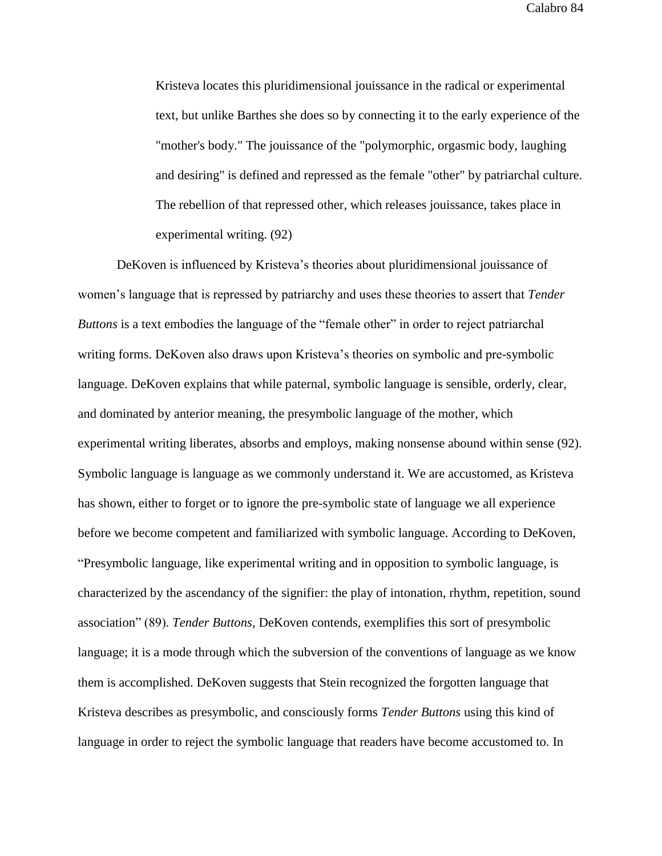Kristeva locates this pluridimensional jouissance in the radical or experimental text, but unlike Barthes she does so by connecting it to the early experience of the "mother's body." The jouissance of the "polymorphic, orgasmic body, laughing and desiring" is defined and repressed as the female "other" by patriarchal culture. The rebellion of that repressed other, which releases jouissance, takes place in experimental writing. (92)

DeKoven is influenced by Kristeva's theories about pluridimensional jouissance of women's language that is repressed by patriarchy and uses these theories to assert that *Tender Buttons* is a text embodies the language of the "female other" in order to reject patriarchal writing forms. DeKoven also draws upon Kristeva's theories on symbolic and pre-symbolic language. DeKoven explains that while paternal, symbolic language is sensible, orderly, clear, and dominated by anterior meaning, the presymbolic language of the mother, which experimental writing liberates, absorbs and employs, making nonsense abound within sense (92). Symbolic language is language as we commonly understand it. We are accustomed, as Kristeva has shown, either to forget or to ignore the pre-symbolic state of language we all experience before we become competent and familiarized with symbolic language. According to DeKoven, "Presymbolic language, like experimental writing and in opposition to symbolic language, is characterized by the ascendancy of the signifier: the play of intonation, rhythm, repetition, sound association" (89). *Tender Buttons,* DeKoven contends, exemplifies this sort of presymbolic language; it is a mode through which the subversion of the conventions of language as we know them is accomplished. DeKoven suggests that Stein recognized the forgotten language that Kristeva describes as presymbolic, and consciously forms *Tender Buttons* using this kind of language in order to reject the symbolic language that readers have become accustomed to. In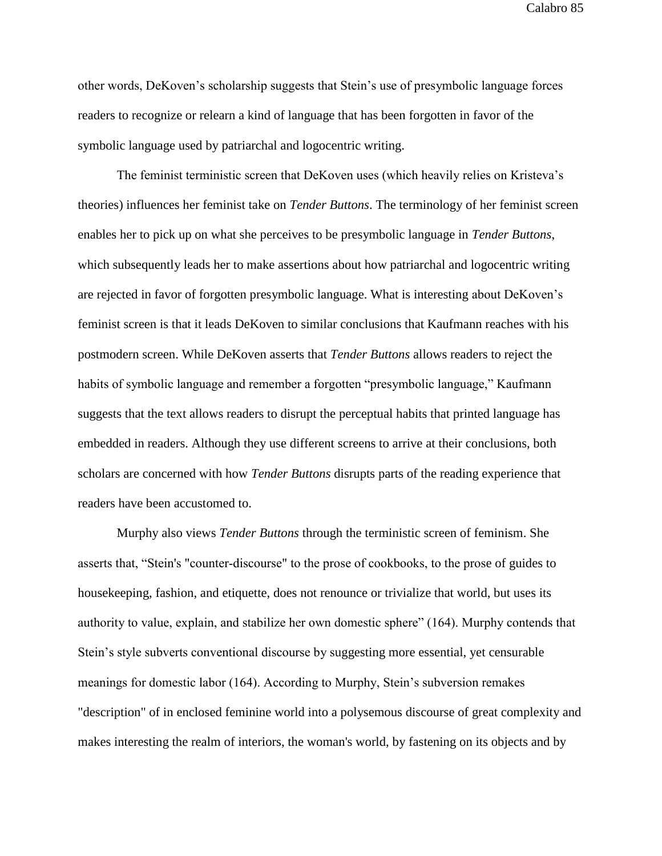other words, DeKoven's scholarship suggests that Stein's use of presymbolic language forces readers to recognize or relearn a kind of language that has been forgotten in favor of the symbolic language used by patriarchal and logocentric writing.

The feminist terministic screen that DeKoven uses (which heavily relies on Kristeva's theories) influences her feminist take on *Tender Buttons*. The terminology of her feminist screen enables her to pick up on what she perceives to be presymbolic language in *Tender Buttons*, which subsequently leads her to make assertions about how patriarchal and logocentric writing are rejected in favor of forgotten presymbolic language. What is interesting about DeKoven's feminist screen is that it leads DeKoven to similar conclusions that Kaufmann reaches with his postmodern screen. While DeKoven asserts that *Tender Buttons* allows readers to reject the habits of symbolic language and remember a forgotten "presymbolic language," Kaufmann suggests that the text allows readers to disrupt the perceptual habits that printed language has embedded in readers. Although they use different screens to arrive at their conclusions, both scholars are concerned with how *Tender Buttons* disrupts parts of the reading experience that readers have been accustomed to.

Murphy also views *Tender Buttons* through the terministic screen of feminism. She asserts that, "Stein's "counter-discourse" to the prose of cookbooks, to the prose of guides to housekeeping, fashion, and etiquette, does not renounce or trivialize that world, but uses its authority to value, explain, and stabilize her own domestic sphere" (164). Murphy contends that Stein's style subverts conventional discourse by suggesting more essential, yet censurable meanings for domestic labor (164). According to Murphy, Stein's subversion remakes "description" of in enclosed feminine world into a polysemous discourse of great complexity and makes interesting the realm of interiors, the woman's world, by fastening on its objects and by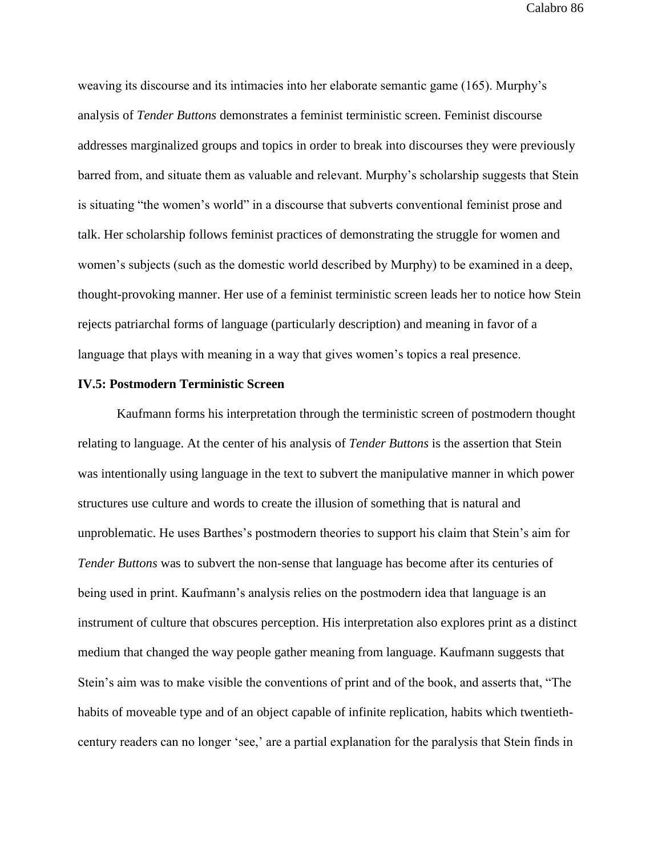weaving its discourse and its intimacies into her elaborate semantic game (165). Murphy's analysis of *Tender Buttons* demonstrates a feminist terministic screen. Feminist discourse addresses marginalized groups and topics in order to break into discourses they were previously barred from, and situate them as valuable and relevant. Murphy's scholarship suggests that Stein is situating "the women's world" in a discourse that subverts conventional feminist prose and talk. Her scholarship follows feminist practices of demonstrating the struggle for women and women's subjects (such as the domestic world described by Murphy) to be examined in a deep, thought-provoking manner. Her use of a feminist terministic screen leads her to notice how Stein rejects patriarchal forms of language (particularly description) and meaning in favor of a language that plays with meaning in a way that gives women's topics a real presence.

#### **IV.5: Postmodern Terministic Screen**

Kaufmann forms his interpretation through the terministic screen of postmodern thought relating to language. At the center of his analysis of *Tender Buttons* is the assertion that Stein was intentionally using language in the text to subvert the manipulative manner in which power structures use culture and words to create the illusion of something that is natural and unproblematic. He uses Barthes's postmodern theories to support his claim that Stein's aim for *Tender Buttons* was to subvert the non-sense that language has become after its centuries of being used in print. Kaufmann's analysis relies on the postmodern idea that language is an instrument of culture that obscures perception. His interpretation also explores print as a distinct medium that changed the way people gather meaning from language. Kaufmann suggests that Stein's aim was to make visible the conventions of print and of the book, and asserts that, "The habits of moveable type and of an object capable of infinite replication, habits which twentiethcentury readers can no longer 'see,' are a partial explanation for the paralysis that Stein finds in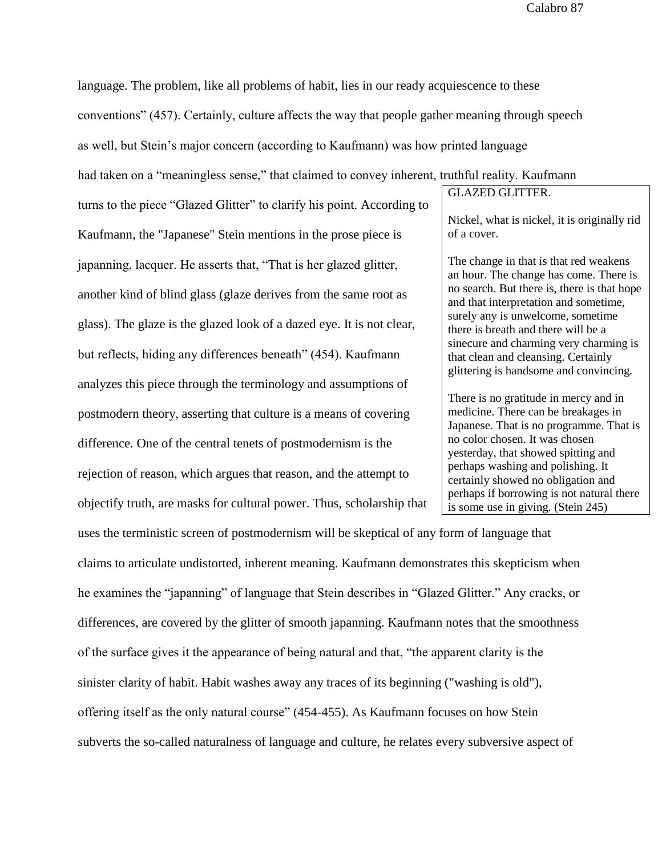language. The problem, like all problems of habit, lies in our ready acquiescence to these

conventions" (457). Certainly, culture affects the way that people gather meaning through speech

as well, but Stein's major concern (according to Kaufmann) was how printed language

had taken on a "meaningless sense," that claimed to convey inherent, truthful reality. Kaufmann

turns to the piece "Glazed Glitter" to clarify his point. According to Kaufmann, the "Japanese" Stein mentions in the prose piece is japanning, lacquer. He asserts that, "That is her glazed glitter, another kind of blind glass (glaze derives from the same root as glass). The glaze is the glazed look of a dazed eye. It is not clear, but reflects, hiding any differences beneath" (454). Kaufmann analyzes this piece through the terminology and assumptions of postmodern theory, asserting that culture is a means of covering difference. One of the central tenets of postmodernism is the rejection of reason, which argues that reason, and the attempt to objectify truth, are masks for cultural power. Thus, scholarship that GLAZED GLITTER. Nickel, what is nickel, it is originally rid of a cover. The change in that is that red weakens an hour. The change has come. There is no search. But there is, there is that hope

and that interpretation and sometime, surely any is unwelcome, sometime there is breath and there will be a sinecure and charming very charming is that clean and cleansing. Certainly glittering is handsome and convincing.

There is no gratitude in mercy and in medicine. There can be breakages in Japanese. That is no programme. That is no color chosen. It was chosen yesterday, that showed spitting and perhaps washing and polishing. It certainly showed no obligation and perhaps if borrowing is not natural there is some use in giving. (Stein 245)

uses the terministic screen of postmodernism will be skeptical of any form of language that claims to articulate undistorted, inherent meaning. Kaufmann demonstrates this skepticism when he examines the "japanning" of language that Stein describes in "Glazed Glitter." Any cracks, or differences, are covered by the glitter of smooth japanning. Kaufmann notes that the smoothness of the surface gives it the appearance of being natural and that, "the apparent clarity is the sinister clarity of habit. Habit washes away any traces of its beginning ("washing is old"), offering itself as the only natural course" (454-455). As Kaufmann focuses on how Stein subverts the so-called naturalness of language and culture, he relates every subversive aspect of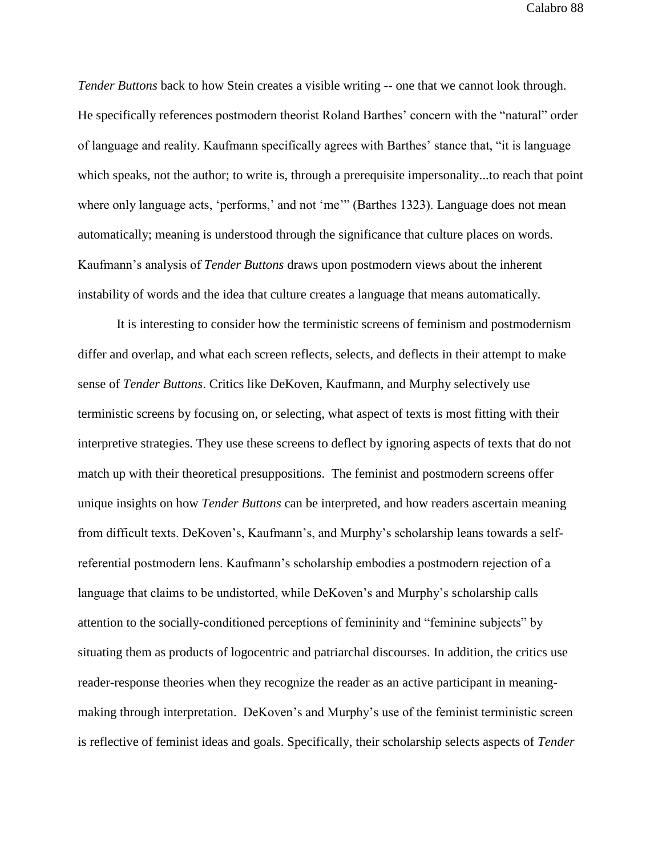*Tender Buttons* back to how Stein creates a visible writing -- one that we cannot look through. He specifically references postmodern theorist Roland Barthes' concern with the "natural" order of language and reality. Kaufmann specifically agrees with Barthes' stance that, "it is language which speaks, not the author; to write is, through a prerequisite impersonality...to reach that point where only language acts, 'performs,' and not 'me'" (Barthes 1323). Language does not mean automatically; meaning is understood through the significance that culture places on words. Kaufmann's analysis of *Tender Buttons* draws upon postmodern views about the inherent instability of words and the idea that culture creates a language that means automatically.

It is interesting to consider how the terministic screens of feminism and postmodernism differ and overlap, and what each screen reflects, selects, and deflects in their attempt to make sense of *Tender Buttons*. Critics like DeKoven, Kaufmann, and Murphy selectively use terministic screens by focusing on, or selecting, what aspect of texts is most fitting with their interpretive strategies. They use these screens to deflect by ignoring aspects of texts that do not match up with their theoretical presuppositions. The feminist and postmodern screens offer unique insights on how *Tender Buttons* can be interpreted, and how readers ascertain meaning from difficult texts. DeKoven's, Kaufmann's, and Murphy's scholarship leans towards a selfreferential postmodern lens. Kaufmann's scholarship embodies a postmodern rejection of a language that claims to be undistorted, while DeKoven's and Murphy's scholarship calls attention to the socially-conditioned perceptions of femininity and "feminine subjects" by situating them as products of logocentric and patriarchal discourses. In addition, the critics use reader-response theories when they recognize the reader as an active participant in meaningmaking through interpretation. DeKoven's and Murphy's use of the feminist terministic screen is reflective of feminist ideas and goals. Specifically, their scholarship selects aspects of *Tender*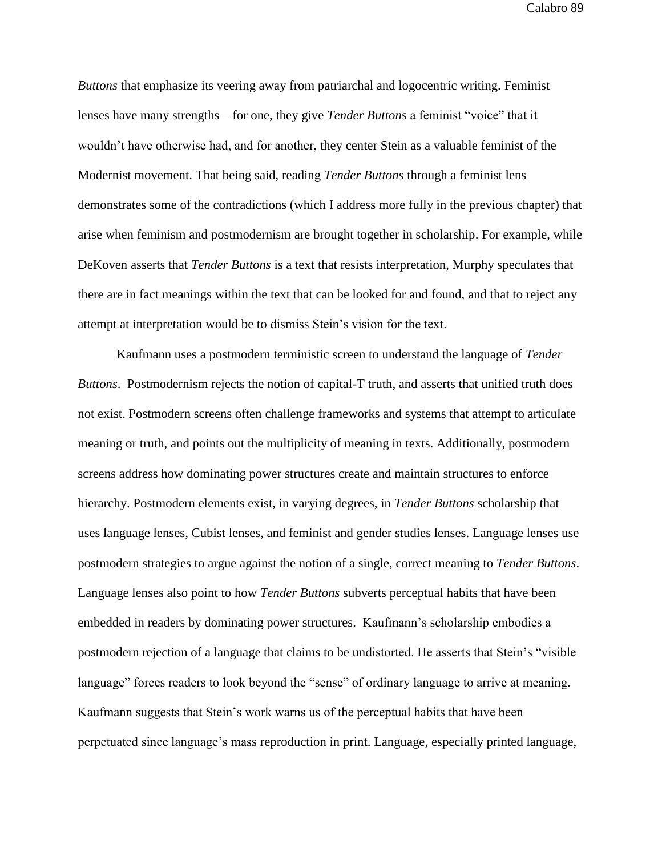*Buttons* that emphasize its veering away from patriarchal and logocentric writing. Feminist lenses have many strengths—for one, they give *Tender Buttons* a feminist "voice" that it wouldn't have otherwise had, and for another, they center Stein as a valuable feminist of the Modernist movement. That being said, reading *Tender Buttons* through a feminist lens demonstrates some of the contradictions (which I address more fully in the previous chapter) that arise when feminism and postmodernism are brought together in scholarship. For example, while DeKoven asserts that *Tender Buttons* is a text that resists interpretation, Murphy speculates that there are in fact meanings within the text that can be looked for and found, and that to reject any attempt at interpretation would be to dismiss Stein's vision for the text.

Kaufmann uses a postmodern terministic screen to understand the language of *Tender Buttons*. Postmodernism rejects the notion of capital-T truth, and asserts that unified truth does not exist. Postmodern screens often challenge frameworks and systems that attempt to articulate meaning or truth, and points out the multiplicity of meaning in texts. Additionally, postmodern screens address how dominating power structures create and maintain structures to enforce hierarchy. Postmodern elements exist, in varying degrees, in *Tender Buttons* scholarship that uses language lenses, Cubist lenses, and feminist and gender studies lenses. Language lenses use postmodern strategies to argue against the notion of a single, correct meaning to *Tender Buttons*. Language lenses also point to how *Tender Buttons* subverts perceptual habits that have been embedded in readers by dominating power structures. Kaufmann's scholarship embodies a postmodern rejection of a language that claims to be undistorted. He asserts that Stein's "visible language" forces readers to look beyond the "sense" of ordinary language to arrive at meaning. Kaufmann suggests that Stein's work warns us of the perceptual habits that have been perpetuated since language's mass reproduction in print. Language, especially printed language,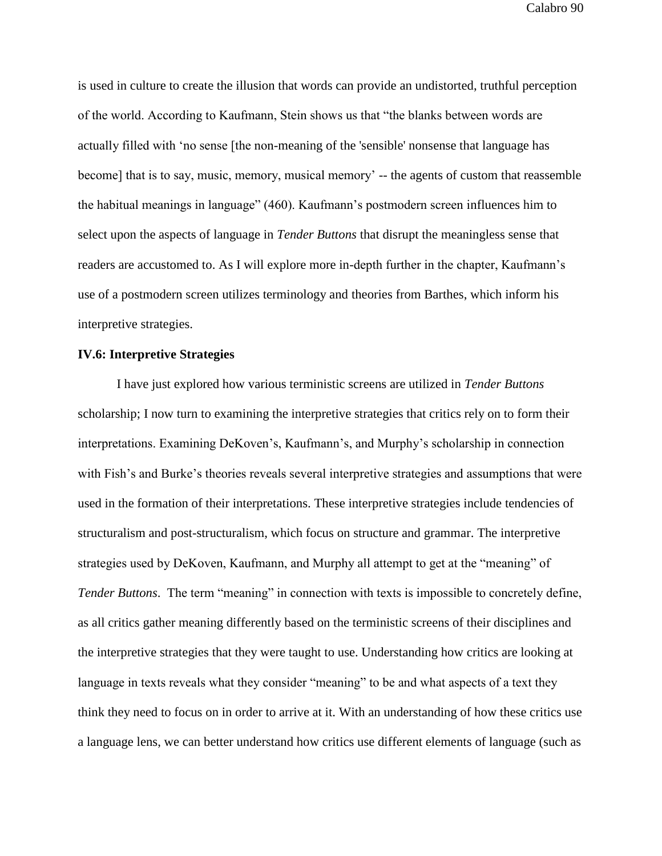is used in culture to create the illusion that words can provide an undistorted, truthful perception of the world. According to Kaufmann, Stein shows us that "the blanks between words are actually filled with 'no sense [the non-meaning of the 'sensible' nonsense that language has become] that is to say, music, memory, musical memory' -- the agents of custom that reassemble the habitual meanings in language" (460). Kaufmann's postmodern screen influences him to select upon the aspects of language in *Tender Buttons* that disrupt the meaningless sense that readers are accustomed to. As I will explore more in-depth further in the chapter, Kaufmann's use of a postmodern screen utilizes terminology and theories from Barthes, which inform his interpretive strategies.

### **IV.6: Interpretive Strategies**

I have just explored how various terministic screens are utilized in *Tender Buttons* scholarship; I now turn to examining the interpretive strategies that critics rely on to form their interpretations. Examining DeKoven's, Kaufmann's, and Murphy's scholarship in connection with Fish's and Burke's theories reveals several interpretive strategies and assumptions that were used in the formation of their interpretations. These interpretive strategies include tendencies of structuralism and post-structuralism, which focus on structure and grammar. The interpretive strategies used by DeKoven, Kaufmann, and Murphy all attempt to get at the "meaning" of *Tender Buttons*. The term "meaning" in connection with texts is impossible to concretely define, as all critics gather meaning differently based on the terministic screens of their disciplines and the interpretive strategies that they were taught to use. Understanding how critics are looking at language in texts reveals what they consider "meaning" to be and what aspects of a text they think they need to focus on in order to arrive at it. With an understanding of how these critics use a language lens, we can better understand how critics use different elements of language (such as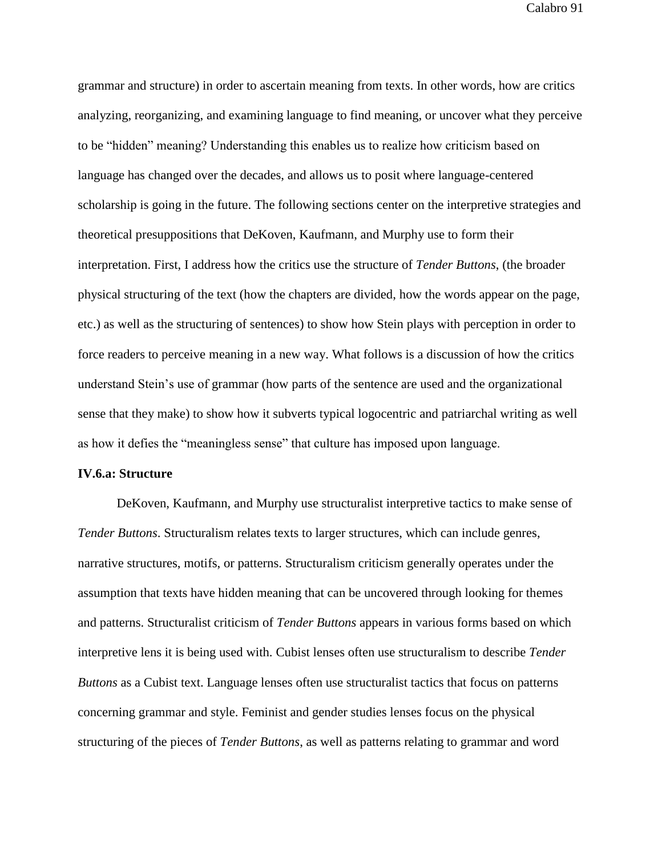grammar and structure) in order to ascertain meaning from texts. In other words, how are critics analyzing, reorganizing, and examining language to find meaning, or uncover what they perceive to be "hidden" meaning? Understanding this enables us to realize how criticism based on language has changed over the decades, and allows us to posit where language-centered scholarship is going in the future. The following sections center on the interpretive strategies and theoretical presuppositions that DeKoven, Kaufmann, and Murphy use to form their interpretation. First, I address how the critics use the structure of *Tender Buttons*, (the broader physical structuring of the text (how the chapters are divided, how the words appear on the page, etc.) as well as the structuring of sentences) to show how Stein plays with perception in order to force readers to perceive meaning in a new way. What follows is a discussion of how the critics understand Stein's use of grammar (how parts of the sentence are used and the organizational sense that they make) to show how it subverts typical logocentric and patriarchal writing as well as how it defies the "meaningless sense" that culture has imposed upon language.

#### **IV.6.a: Structure**

DeKoven, Kaufmann, and Murphy use structuralist interpretive tactics to make sense of *Tender Buttons*. Structuralism relates texts to larger structures, which can include genres, narrative structures, motifs, or patterns. Structuralism criticism generally operates under the assumption that texts have hidden meaning that can be uncovered through looking for themes and patterns. Structuralist criticism of *Tender Buttons* appears in various forms based on which interpretive lens it is being used with. Cubist lenses often use structuralism to describe *Tender Buttons* as a Cubist text. Language lenses often use structuralist tactics that focus on patterns concerning grammar and style. Feminist and gender studies lenses focus on the physical structuring of the pieces of *Tender Buttons*, as well as patterns relating to grammar and word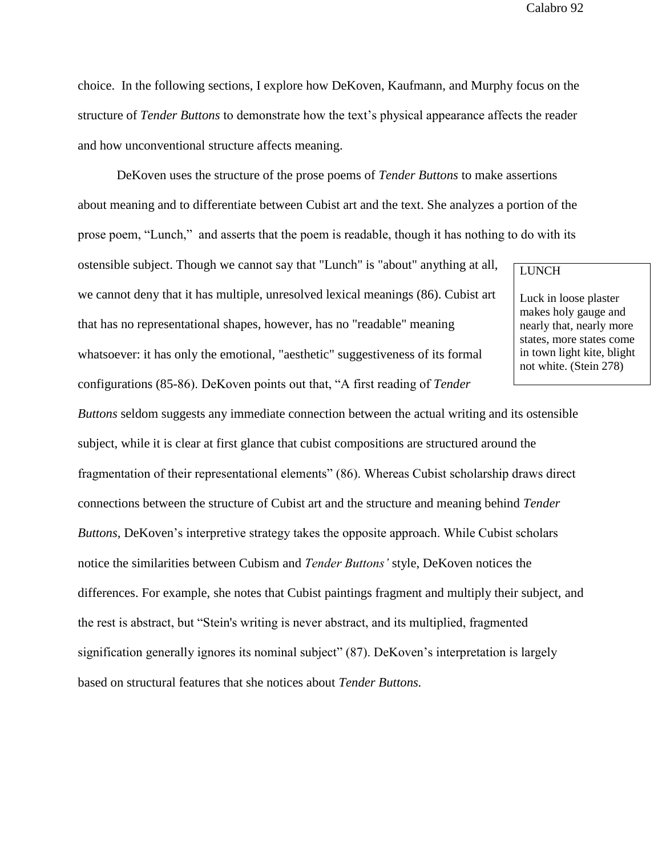choice. In the following sections, I explore how DeKoven, Kaufmann, and Murphy focus on the structure of *Tender Buttons* to demonstrate how the text's physical appearance affects the reader and how unconventional structure affects meaning.

DeKoven uses the structure of the prose poems of *Tender Buttons* to make assertions about meaning and to differentiate between Cubist art and the text. She analyzes a portion of the prose poem, "Lunch," and asserts that the poem is readable, though it has nothing to do with its

ostensible subject. Though we cannot say that "Lunch" is "about" anything at all, we cannot deny that it has multiple, unresolved lexical meanings (86). Cubist art that has no representational shapes, however, has no "readable" meaning whatsoever: it has only the emotional, "aesthetic" suggestiveness of its formal configurations (85-86). DeKoven points out that, "A first reading of *Tender* 

# LUNCH

Luck in loose plaster makes holy gauge and nearly that, nearly more states, more states come in town light kite, blight not white. (Stein 278)

*Buttons* seldom suggests any immediate connection between the actual writing and its ostensible subject, while it is clear at first glance that cubist compositions are structured around the fragmentation of their representational elements" (86). Whereas Cubist scholarship draws direct connections between the structure of Cubist art and the structure and meaning behind *Tender Buttons,* DeKoven's interpretive strategy takes the opposite approach. While Cubist scholars notice the similarities between Cubism and *Tender Buttons'* style, DeKoven notices the differences. For example, she notes that Cubist paintings fragment and multiply their subject, and the rest is abstract, but "Stein's writing is never abstract, and its multiplied, fragmented signification generally ignores its nominal subject" (87). DeKoven's interpretation is largely based on structural features that she notices about *Tender Buttons.*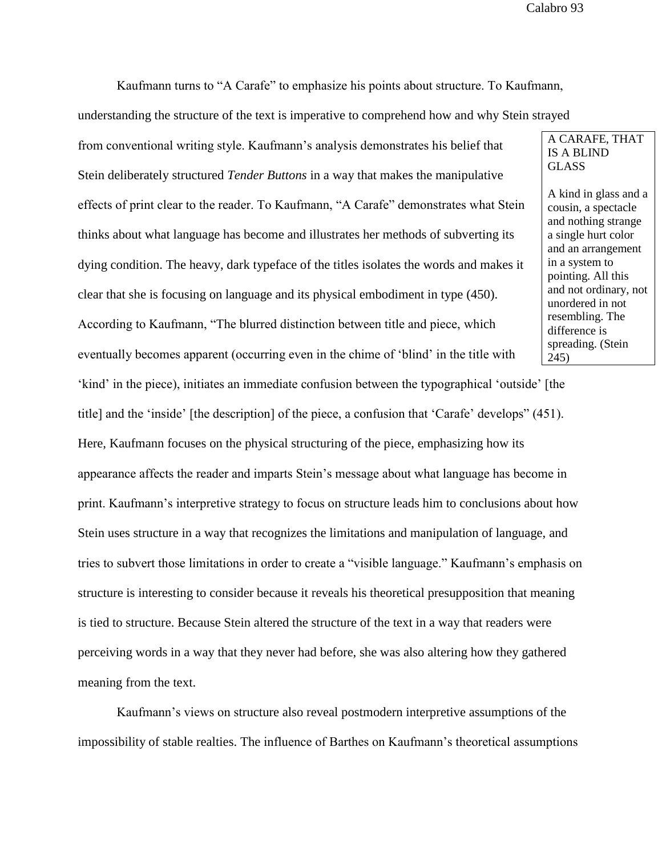Kaufmann turns to "A Carafe" to emphasize his points about structure. To Kaufmann,

understanding the structure of the text is imperative to comprehend how and why Stein strayed

from conventional writing style. Kaufmann's analysis demonstrates his belief that Stein deliberately structured *Tender Buttons* in a way that makes the manipulative effects of print clear to the reader. To Kaufmann, "A Carafe" demonstrates what Stein thinks about what language has become and illustrates her methods of subverting its dying condition. The heavy, dark typeface of the titles isolates the words and makes it clear that she is focusing on language and its physical embodiment in type (450). According to Kaufmann, "The blurred distinction between title and piece, which eventually becomes apparent (occurring even in the chime of 'blind' in the title with 'kind' in the piece), initiates an immediate confusion between the typographical 'outside' [the title] and the 'inside' [the description] of the piece, a confusion that 'Carafe' develops" (451). Here, Kaufmann focuses on the physical structuring of the piece, emphasizing how its

appearance affects the reader and imparts Stein's message about what language has become in print. Kaufmann's interpretive strategy to focus on structure leads him to conclusions about how Stein uses structure in a way that recognizes the limitations and manipulation of language, and tries to subvert those limitations in order to create a "visible language." Kaufmann's emphasis on structure is interesting to consider because it reveals his theoretical presupposition that meaning is tied to structure. Because Stein altered the structure of the text in a way that readers were perceiving words in a way that they never had before, she was also altering how they gathered meaning from the text.

Kaufmann's views on structure also reveal postmodern interpretive assumptions of the impossibility of stable realties. The influence of Barthes on Kaufmann's theoretical assumptions

A CARAFE, THAT IS A BLIND GLASS

A kind in glass and a cousin, a spectacle and nothing strange a single hurt color and an arrangement in a system to pointing. All this and not ordinary, not unordered in not resembling. The difference is spreading. (Stein 245)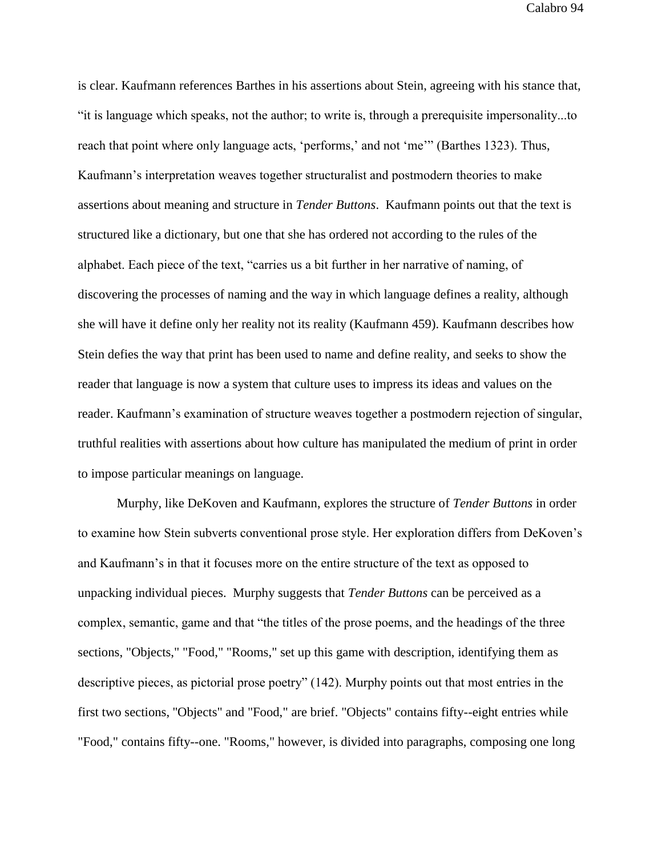is clear. Kaufmann references Barthes in his assertions about Stein, agreeing with his stance that, "it is language which speaks, not the author; to write is, through a prerequisite impersonality...to reach that point where only language acts, 'performs,' and not 'me'" (Barthes 1323). Thus, Kaufmann's interpretation weaves together structuralist and postmodern theories to make assertions about meaning and structure in *Tender Buttons*. Kaufmann points out that the text is structured like a dictionary, but one that she has ordered not according to the rules of the alphabet. Each piece of the text, "carries us a bit further in her narrative of naming, of discovering the processes of naming and the way in which language defines a reality, although she will have it define only her reality not its reality (Kaufmann 459). Kaufmann describes how Stein defies the way that print has been used to name and define reality, and seeks to show the reader that language is now a system that culture uses to impress its ideas and values on the reader. Kaufmann's examination of structure weaves together a postmodern rejection of singular, truthful realities with assertions about how culture has manipulated the medium of print in order to impose particular meanings on language.

Murphy, like DeKoven and Kaufmann, explores the structure of *Tender Buttons* in order to examine how Stein subverts conventional prose style. Her exploration differs from DeKoven's and Kaufmann's in that it focuses more on the entire structure of the text as opposed to unpacking individual pieces. Murphy suggests that *Tender Buttons* can be perceived as a complex, semantic, game and that "the titles of the prose poems, and the headings of the three sections, "Objects," "Food," "Rooms," set up this game with description, identifying them as descriptive pieces, as pictorial prose poetry" (142). Murphy points out that most entries in the first two sections, ''Objects" and "Food," are brief. "Objects" contains fifty--eight entries while "Food," contains fifty--one. "Rooms," however, is divided into paragraphs, composing one long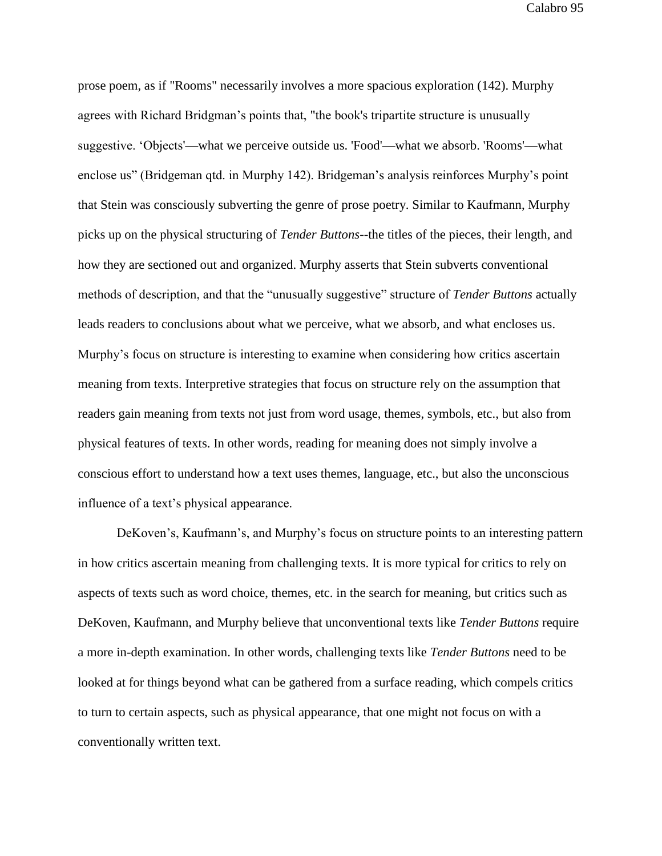prose poem, as if "Rooms" necessarily involves a more spacious exploration (142). Murphy agrees with Richard Bridgman's points that, "the book's tripartite structure is unusually suggestive. 'Objects'—what we perceive outside us. 'Food'—what we absorb. 'Rooms'—what enclose us" (Bridgeman qtd. in Murphy 142). Bridgeman's analysis reinforces Murphy's point that Stein was consciously subverting the genre of prose poetry. Similar to Kaufmann, Murphy picks up on the physical structuring of *Tender Buttons*--the titles of the pieces, their length, and how they are sectioned out and organized. Murphy asserts that Stein subverts conventional methods of description, and that the "unusually suggestive" structure of *Tender Buttons* actually leads readers to conclusions about what we perceive, what we absorb, and what encloses us. Murphy's focus on structure is interesting to examine when considering how critics ascertain meaning from texts. Interpretive strategies that focus on structure rely on the assumption that readers gain meaning from texts not just from word usage, themes, symbols, etc., but also from physical features of texts. In other words, reading for meaning does not simply involve a conscious effort to understand how a text uses themes, language, etc., but also the unconscious influence of a text's physical appearance.

DeKoven's, Kaufmann's, and Murphy's focus on structure points to an interesting pattern in how critics ascertain meaning from challenging texts. It is more typical for critics to rely on aspects of texts such as word choice, themes, etc. in the search for meaning, but critics such as DeKoven, Kaufmann, and Murphy believe that unconventional texts like *Tender Buttons* require a more in-depth examination. In other words, challenging texts like *Tender Buttons* need to be looked at for things beyond what can be gathered from a surface reading, which compels critics to turn to certain aspects, such as physical appearance, that one might not focus on with a conventionally written text.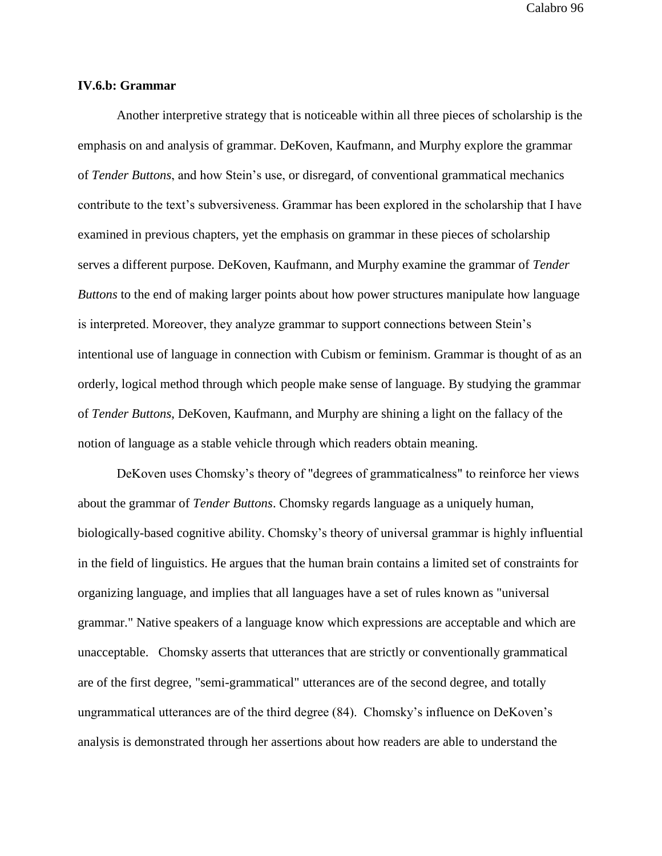## **IV.6.b: Grammar**

Another interpretive strategy that is noticeable within all three pieces of scholarship is the emphasis on and analysis of grammar. DeKoven, Kaufmann, and Murphy explore the grammar of *Tender Buttons*, and how Stein's use, or disregard, of conventional grammatical mechanics contribute to the text's subversiveness. Grammar has been explored in the scholarship that I have examined in previous chapters, yet the emphasis on grammar in these pieces of scholarship serves a different purpose. DeKoven, Kaufmann, and Murphy examine the grammar of *Tender Buttons* to the end of making larger points about how power structures manipulate how language is interpreted. Moreover, they analyze grammar to support connections between Stein's intentional use of language in connection with Cubism or feminism. Grammar is thought of as an orderly, logical method through which people make sense of language. By studying the grammar of *Tender Buttons*, DeKoven, Kaufmann, and Murphy are shining a light on the fallacy of the notion of language as a stable vehicle through which readers obtain meaning.

DeKoven uses Chomsky's theory of "degrees of grammaticalness" to reinforce her views about the grammar of *Tender Buttons*. Chomsky regards language as a uniquely human, biologically-based cognitive ability. Chomsky's theory of universal grammar is highly influential in the field of linguistics. He argues that the human brain contains a limited set of constraints for organizing language, and implies that all languages have a set of rules known as "universal grammar." Native speakers of a language know which expressions are acceptable and which are unacceptable. Chomsky asserts that utterances that are strictly or conventionally grammatical are of the first degree, "semi-grammatical" utterances are of the second degree, and totally ungrammatical utterances are of the third degree (84). Chomsky's influence on DeKoven's analysis is demonstrated through her assertions about how readers are able to understand the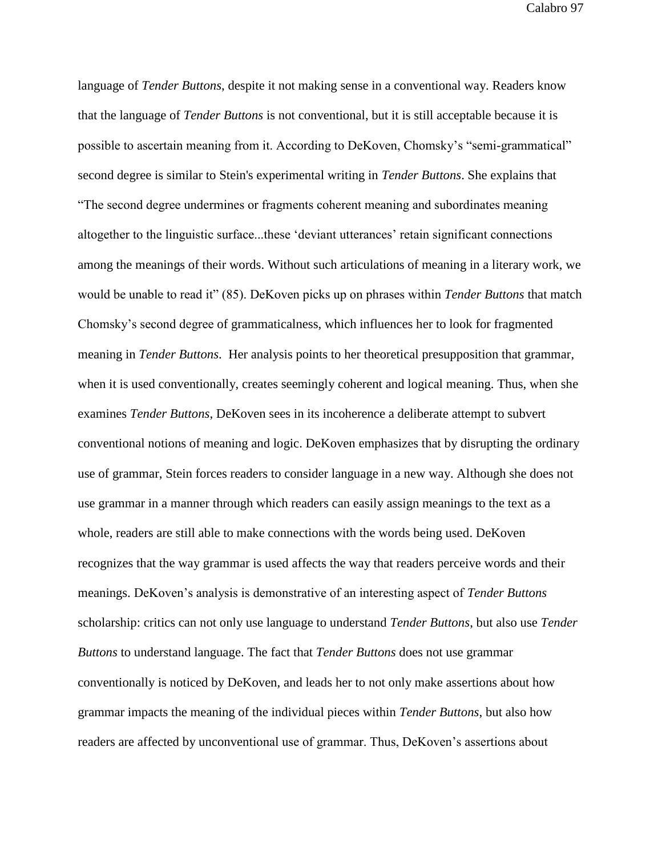language of *Tender Buttons*, despite it not making sense in a conventional way. Readers know that the language of *Tender Buttons* is not conventional, but it is still acceptable because it is possible to ascertain meaning from it. According to DeKoven, Chomsky's "semi-grammatical" second degree is similar to Stein's experimental writing in *Tender Buttons*. She explains that "The second degree undermines or fragments coherent meaning and subordinates meaning altogether to the linguistic surface...these 'deviant utterances' retain significant connections among the meanings of their words. Without such articulations of meaning in a literary work, we would be unable to read it" (85). DeKoven picks up on phrases within *Tender Buttons* that match Chomsky's second degree of grammaticalness, which influences her to look for fragmented meaning in *Tender Buttons*. Her analysis points to her theoretical presupposition that grammar, when it is used conventionally, creates seemingly coherent and logical meaning. Thus, when she examines *Tender Buttons*, DeKoven sees in its incoherence a deliberate attempt to subvert conventional notions of meaning and logic. DeKoven emphasizes that by disrupting the ordinary use of grammar, Stein forces readers to consider language in a new way. Although she does not use grammar in a manner through which readers can easily assign meanings to the text as a whole, readers are still able to make connections with the words being used. DeKoven recognizes that the way grammar is used affects the way that readers perceive words and their meanings. DeKoven's analysis is demonstrative of an interesting aspect of *Tender Buttons* scholarship: critics can not only use language to understand *Tender Buttons*, but also use *Tender Buttons* to understand language. The fact that *Tender Buttons* does not use grammar conventionally is noticed by DeKoven, and leads her to not only make assertions about how grammar impacts the meaning of the individual pieces within *Tender Buttons*, but also how readers are affected by unconventional use of grammar. Thus, DeKoven's assertions about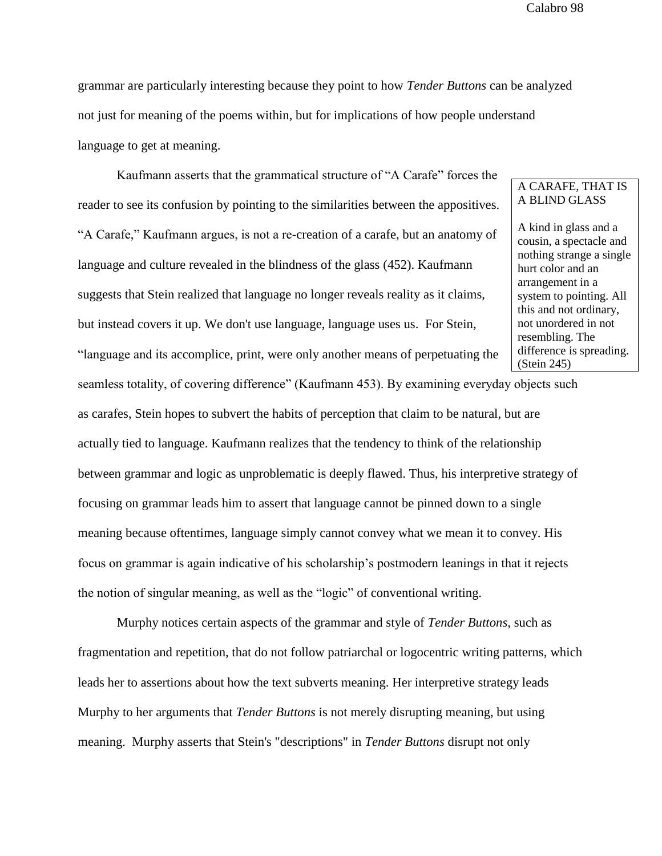grammar are particularly interesting because they point to how *Tender Buttons* can be analyzed not just for meaning of the poems within, but for implications of how people understand language to get at meaning.

Kaufmann asserts that the grammatical structure of "A Carafe" forces the reader to see its confusion by pointing to the similarities between the appositives. "A Carafe," Kaufmann argues, is not a re-creation of a carafe, but an anatomy of language and culture revealed in the blindness of the glass (452). Kaufmann suggests that Stein realized that language no longer reveals reality as it claims, but instead covers it up. We don't use language, language uses us. For Stein,

"language and its accomplice, print, were only another means of perpetuating the

seamless totality, of covering difference" (Kaufmann 453). By examining everyday objects such as carafes, Stein hopes to subvert the habits of perception that claim to be natural, but are actually tied to language. Kaufmann realizes that the tendency to think of the relationship between grammar and logic as unproblematic is deeply flawed. Thus, his interpretive strategy of focusing on grammar leads him to assert that language cannot be pinned down to a single meaning because oftentimes, language simply cannot convey what we mean it to convey. His focus on grammar is again indicative of his scholarship's postmodern leanings in that it rejects the notion of singular meaning, as well as the "logic" of conventional writing.

Murphy notices certain aspects of the grammar and style of *Tender Buttons*, such as fragmentation and repetition, that do not follow patriarchal or logocentric writing patterns, which leads her to assertions about how the text subverts meaning. Her interpretive strategy leads Murphy to her arguments that *Tender Buttons* is not merely disrupting meaning, but using meaning. Murphy asserts that Stein's "descriptions" in *Tender Buttons* disrupt not only

## A CARAFE, THAT IS A BLIND GLASS

A kind in glass and a cousin, a spectacle and nothing strange a single hurt color and an arrangement in a system to pointing. All this and not ordinary, not unordered in not resembling. The difference is spreading. (Stein 245)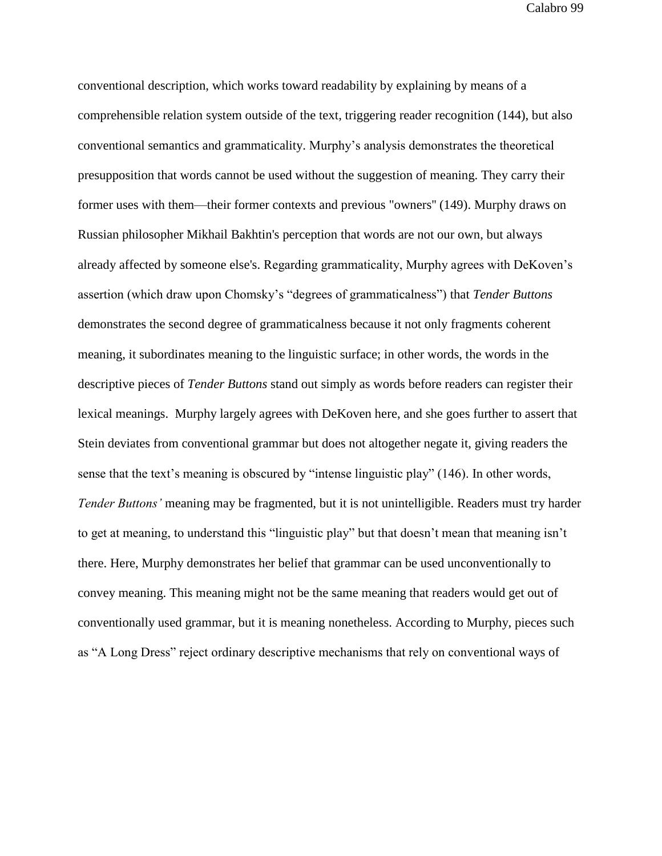conventional description, which works toward readability by explaining by means of a comprehensible relation system outside of the text, triggering reader recognition (144), but also conventional semantics and grammaticality. Murphy's analysis demonstrates the theoretical presupposition that words cannot be used without the suggestion of meaning. They carry their former uses with them—their former contexts and previous "owners'' (149). Murphy draws on Russian philosopher Mikhail Bakhtin's perception that words are not our own, but always already affected by someone else's. Regarding grammaticality, Murphy agrees with DeKoven's assertion (which draw upon Chomsky's "degrees of grammaticalness") that *Tender Buttons* demonstrates the second degree of grammaticalness because it not only fragments coherent meaning, it subordinates meaning to the linguistic surface; in other words, the words in the descriptive pieces of *Tender Buttons* stand out simply as words before readers can register their lexical meanings. Murphy largely agrees with DeKoven here, and she goes further to assert that Stein deviates from conventional grammar but does not altogether negate it, giving readers the sense that the text's meaning is obscured by "intense linguistic play" (146). In other words, *Tender Buttons'* meaning may be fragmented, but it is not unintelligible. Readers must try harder to get at meaning, to understand this "linguistic play" but that doesn't mean that meaning isn't there. Here, Murphy demonstrates her belief that grammar can be used unconventionally to convey meaning. This meaning might not be the same meaning that readers would get out of conventionally used grammar, but it is meaning nonetheless. According to Murphy, pieces such as "A Long Dress" reject ordinary descriptive mechanisms that rely on conventional ways of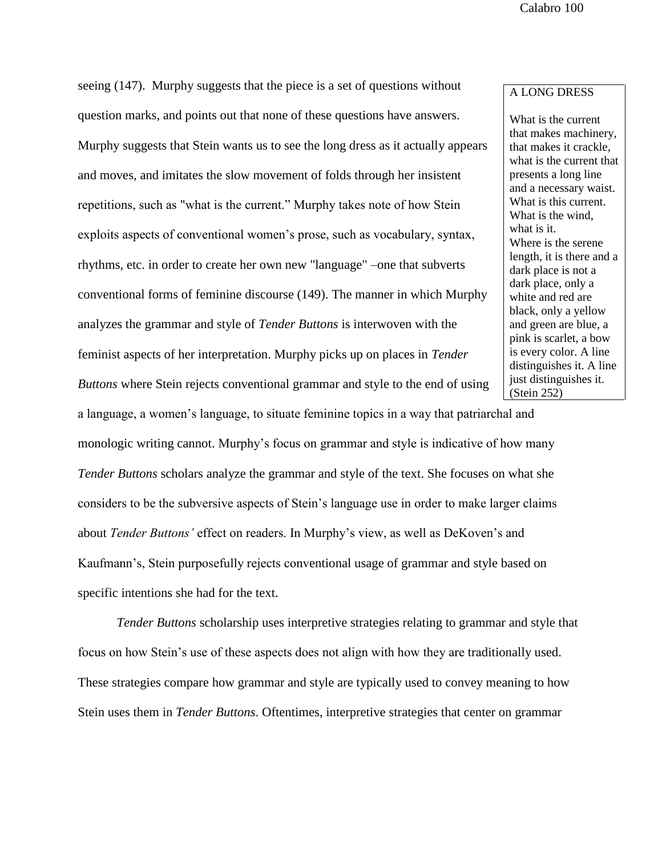seeing (147). Murphy suggests that the piece is a set of questions without question marks, and points out that none of these questions have answers. Murphy suggests that Stein wants us to see the long dress as it actually appears and moves, and imitates the slow movement of folds through her insistent repetitions, such as "what is the current." Murphy takes note of how Stein exploits aspects of conventional women's prose, such as vocabulary, syntax, rhythms, etc. in order to create her own new "language" –one that subverts conventional forms of feminine discourse (149). The manner in which Murphy analyzes the grammar and style of *Tender Buttons* is interwoven with the feminist aspects of her interpretation. Murphy picks up on places in *Tender Buttons* where Stein rejects conventional grammar and style to the end of using

## A LONG DRESS

What is the current that makes machinery, that makes it crackle, what is the current that presents a long line and a necessary waist. What is this current. What is the wind, what is it. Where is the serene length, it is there and a dark place is not a dark place, only a white and red are black, only a yellow and green are blue, a pink is scarlet, a bow is every color. A line distinguishes it. A line just distinguishes it. (Stein 252)

monologic writing cannot. Murphy's focus on grammar and style is indicative of how many *Tender Buttons* scholars analyze the grammar and style of the text. She focuses on what she considers to be the subversive aspects of Stein's language use in order to make larger claims about *Tender Buttons'* effect on readers. In Murphy's view, as well as DeKoven's and Kaufmann's, Stein purposefully rejects conventional usage of grammar and style based on specific intentions she had for the text.

a language, a women's language, to situate feminine topics in a way that patriarchal and

*Tender Buttons* scholarship uses interpretive strategies relating to grammar and style that focus on how Stein's use of these aspects does not align with how they are traditionally used. These strategies compare how grammar and style are typically used to convey meaning to how Stein uses them in *Tender Buttons*. Oftentimes, interpretive strategies that center on grammar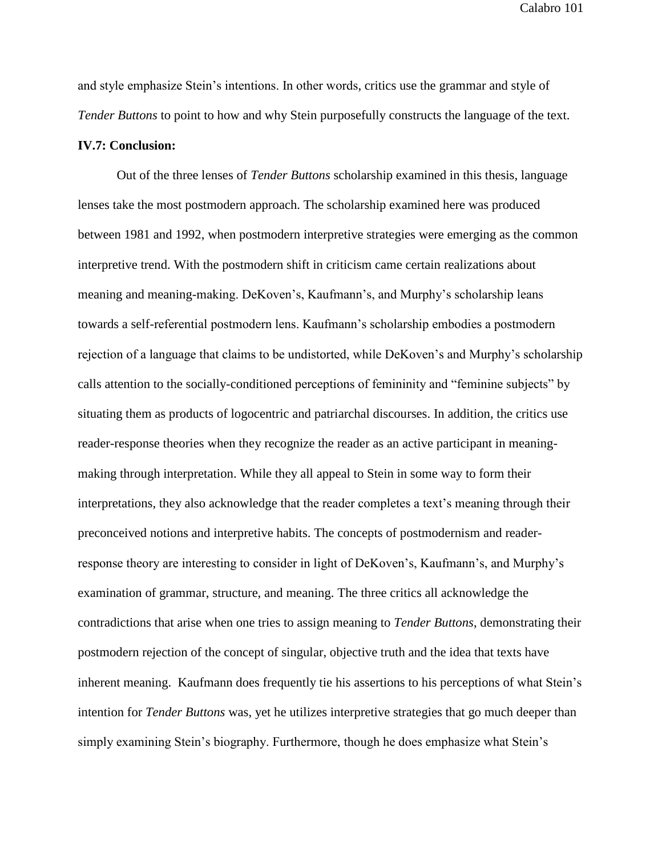and style emphasize Stein's intentions. In other words, critics use the grammar and style of *Tender Buttons* to point to how and why Stein purposefully constructs the language of the text.

### **IV.7: Conclusion:**

Out of the three lenses of *Tender Buttons* scholarship examined in this thesis, language lenses take the most postmodern approach. The scholarship examined here was produced between 1981 and 1992, when postmodern interpretive strategies were emerging as the common interpretive trend. With the postmodern shift in criticism came certain realizations about meaning and meaning-making. DeKoven's, Kaufmann's, and Murphy's scholarship leans towards a self-referential postmodern lens. Kaufmann's scholarship embodies a postmodern rejection of a language that claims to be undistorted, while DeKoven's and Murphy's scholarship calls attention to the socially-conditioned perceptions of femininity and "feminine subjects" by situating them as products of logocentric and patriarchal discourses. In addition, the critics use reader-response theories when they recognize the reader as an active participant in meaningmaking through interpretation. While they all appeal to Stein in some way to form their interpretations, they also acknowledge that the reader completes a text's meaning through their preconceived notions and interpretive habits. The concepts of postmodernism and readerresponse theory are interesting to consider in light of DeKoven's, Kaufmann's, and Murphy's examination of grammar, structure, and meaning. The three critics all acknowledge the contradictions that arise when one tries to assign meaning to *Tender Buttons*, demonstrating their postmodern rejection of the concept of singular, objective truth and the idea that texts have inherent meaning. Kaufmann does frequently tie his assertions to his perceptions of what Stein's intention for *Tender Buttons* was, yet he utilizes interpretive strategies that go much deeper than simply examining Stein's biography. Furthermore, though he does emphasize what Stein's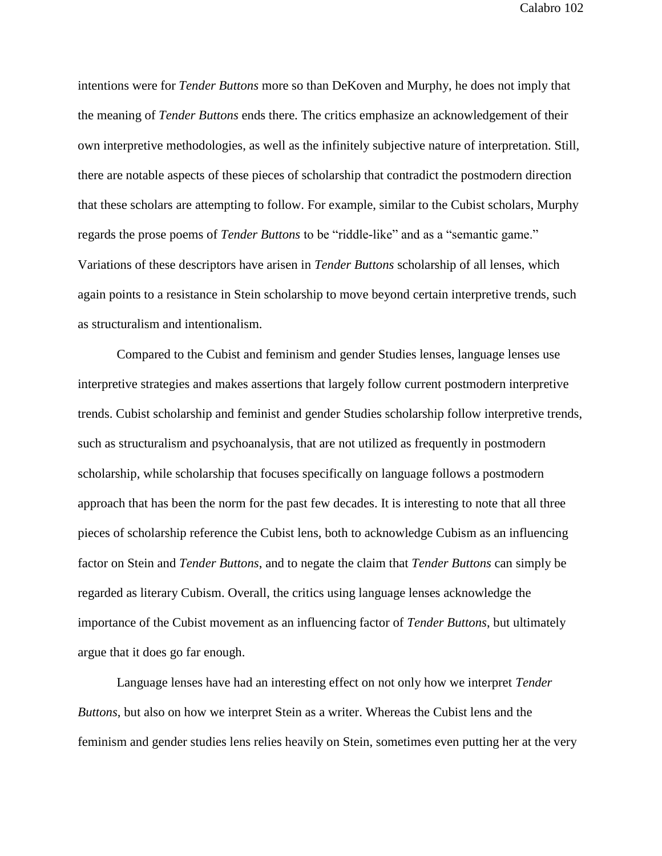intentions were for *Tender Buttons* more so than DeKoven and Murphy, he does not imply that the meaning of *Tender Buttons* ends there. The critics emphasize an acknowledgement of their own interpretive methodologies, as well as the infinitely subjective nature of interpretation. Still, there are notable aspects of these pieces of scholarship that contradict the postmodern direction that these scholars are attempting to follow. For example, similar to the Cubist scholars, Murphy regards the prose poems of *Tender Buttons* to be "riddle-like" and as a "semantic game." Variations of these descriptors have arisen in *Tender Buttons* scholarship of all lenses, which again points to a resistance in Stein scholarship to move beyond certain interpretive trends, such as structuralism and intentionalism.

Compared to the Cubist and feminism and gender Studies lenses, language lenses use interpretive strategies and makes assertions that largely follow current postmodern interpretive trends. Cubist scholarship and feminist and gender Studies scholarship follow interpretive trends, such as structuralism and psychoanalysis, that are not utilized as frequently in postmodern scholarship, while scholarship that focuses specifically on language follows a postmodern approach that has been the norm for the past few decades. It is interesting to note that all three pieces of scholarship reference the Cubist lens, both to acknowledge Cubism as an influencing factor on Stein and *Tender Buttons*, and to negate the claim that *Tender Buttons* can simply be regarded as literary Cubism. Overall, the critics using language lenses acknowledge the importance of the Cubist movement as an influencing factor of *Tender Buttons*, but ultimately argue that it does go far enough.

Language lenses have had an interesting effect on not only how we interpret *Tender Buttons*, but also on how we interpret Stein as a writer. Whereas the Cubist lens and the feminism and gender studies lens relies heavily on Stein, sometimes even putting her at the very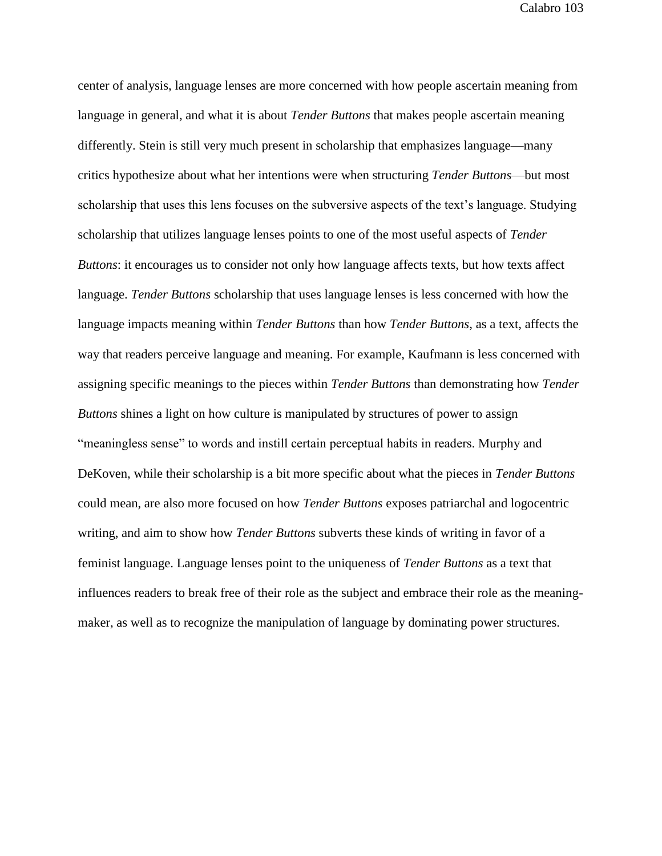center of analysis, language lenses are more concerned with how people ascertain meaning from language in general, and what it is about *Tender Buttons* that makes people ascertain meaning differently. Stein is still very much present in scholarship that emphasizes language—many critics hypothesize about what her intentions were when structuring *Tender Buttons*—but most scholarship that uses this lens focuses on the subversive aspects of the text's language. Studying scholarship that utilizes language lenses points to one of the most useful aspects of *Tender Buttons*: it encourages us to consider not only how language affects texts, but how texts affect language. *Tender Buttons* scholarship that uses language lenses is less concerned with how the language impacts meaning within *Tender Buttons* than how *Tender Buttons*, as a text, affects the way that readers perceive language and meaning. For example, Kaufmann is less concerned with assigning specific meanings to the pieces within *Tender Buttons* than demonstrating how *Tender Buttons* shines a light on how culture is manipulated by structures of power to assign "meaningless sense" to words and instill certain perceptual habits in readers. Murphy and DeKoven, while their scholarship is a bit more specific about what the pieces in *Tender Buttons* could mean, are also more focused on how *Tender Buttons* exposes patriarchal and logocentric writing, and aim to show how *Tender Buttons* subverts these kinds of writing in favor of a feminist language. Language lenses point to the uniqueness of *Tender Buttons* as a text that influences readers to break free of their role as the subject and embrace their role as the meaningmaker, as well as to recognize the manipulation of language by dominating power structures.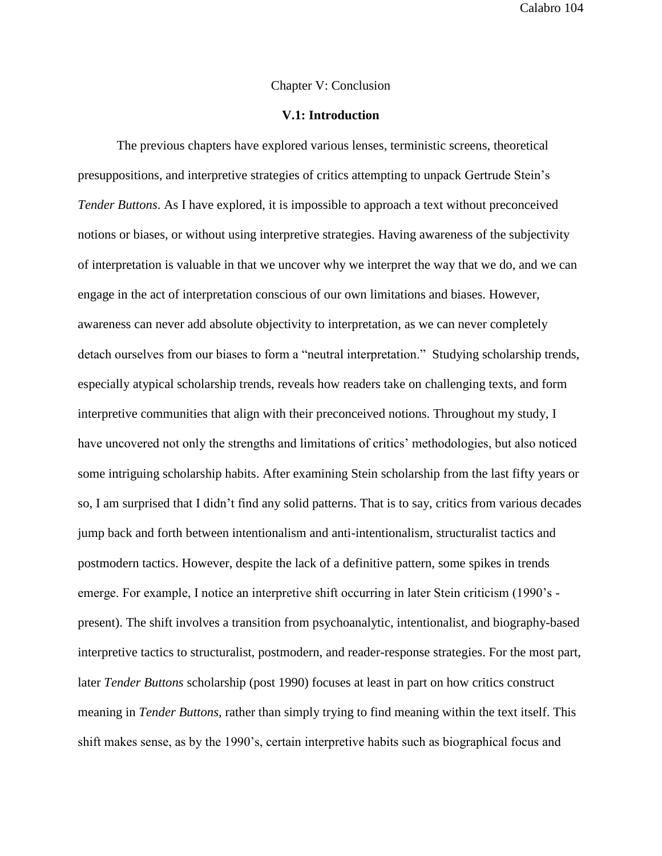### Chapter V: Conclusion

## **V.1: Introduction**

The previous chapters have explored various lenses, terministic screens, theoretical presuppositions, and interpretive strategies of critics attempting to unpack Gertrude Stein's *Tender Buttons*. As I have explored, it is impossible to approach a text without preconceived notions or biases, or without using interpretive strategies. Having awareness of the subjectivity of interpretation is valuable in that we uncover why we interpret the way that we do, and we can engage in the act of interpretation conscious of our own limitations and biases. However, awareness can never add absolute objectivity to interpretation, as we can never completely detach ourselves from our biases to form a "neutral interpretation." Studying scholarship trends, especially atypical scholarship trends, reveals how readers take on challenging texts, and form interpretive communities that align with their preconceived notions. Throughout my study, I have uncovered not only the strengths and limitations of critics' methodologies, but also noticed some intriguing scholarship habits. After examining Stein scholarship from the last fifty years or so, I am surprised that I didn't find any solid patterns. That is to say, critics from various decades jump back and forth between intentionalism and anti-intentionalism, structuralist tactics and postmodern tactics. However, despite the lack of a definitive pattern, some spikes in trends emerge. For example, I notice an interpretive shift occurring in later Stein criticism (1990's present). The shift involves a transition from psychoanalytic, intentionalist, and biography-based interpretive tactics to structuralist, postmodern, and reader-response strategies. For the most part, later *Tender Buttons* scholarship (post 1990) focuses at least in part on how critics construct meaning in *Tender Buttons*, rather than simply trying to find meaning within the text itself. This shift makes sense, as by the 1990's, certain interpretive habits such as biographical focus and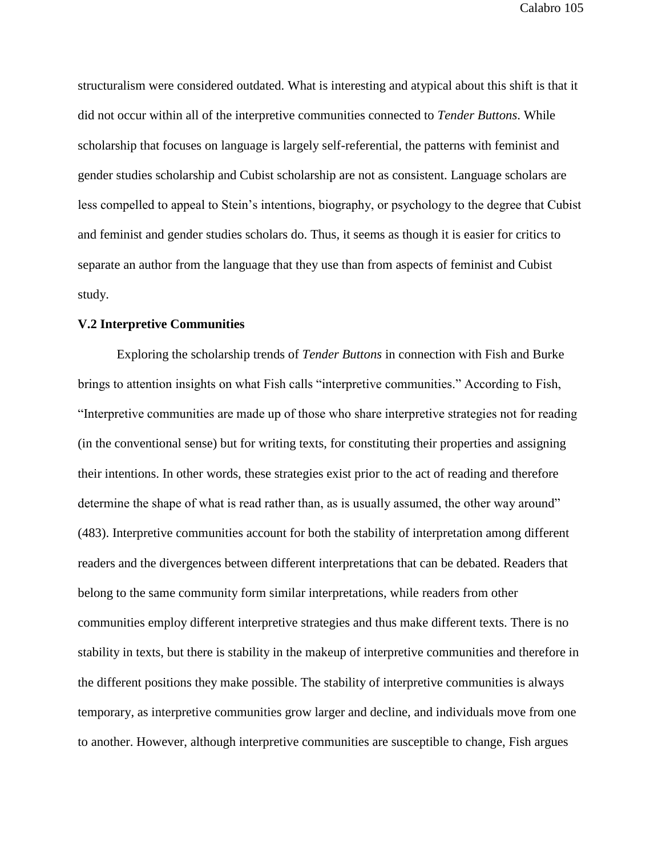structuralism were considered outdated. What is interesting and atypical about this shift is that it did not occur within all of the interpretive communities connected to *Tender Buttons*. While scholarship that focuses on language is largely self-referential, the patterns with feminist and gender studies scholarship and Cubist scholarship are not as consistent. Language scholars are less compelled to appeal to Stein's intentions, biography, or psychology to the degree that Cubist and feminist and gender studies scholars do. Thus, it seems as though it is easier for critics to separate an author from the language that they use than from aspects of feminist and Cubist study.

### **V.2 Interpretive Communities**

Exploring the scholarship trends of *Tender Buttons* in connection with Fish and Burke brings to attention insights on what Fish calls "interpretive communities." According to Fish, "Interpretive communities are made up of those who share interpretive strategies not for reading (in the conventional sense) but for writing texts, for constituting their properties and assigning their intentions. In other words, these strategies exist prior to the act of reading and therefore determine the shape of what is read rather than, as is usually assumed, the other way around" (483). Interpretive communities account for both the stability of interpretation among different readers and the divergences between different interpretations that can be debated. Readers that belong to the same community form similar interpretations, while readers from other communities employ different interpretive strategies and thus make different texts. There is no stability in texts, but there is stability in the makeup of interpretive communities and therefore in the different positions they make possible. The stability of interpretive communities is always temporary, as interpretive communities grow larger and decline, and individuals move from one to another. However, although interpretive communities are susceptible to change, Fish argues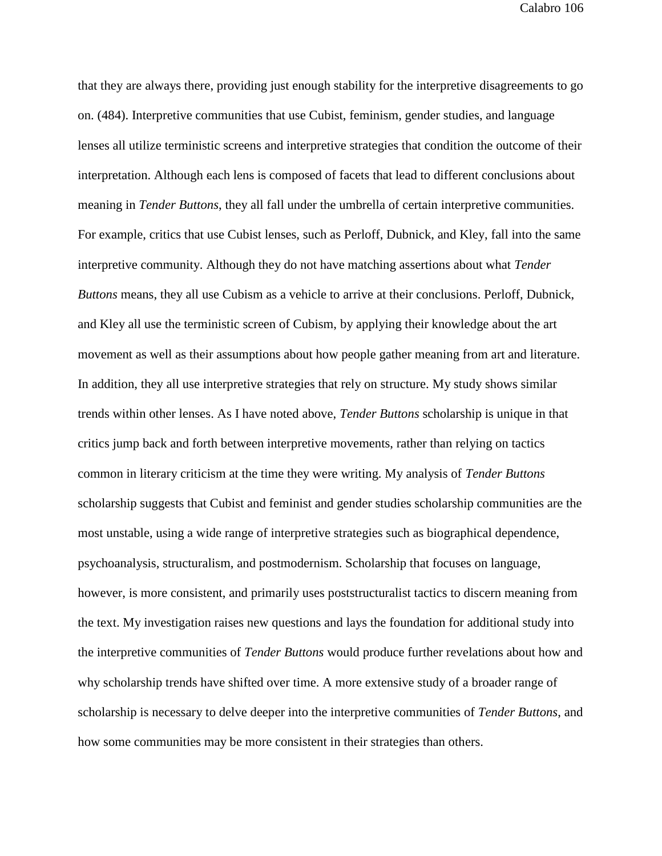that they are always there, providing just enough stability for the interpretive disagreements to go on. (484). Interpretive communities that use Cubist, feminism, gender studies, and language lenses all utilize terministic screens and interpretive strategies that condition the outcome of their interpretation. Although each lens is composed of facets that lead to different conclusions about meaning in *Tender Buttons*, they all fall under the umbrella of certain interpretive communities. For example, critics that use Cubist lenses, such as Perloff, Dubnick, and Kley, fall into the same interpretive community. Although they do not have matching assertions about what *Tender Buttons* means, they all use Cubism as a vehicle to arrive at their conclusions. Perloff, Dubnick, and Kley all use the terministic screen of Cubism, by applying their knowledge about the art movement as well as their assumptions about how people gather meaning from art and literature. In addition, they all use interpretive strategies that rely on structure. My study shows similar trends within other lenses. As I have noted above, *Tender Buttons* scholarship is unique in that critics jump back and forth between interpretive movements, rather than relying on tactics common in literary criticism at the time they were writing. My analysis of *Tender Buttons* scholarship suggests that Cubist and feminist and gender studies scholarship communities are the most unstable, using a wide range of interpretive strategies such as biographical dependence, psychoanalysis, structuralism, and postmodernism. Scholarship that focuses on language, however, is more consistent, and primarily uses poststructuralist tactics to discern meaning from the text. My investigation raises new questions and lays the foundation for additional study into the interpretive communities of *Tender Buttons* would produce further revelations about how and why scholarship trends have shifted over time. A more extensive study of a broader range of scholarship is necessary to delve deeper into the interpretive communities of *Tender Buttons*, and how some communities may be more consistent in their strategies than others.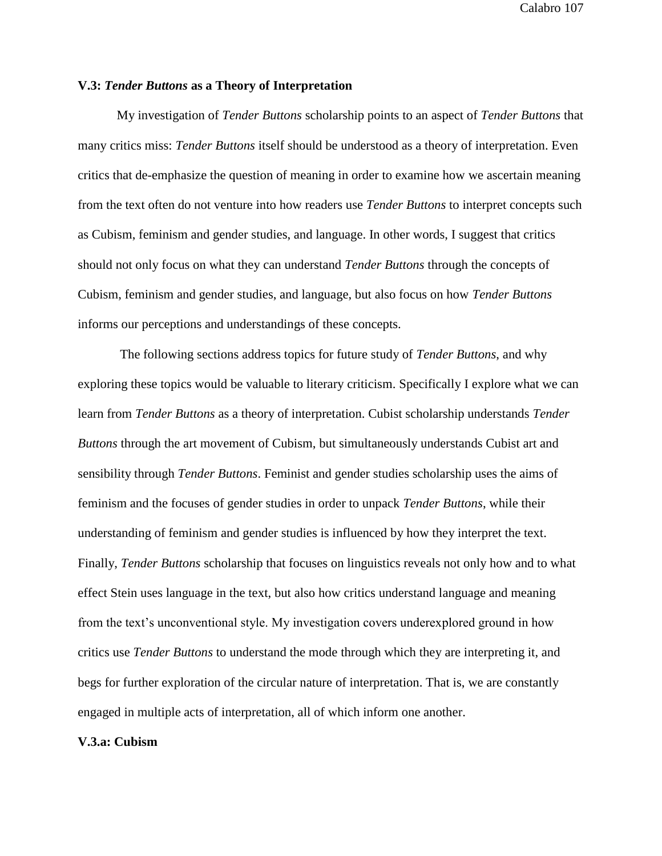## **V.3:** *Tender Buttons* **as a Theory of Interpretation**

My investigation of *Tender Buttons* scholarship points to an aspect of *Tender Buttons* that many critics miss: *Tender Buttons* itself should be understood as a theory of interpretation. Even critics that de-emphasize the question of meaning in order to examine how we ascertain meaning from the text often do not venture into how readers use *Tender Buttons* to interpret concepts such as Cubism, feminism and gender studies, and language. In other words, I suggest that critics should not only focus on what they can understand *Tender Buttons* through the concepts of Cubism, feminism and gender studies, and language, but also focus on how *Tender Buttons* informs our perceptions and understandings of these concepts.

The following sections address topics for future study of *Tender Buttons*, and why exploring these topics would be valuable to literary criticism. Specifically I explore what we can learn from *Tender Buttons* as a theory of interpretation. Cubist scholarship understands *Tender Buttons* through the art movement of Cubism, but simultaneously understands Cubist art and sensibility through *Tender Buttons*. Feminist and gender studies scholarship uses the aims of feminism and the focuses of gender studies in order to unpack *Tender Buttons*, while their understanding of feminism and gender studies is influenced by how they interpret the text. Finally, *Tender Buttons* scholarship that focuses on linguistics reveals not only how and to what effect Stein uses language in the text, but also how critics understand language and meaning from the text's unconventional style. My investigation covers underexplored ground in how critics use *Tender Buttons* to understand the mode through which they are interpreting it, and begs for further exploration of the circular nature of interpretation. That is, we are constantly engaged in multiple acts of interpretation, all of which inform one another.

### **V.3.a: Cubism**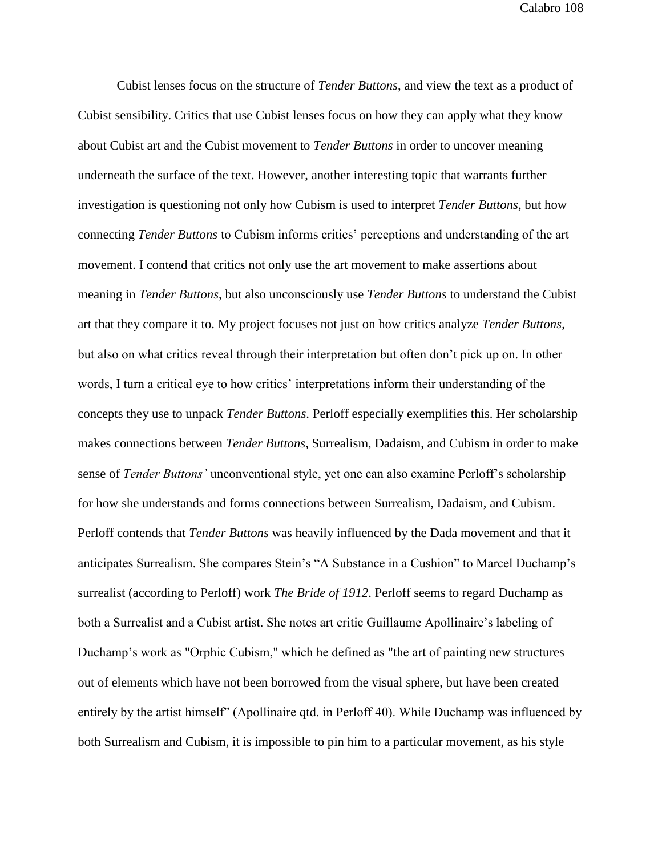Cubist lenses focus on the structure of *Tender Buttons*, and view the text as a product of Cubist sensibility. Critics that use Cubist lenses focus on how they can apply what they know about Cubist art and the Cubist movement to *Tender Buttons* in order to uncover meaning underneath the surface of the text. However, another interesting topic that warrants further investigation is questioning not only how Cubism is used to interpret *Tender Buttons*, but how connecting *Tender Buttons* to Cubism informs critics' perceptions and understanding of the art movement. I contend that critics not only use the art movement to make assertions about meaning in *Tender Buttons*, but also unconsciously use *Tender Buttons* to understand the Cubist art that they compare it to. My project focuses not just on how critics analyze *Tender Buttons*, but also on what critics reveal through their interpretation but often don't pick up on. In other words, I turn a critical eye to how critics' interpretations inform their understanding of the concepts they use to unpack *Tender Buttons*. Perloff especially exemplifies this. Her scholarship makes connections between *Tender Buttons*, Surrealism, Dadaism, and Cubism in order to make sense of *Tender Buttons'* unconventional style, yet one can also examine Perloff's scholarship for how she understands and forms connections between Surrealism, Dadaism, and Cubism. Perloff contends that *Tender Buttons* was heavily influenced by the Dada movement and that it anticipates Surrealism. She compares Stein's "A Substance in a Cushion" to Marcel Duchamp's surrealist (according to Perloff) work *The Bride of 1912*. Perloff seems to regard Duchamp as both a Surrealist and a Cubist artist. She notes art critic Guillaume Apollinaire's labeling of Duchamp's work as "Orphic Cubism," which he defined as "the art of painting new structures out of elements which have not been borrowed from the visual sphere, but have been created entirely by the artist himself" (Apollinaire qtd. in Perloff 40). While Duchamp was influenced by both Surrealism and Cubism, it is impossible to pin him to a particular movement, as his style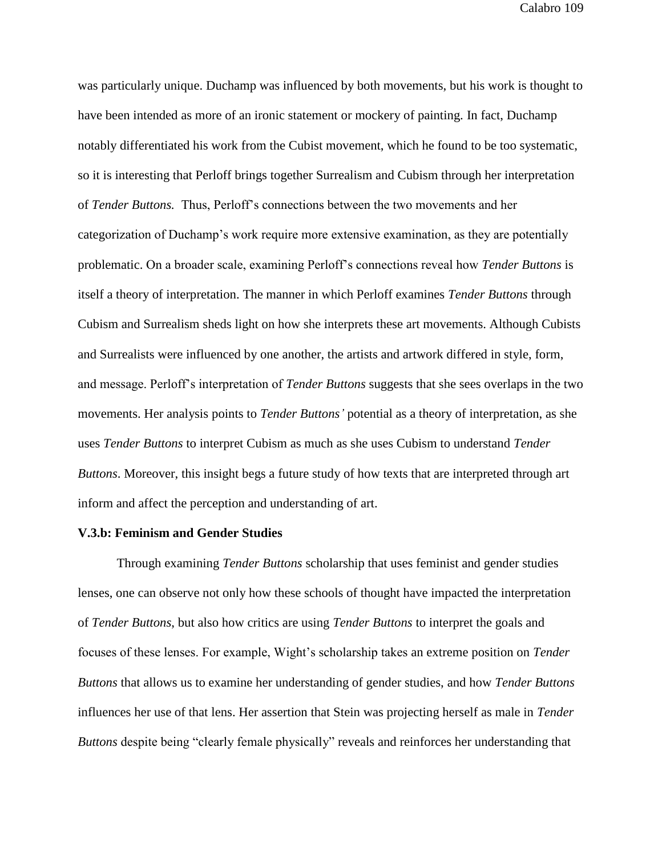was particularly unique. Duchamp was influenced by both movements, but his work is thought to have been intended as more of an ironic statement or mockery of painting. In fact, Duchamp notably differentiated his work from the Cubist movement, which he found to be too systematic, so it is interesting that Perloff brings together Surrealism and Cubism through her interpretation of *Tender Buttons.* Thus, Perloff's connections between the two movements and her categorization of Duchamp's work require more extensive examination, as they are potentially problematic. On a broader scale, examining Perloff's connections reveal how *Tender Buttons* is itself a theory of interpretation. The manner in which Perloff examines *Tender Buttons* through Cubism and Surrealism sheds light on how she interprets these art movements. Although Cubists and Surrealists were influenced by one another, the artists and artwork differed in style, form, and message. Perloff's interpretation of *Tender Buttons* suggests that she sees overlaps in the two movements. Her analysis points to *Tender Buttons'* potential as a theory of interpretation, as she uses *Tender Buttons* to interpret Cubism as much as she uses Cubism to understand *Tender Buttons*. Moreover, this insight begs a future study of how texts that are interpreted through art inform and affect the perception and understanding of art.

### **V.3.b: Feminism and Gender Studies**

Through examining *Tender Buttons* scholarship that uses feminist and gender studies lenses, one can observe not only how these schools of thought have impacted the interpretation of *Tender Buttons*, but also how critics are using *Tender Buttons* to interpret the goals and focuses of these lenses. For example, Wight's scholarship takes an extreme position on *Tender Buttons* that allows us to examine her understanding of gender studies, and how *Tender Buttons* influences her use of that lens. Her assertion that Stein was projecting herself as male in *Tender Buttons* despite being "clearly female physically" reveals and reinforces her understanding that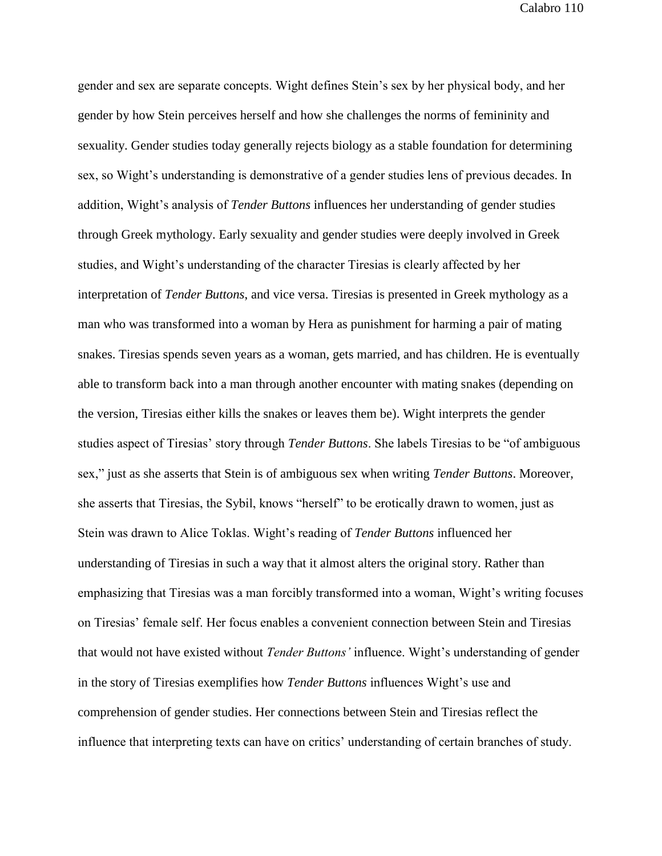gender and sex are separate concepts. Wight defines Stein's sex by her physical body, and her gender by how Stein perceives herself and how she challenges the norms of femininity and sexuality. Gender studies today generally rejects biology as a stable foundation for determining sex, so Wight's understanding is demonstrative of a gender studies lens of previous decades. In addition, Wight's analysis of *Tender Buttons* influences her understanding of gender studies through Greek mythology. Early sexuality and gender studies were deeply involved in Greek studies, and Wight's understanding of the character Tiresias is clearly affected by her interpretation of *Tender Buttons*, and vice versa. Tiresias is presented in Greek mythology as a man who was transformed into a woman by Hera as punishment for harming a pair of mating snakes. Tiresias spends seven years as a woman, gets married, and has children. He is eventually able to transform back into a man through another encounter with mating snakes (depending on the version, Tiresias either kills the snakes or leaves them be). Wight interprets the gender studies aspect of Tiresias' story through *Tender Buttons*. She labels Tiresias to be "of ambiguous sex," just as she asserts that Stein is of ambiguous sex when writing *Tender Buttons*. Moreover, she asserts that Tiresias, the Sybil, knows "herself" to be erotically drawn to women, just as Stein was drawn to Alice Toklas. Wight's reading of *Tender Buttons* influenced her understanding of Tiresias in such a way that it almost alters the original story. Rather than emphasizing that Tiresias was a man forcibly transformed into a woman, Wight's writing focuses on Tiresias' female self. Her focus enables a convenient connection between Stein and Tiresias that would not have existed without *Tender Buttons'* influence. Wight's understanding of gender in the story of Tiresias exemplifies how *Tender Buttons* influences Wight's use and comprehension of gender studies. Her connections between Stein and Tiresias reflect the influence that interpreting texts can have on critics' understanding of certain branches of study.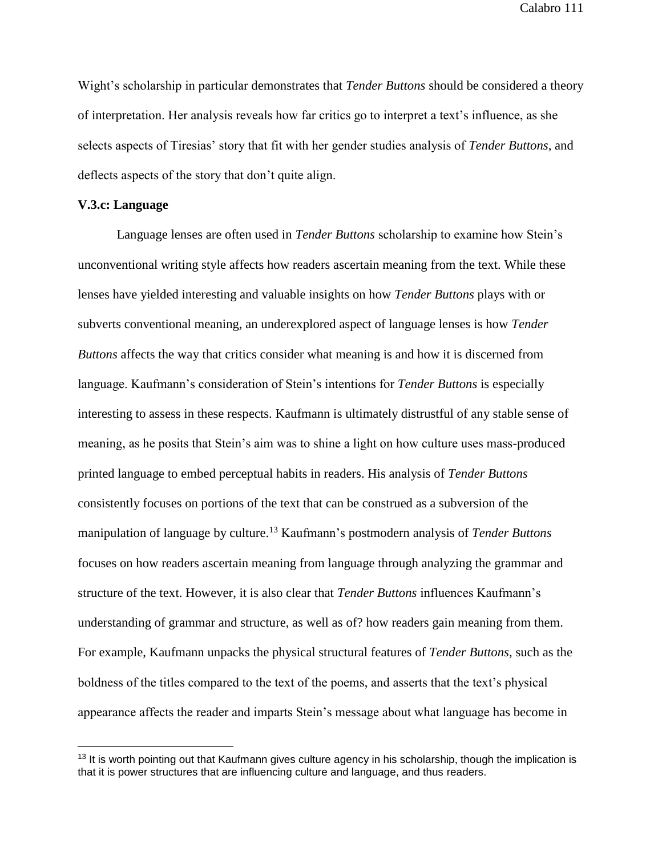Wight's scholarship in particular demonstrates that *Tender Buttons* should be considered a theory of interpretation. Her analysis reveals how far critics go to interpret a text's influence, as she selects aspects of Tiresias' story that fit with her gender studies analysis of *Tender Buttons*, and deflects aspects of the story that don't quite align.

#### **V.3.c: Language**

 $\overline{a}$ 

Language lenses are often used in *Tender Buttons* scholarship to examine how Stein's unconventional writing style affects how readers ascertain meaning from the text. While these lenses have yielded interesting and valuable insights on how *Tender Buttons* plays with or subverts conventional meaning, an underexplored aspect of language lenses is how *Tender Buttons* affects the way that critics consider what meaning is and how it is discerned from language. Kaufmann's consideration of Stein's intentions for *Tender Buttons* is especially interesting to assess in these respects. Kaufmann is ultimately distrustful of any stable sense of meaning, as he posits that Stein's aim was to shine a light on how culture uses mass-produced printed language to embed perceptual habits in readers. His analysis of *Tender Buttons* consistently focuses on portions of the text that can be construed as a subversion of the manipulation of language by culture.<sup>13</sup> Kaufmann's postmodern analysis of *Tender Buttons* focuses on how readers ascertain meaning from language through analyzing the grammar and structure of the text. However, it is also clear that *Tender Buttons* influences Kaufmann's understanding of grammar and structure, as well as of? how readers gain meaning from them. For example, Kaufmann unpacks the physical structural features of *Tender Buttons*, such as the boldness of the titles compared to the text of the poems, and asserts that the text's physical appearance affects the reader and imparts Stein's message about what language has become in

 $13$  It is worth pointing out that Kaufmann gives culture agency in his scholarship, though the implication is that it is power structures that are influencing culture and language, and thus readers.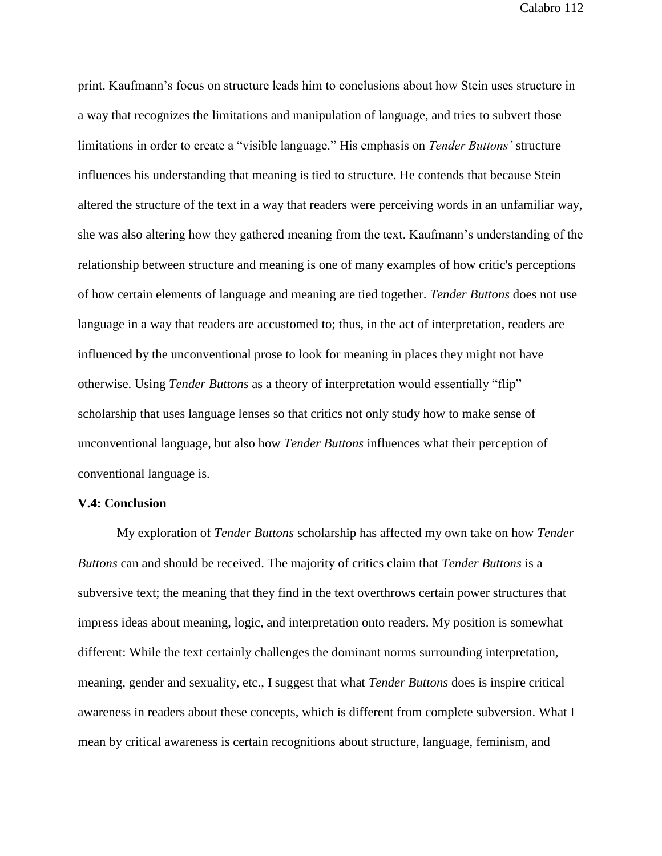print. Kaufmann's focus on structure leads him to conclusions about how Stein uses structure in a way that recognizes the limitations and manipulation of language, and tries to subvert those limitations in order to create a "visible language." His emphasis on *Tender Buttons'* structure influences his understanding that meaning is tied to structure. He contends that because Stein altered the structure of the text in a way that readers were perceiving words in an unfamiliar way, she was also altering how they gathered meaning from the text. Kaufmann's understanding of the relationship between structure and meaning is one of many examples of how critic's perceptions of how certain elements of language and meaning are tied together. *Tender Buttons* does not use language in a way that readers are accustomed to; thus, in the act of interpretation, readers are influenced by the unconventional prose to look for meaning in places they might not have otherwise. Using *Tender Buttons* as a theory of interpretation would essentially "flip" scholarship that uses language lenses so that critics not only study how to make sense of unconventional language, but also how *Tender Buttons* influences what their perception of conventional language is.

### **V.4: Conclusion**

My exploration of *Tender Buttons* scholarship has affected my own take on how *Tender Buttons* can and should be received. The majority of critics claim that *Tender Buttons* is a subversive text; the meaning that they find in the text overthrows certain power structures that impress ideas about meaning, logic, and interpretation onto readers. My position is somewhat different: While the text certainly challenges the dominant norms surrounding interpretation, meaning, gender and sexuality, etc., I suggest that what *Tender Buttons* does is inspire critical awareness in readers about these concepts, which is different from complete subversion. What I mean by critical awareness is certain recognitions about structure, language, feminism, and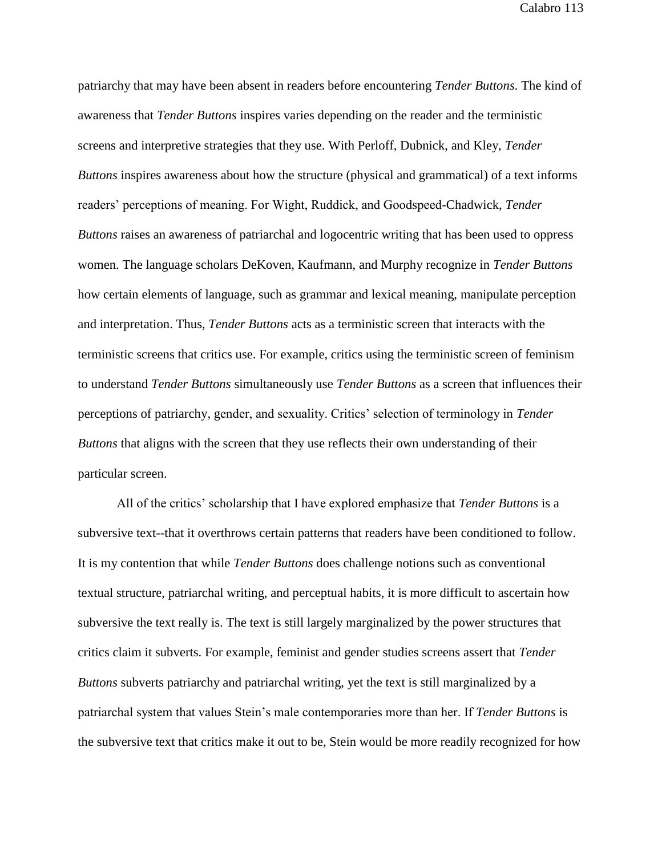patriarchy that may have been absent in readers before encountering *Tender Buttons*. The kind of awareness that *Tender Buttons* inspires varies depending on the reader and the terministic screens and interpretive strategies that they use. With Perloff, Dubnick, and Kley, *Tender Buttons* inspires awareness about how the structure (physical and grammatical) of a text informs readers' perceptions of meaning. For Wight, Ruddick, and Goodspeed-Chadwick, *Tender Buttons* raises an awareness of patriarchal and logocentric writing that has been used to oppress women. The language scholars DeKoven, Kaufmann, and Murphy recognize in *Tender Buttons* how certain elements of language, such as grammar and lexical meaning, manipulate perception and interpretation. Thus, *Tender Buttons* acts as a terministic screen that interacts with the terministic screens that critics use. For example, critics using the terministic screen of feminism to understand *Tender Buttons* simultaneously use *Tender Buttons* as a screen that influences their perceptions of patriarchy, gender, and sexuality. Critics' selection of terminology in *Tender Buttons* that aligns with the screen that they use reflects their own understanding of their particular screen.

All of the critics' scholarship that I have explored emphasize that *Tender Buttons* is a subversive text--that it overthrows certain patterns that readers have been conditioned to follow. It is my contention that while *Tender Buttons* does challenge notions such as conventional textual structure, patriarchal writing, and perceptual habits, it is more difficult to ascertain how subversive the text really is. The text is still largely marginalized by the power structures that critics claim it subverts. For example, feminist and gender studies screens assert that *Tender Buttons* subverts patriarchy and patriarchal writing, yet the text is still marginalized by a patriarchal system that values Stein's male contemporaries more than her. If *Tender Buttons* is the subversive text that critics make it out to be, Stein would be more readily recognized for how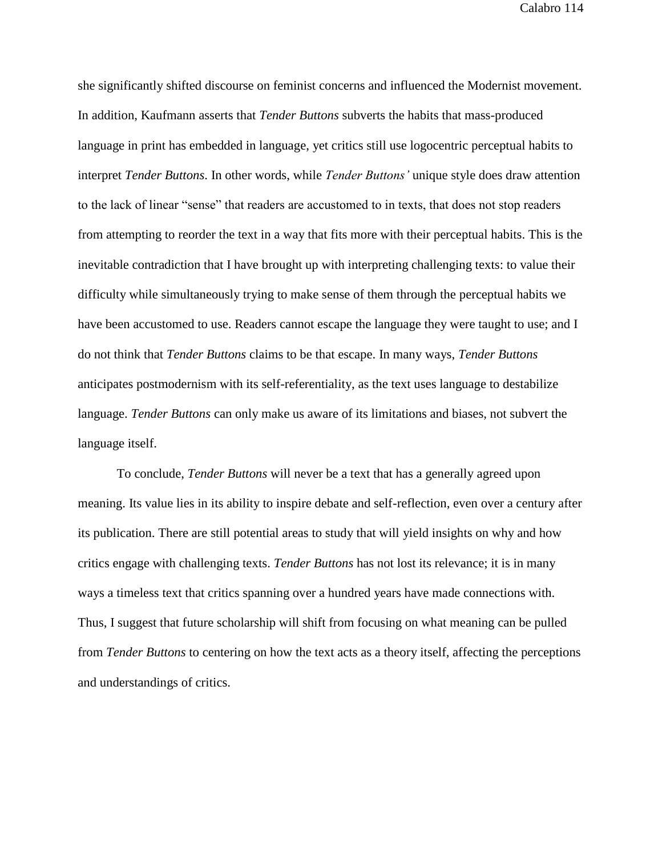she significantly shifted discourse on feminist concerns and influenced the Modernist movement. In addition, Kaufmann asserts that *Tender Buttons* subverts the habits that mass-produced language in print has embedded in language, yet critics still use logocentric perceptual habits to interpret *Tender Buttons*. In other words, while *Tender Buttons'* unique style does draw attention to the lack of linear "sense" that readers are accustomed to in texts, that does not stop readers from attempting to reorder the text in a way that fits more with their perceptual habits. This is the inevitable contradiction that I have brought up with interpreting challenging texts: to value their difficulty while simultaneously trying to make sense of them through the perceptual habits we have been accustomed to use. Readers cannot escape the language they were taught to use; and I do not think that *Tender Buttons* claims to be that escape. In many ways, *Tender Buttons* anticipates postmodernism with its self-referentiality, as the text uses language to destabilize language. *Tender Buttons* can only make us aware of its limitations and biases, not subvert the language itself.

To conclude, *Tender Buttons* will never be a text that has a generally agreed upon meaning. Its value lies in its ability to inspire debate and self-reflection, even over a century after its publication. There are still potential areas to study that will yield insights on why and how critics engage with challenging texts. *Tender Buttons* has not lost its relevance; it is in many ways a timeless text that critics spanning over a hundred years have made connections with. Thus, I suggest that future scholarship will shift from focusing on what meaning can be pulled from *Tender Buttons* to centering on how the text acts as a theory itself, affecting the perceptions and understandings of critics.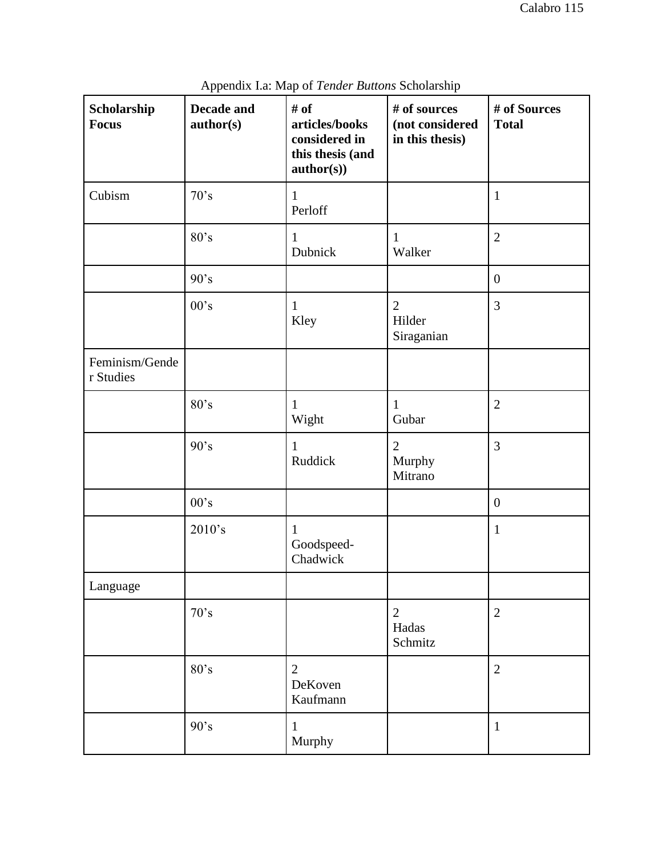| Scholarship<br><b>Focus</b> | Decade and<br>author(s) | # of<br>articles/books<br>considered in<br>this thesis (and<br>author(s)) | # of sources<br>(not considered<br>in this thesis) | # of Sources<br><b>Total</b> |
|-----------------------------|-------------------------|---------------------------------------------------------------------------|----------------------------------------------------|------------------------------|
| Cubism                      | 70's                    | $\mathbf{1}$<br>Perloff                                                   |                                                    | $\mathbf{1}$                 |
|                             | 80's                    | $\mathbf{1}$<br>Dubnick                                                   | $\mathbf{1}$<br>Walker                             | $\mathbf{2}$                 |
|                             | 90's                    |                                                                           |                                                    | $\boldsymbol{0}$             |
|                             | 00's                    | $\mathbf{1}$<br>Kley                                                      | $\overline{2}$<br>Hilder<br>Siraganian             | 3                            |
| Feminism/Gende<br>r Studies |                         |                                                                           |                                                    |                              |
|                             | 80's                    | 1<br>Wight                                                                | $\mathbf{1}$<br>Gubar                              | $\mathbf{2}$                 |
|                             | 90's                    | $\mathbf{1}$<br>Ruddick                                                   | $\overline{2}$<br>Murphy<br>Mitrano                | 3                            |
|                             | 00's                    |                                                                           |                                                    | $\boldsymbol{0}$             |
|                             | 2010's                  | $\mathbf{1}$<br>Goodspeed-<br>Chadwick                                    |                                                    | $\mathbf{1}$                 |
| Language                    |                         |                                                                           |                                                    |                              |
|                             | 70's                    |                                                                           | $\overline{2}$<br>Hadas<br>Schmitz                 | $\mathbf{2}$                 |
|                             | 80's                    | $\overline{2}$<br>DeKoven<br>Kaufmann                                     |                                                    | $\overline{2}$               |
|                             | 90's                    | 1<br>Murphy                                                               |                                                    | $\mathbf{1}$                 |

Appendix I.a: Map of *Tender Buttons* Scholarship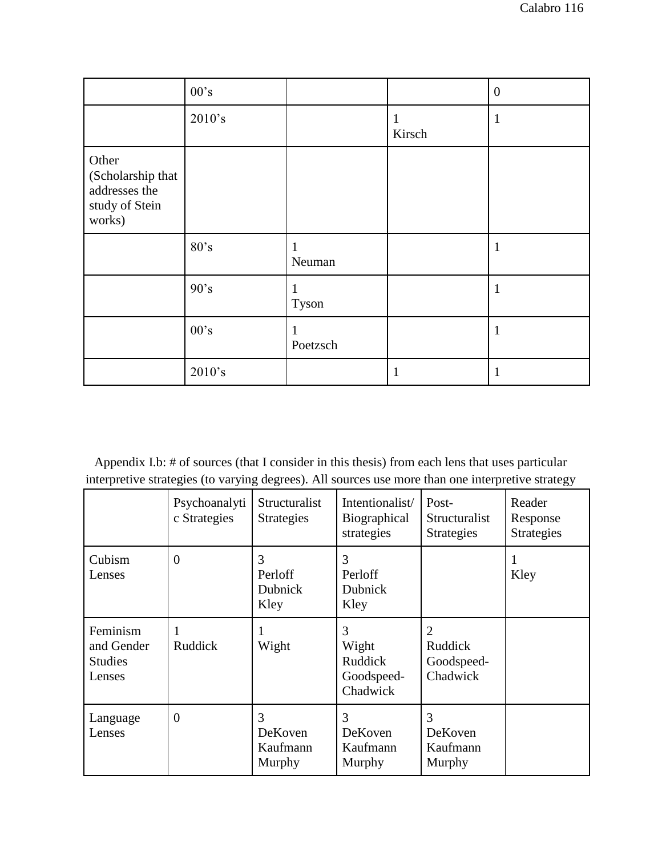|                                                                         | 00's   |                       |                        | $\boldsymbol{0}$ |
|-------------------------------------------------------------------------|--------|-----------------------|------------------------|------------------|
|                                                                         | 2010's |                       | $\mathbf{1}$<br>Kirsch | $\mathbf{1}$     |
| Other<br>(Scholarship that<br>addresses the<br>study of Stein<br>works) |        |                       |                        |                  |
|                                                                         | 80's   | 1<br>Neuman           |                        | $\mathbf{1}$     |
|                                                                         | 90's   | $\mathbf{1}$<br>Tyson |                        | $\mathbf{1}$     |
|                                                                         | 00's   | 1<br>Poetzsch         |                        | $\mathbf{1}$     |
|                                                                         | 2010's |                       | $\mathbf 1$            | 1                |

Appendix I.b: # of sources (that I consider in this thesis) from each lens that uses particular interpretive strategies (to varying degrees). All sources use more than one interpretive strategy

|                                                    | Psychoanalyti<br>c Strategies | Structuralist<br><b>Strategies</b>     | Intentionalist/<br>Biographical<br>strategies   | Post-<br>Structuralist<br><b>Strategies</b>                | Reader<br>Response<br><b>Strategies</b> |
|----------------------------------------------------|-------------------------------|----------------------------------------|-------------------------------------------------|------------------------------------------------------------|-----------------------------------------|
| Cubism<br>Lenses                                   | $\Omega$                      | 3<br>Perloff<br><b>Dubnick</b><br>Kley | 3<br>Perloff<br><b>Dubnick</b><br>Kley          |                                                            | Kley                                    |
| Feminism<br>and Gender<br><b>Studies</b><br>Lenses | Ruddick                       | Wight                                  | 3<br>Wight<br>Ruddick<br>Goodspeed-<br>Chadwick | $\overline{2}$<br><b>Ruddick</b><br>Goodspeed-<br>Chadwick |                                         |
| Language<br>Lenses                                 | $\overline{0}$                | 3<br>DeKoven<br>Kaufmann<br>Murphy     | 3<br>DeKoven<br>Kaufmann<br>Murphy              | 3<br>DeKoven<br>Kaufmann<br>Murphy                         |                                         |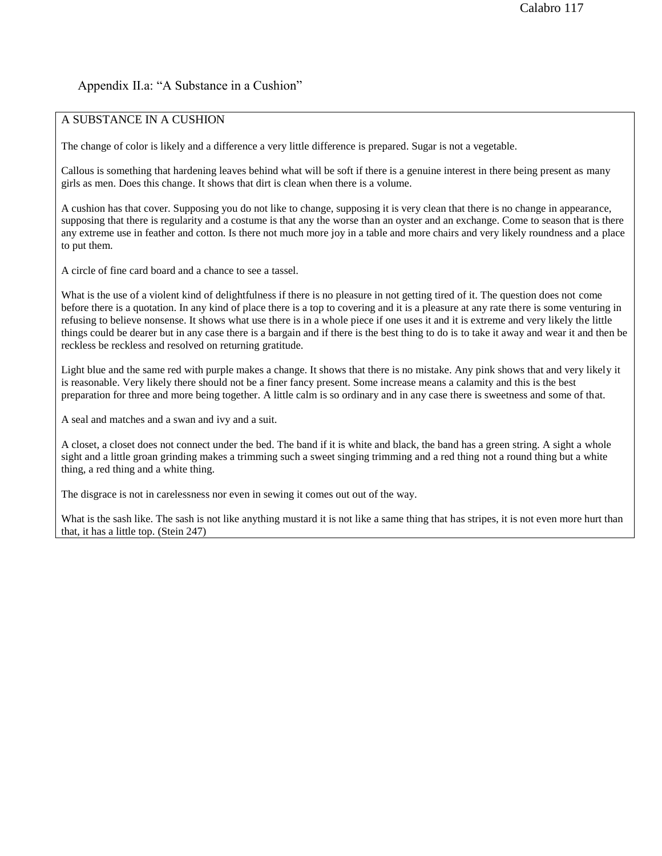# Appendix II.a: "A Substance in a Cushion"

## A SUBSTANCE IN A CUSHION

The change of color is likely and a difference a very little difference is prepared. Sugar is not a vegetable.

Callous is something that hardening leaves behind what will be soft if there is a genuine interest in there being present as many girls as men. Does this change. It shows that dirt is clean when there is a volume.

A cushion has that cover. Supposing you do not like to change, supposing it is very clean that there is no change in appearance, supposing that there is regularity and a costume is that any the worse than an oyster and an exchange. Come to season that is there any extreme use in feather and cotton. Is there not much more joy in a table and more chairs and very likely roundness and a place to put them.

A circle of fine card board and a chance to see a tassel.

What is the use of a violent kind of delightfulness if there is no pleasure in not getting tired of it. The question does not come before there is a quotation. In any kind of place there is a top to covering and it is a pleasure at any rate there is some venturing in refusing to believe nonsense. It shows what use there is in a whole piece if one uses it and it is extreme and very likely the little things could be dearer but in any case there is a bargain and if there is the best thing to do is to take it away and wear it and then be reckless be reckless and resolved on returning gratitude.

Light blue and the same red with purple makes a change. It shows that there is no mistake. Any pink shows that and very likely it is reasonable. Very likely there should not be a finer fancy present. Some increase means a calamity and this is the best preparation for three and more being together. A little calm is so ordinary and in any case there is sweetness and some of that.

A seal and matches and a swan and ivy and a suit.

A closet, a closet does not connect under the bed. The band if it is white and black, the band has a green string. A sight a whole sight and a little groan grinding makes a trimming such a sweet singing trimming and a red thing not a round thing but a white thing, a red thing and a white thing.

The disgrace is not in carelessness nor even in sewing it comes out out of the way.

What is the sash like. The sash is not like anything mustard it is not like a same thing that has stripes, it is not even more hurt than that, it has a little top. (Stein 247)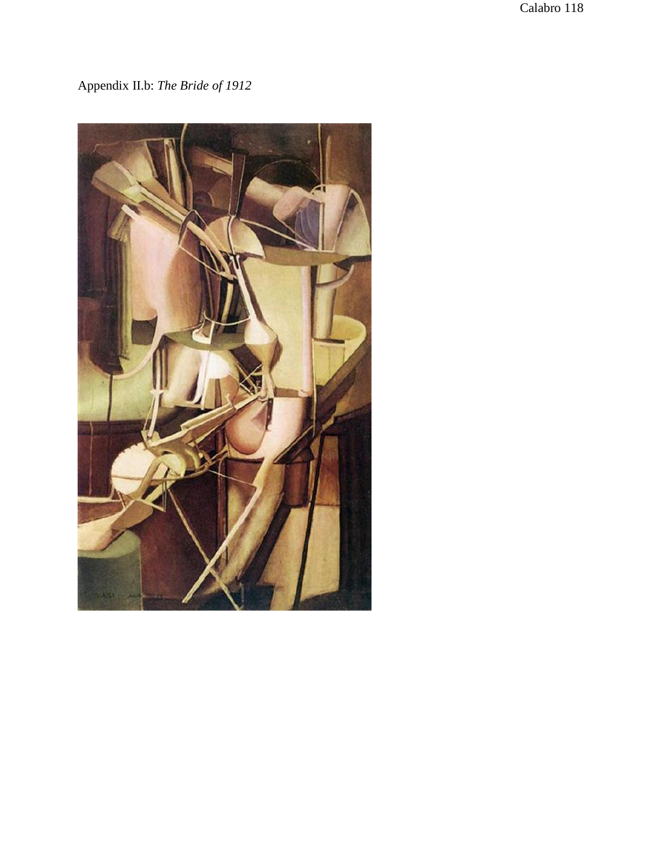Appendix II.b: *The Bride of 1912*

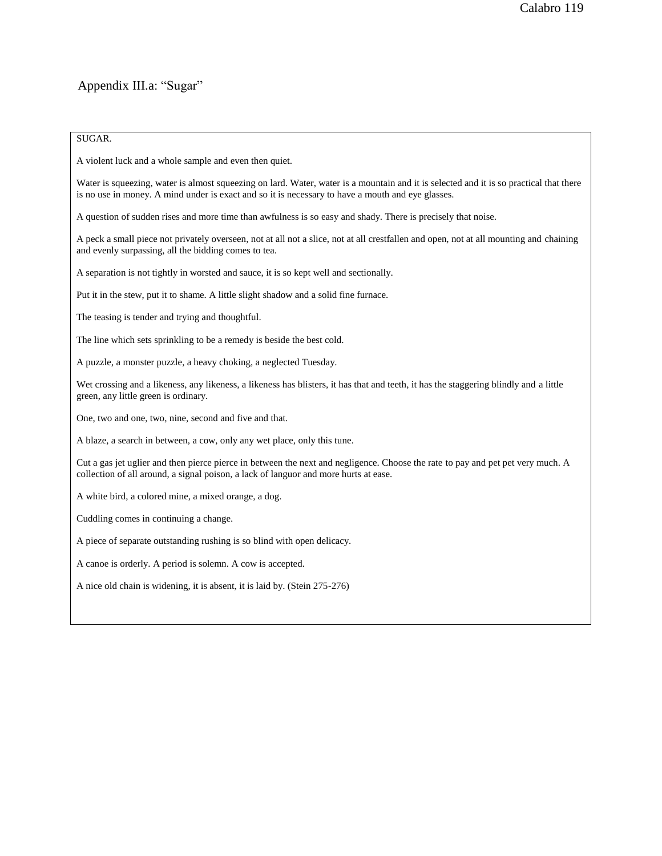# Appendix III.a: "Sugar"

#### SUGAR.

A violent luck and a whole sample and even then quiet.

Water is squeezing, water is almost squeezing on lard. Water, water is a mountain and it is selected and it is so practical that there is no use in money. A mind under is exact and so it is necessary to have a mouth and eye glasses.

A question of sudden rises and more time than awfulness is so easy and shady. There is precisely that noise.

A peck a small piece not privately overseen, not at all not a slice, not at all crestfallen and open, not at all mounting and chaining and evenly surpassing, all the bidding comes to tea.

A separation is not tightly in worsted and sauce, it is so kept well and sectionally.

Put it in the stew, put it to shame. A little slight shadow and a solid fine furnace.

The teasing is tender and trying and thoughtful.

The line which sets sprinkling to be a remedy is beside the best cold.

A puzzle, a monster puzzle, a heavy choking, a neglected Tuesday.

Wet crossing and a likeness, any likeness, a likeness has blisters, it has that and teeth, it has the staggering blindly and a little green, any little green is ordinary.

One, two and one, two, nine, second and five and that.

A blaze, a search in between, a cow, only any wet place, only this tune.

Cut a gas jet uglier and then pierce pierce in between the next and negligence. Choose the rate to pay and pet pet very much. A collection of all around, a signal poison, a lack of languor and more hurts at ease.

A white bird, a colored mine, a mixed orange, a dog.

Cuddling comes in continuing a change.

A piece of separate outstanding rushing is so blind with open delicacy.

A canoe is orderly. A period is solemn. A cow is accepted.

A nice old chain is widening, it is absent, it is laid by. (Stein 275-276)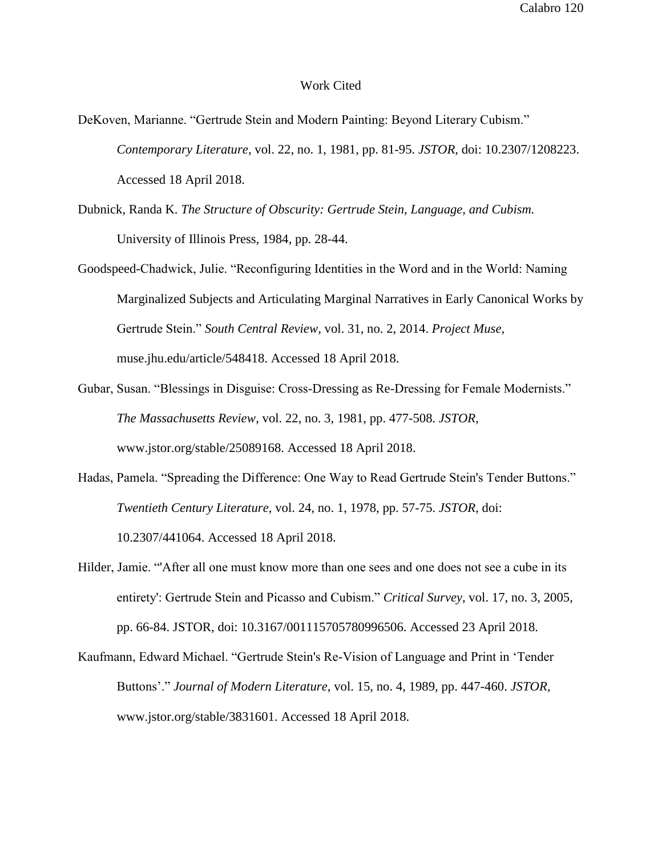### Work Cited

- DeKoven, Marianne. "Gertrude Stein and Modern Painting: Beyond Literary Cubism." *Contemporary Literature*, vol. 22, no. 1, 1981, pp. 81-95. *JSTOR*, doi: 10.2307/1208223. Accessed 18 April 2018.
- Dubnick, Randa K. *The Structure of Obscurity: Gertrude Stein, Language, and Cubism.* University of Illinois Press, 1984, pp. 28-44.
- Goodspeed-Chadwick, Julie. "Reconfiguring Identities in the Word and in the World: Naming Marginalized Subjects and Articulating Marginal Narratives in Early Canonical Works by Gertrude Stein." *South Central Review*, vol. 31, no. 2, 2014. *Project Muse*, muse.jhu.edu/article/548418. Accessed 18 April 2018.
- Gubar, Susan. "Blessings in Disguise: Cross-Dressing as Re-Dressing for Female Modernists." *The Massachusetts Review*, vol. 22, no. 3, 1981, pp. 477-508. *JSTOR*, www.jstor.org/stable/25089168. Accessed 18 April 2018.
- Hadas, Pamela. "Spreading the Difference: One Way to Read Gertrude Stein's Tender Buttons." *Twentieth Century Literature,* vol. 24, no. 1, 1978, pp. 57-75. *JSTOR*, doi: 10.2307/441064. Accessed 18 April 2018.
- Hilder, Jamie. "'After all one must know more than one sees and one does not see a cube in its entirety': Gertrude Stein and Picasso and Cubism." *Critical Survey*, vol. 17, no. 3, 2005, pp. 66-84. JSTOR, doi: 10.3167/001115705780996506. Accessed 23 April 2018.
- Kaufmann, Edward Michael. "Gertrude Stein's Re-Vision of Language and Print in 'Tender Buttons'." *Journal of Modern Literature*, vol. 15, no. 4, 1989, pp. 447-460. *JSTOR*, www.jstor.org/stable/3831601. Accessed 18 April 2018.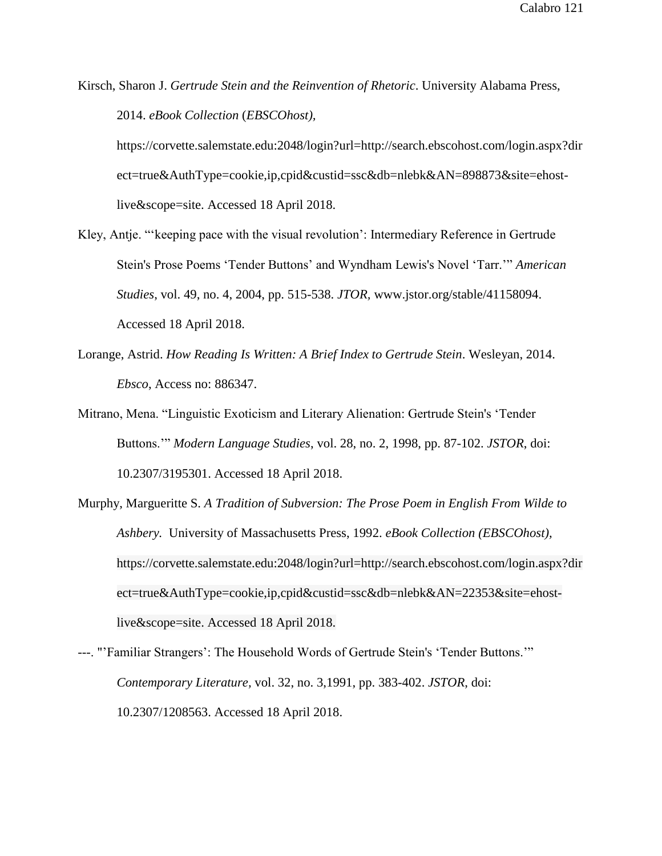Kirsch, Sharon J. *Gertrude Stein and the Reinvention of Rhetoric*. University Alabama Press, 2014. *eBook Collection* (*EBSCOhost),*

https://corvette.salemstate.edu:2048/login?url=http://search.ebscohost.com/login.aspx?dir ect=true&AuthType=cookie,ip,cpid&custid=ssc&db=nlebk&AN=898873&site=ehostlive&scope=site. Accessed 18 April 2018.

- Kley, Antje. "'keeping pace with the visual revolution': Intermediary Reference in Gertrude Stein's Prose Poems 'Tender Buttons' and Wyndham Lewis's Novel 'Tarr.'" *American Studies*, vol. 49, no. 4, 2004, pp. 515-538. *JTOR,* www.jstor.org/stable/41158094. Accessed 18 April 2018.
- Lorange, Astrid. *How Reading Is Written: A Brief Index to Gertrude Stein*. Wesleyan, 2014. *Ebsco*, Access no: 886347.
- Mitrano, Mena. "Linguistic Exoticism and Literary Alienation: Gertrude Stein's 'Tender Buttons.'" *Modern Language Studies*, vol. 28, no. 2, 1998, pp. 87-102. *JSTOR*, doi: 10.2307/3195301. Accessed 18 April 2018.
- Murphy, Margueritte S. *A Tradition of Subversion: The Prose Poem in English From Wilde to Ashbery.* University of Massachusetts Press, 1992. *eBook Collection (EBSCOhost),* https://corvette.salemstate.edu:2048/login?url=http://search.ebscohost.com/login.aspx?dir ect=true&AuthType=cookie,ip,cpid&custid=ssc&db=nlebk&AN=22353&site=ehostlive&scope=site. Accessed 18 April 2018.
- ---. "'Familiar Strangers': The Household Words of Gertrude Stein's 'Tender Buttons.'" *Contemporary Literature,* vol. 32, no. 3,1991, pp. 383-402. *JSTOR*, doi: 10.2307/1208563. Accessed 18 April 2018.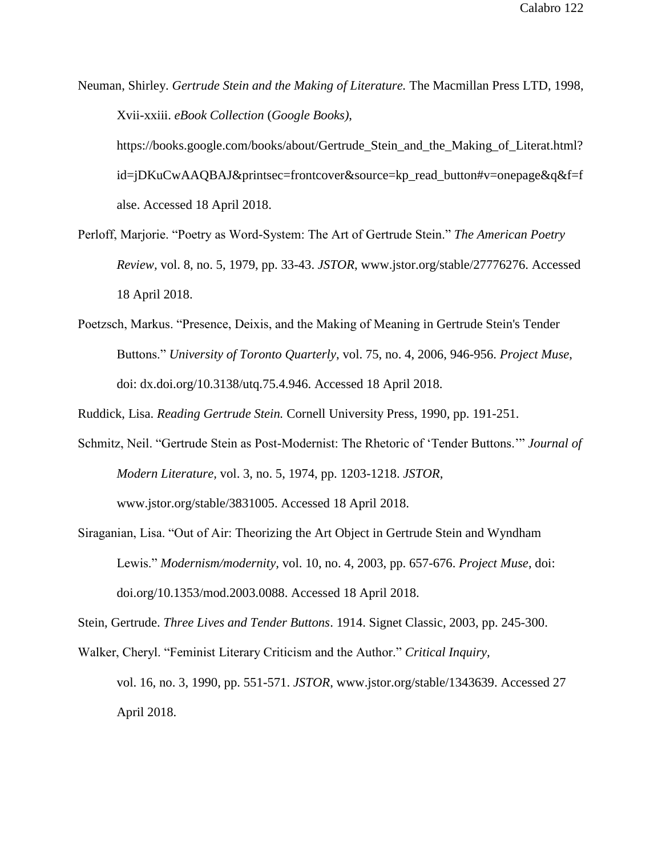Neuman, Shirley. *Gertrude Stein and the Making of Literature.* The Macmillan Press LTD, 1998, Xvii-xxiii. *eBook Collection* (*Google Books)*,

https://books.google.com/books/about/Gertrude\_Stein\_and\_the\_Making\_of\_Literat.html? id=jDKuCwAAQBAJ&printsec=frontcover&source=kp\_read\_button#v=onepage&q&f=f alse. Accessed 18 April 2018.

- Perloff, Marjorie. "Poetry as Word-System: The Art of Gertrude Stein." *The American Poetry Review,* vol. 8, no. 5, 1979, pp. 33-43. *JSTOR*, www.jstor.org/stable/27776276. Accessed 18 April 2018.
- Poetzsch, Markus. "Presence, Deixis, and the Making of Meaning in Gertrude Stein's Tender Buttons." *University of Toronto Quarterly*, vol. 75, no. 4, 2006, 946-956. *Project Muse*, doi: dx.doi.org/10.3138/utq.75.4.946. Accessed 18 April 2018.

Ruddick, Lisa. *Reading Gertrude Stein.* Cornell University Press, 1990, pp. 191-251.

- Schmitz, Neil. "Gertrude Stein as Post-Modernist: The Rhetoric of 'Tender Buttons.'" *Journal of Modern Literature,* vol. 3, no. 5, 1974, pp. 1203-1218. *JSTOR*, www.jstor.org/stable/3831005. Accessed 18 April 2018.
- Siraganian, Lisa. "Out of Air: Theorizing the Art Object in Gertrude Stein and Wyndham Lewis." *Modernism/modernity,* vol. 10, no. 4, 2003, pp. 657-676. *Project Muse*, doi: doi.org/10.1353/mod.2003.0088. Accessed 18 April 2018.

Stein, Gertrude. *Three Lives and Tender Buttons*. 1914. Signet Classic, 2003, pp. 245-300.

Walker, Cheryl. "Feminist Literary Criticism and the Author." *Critical Inquiry,* vol. 16, no. 3, 1990, pp. 551-571. *JSTOR*, www.jstor.org/stable/1343639. Accessed 27 April 2018.